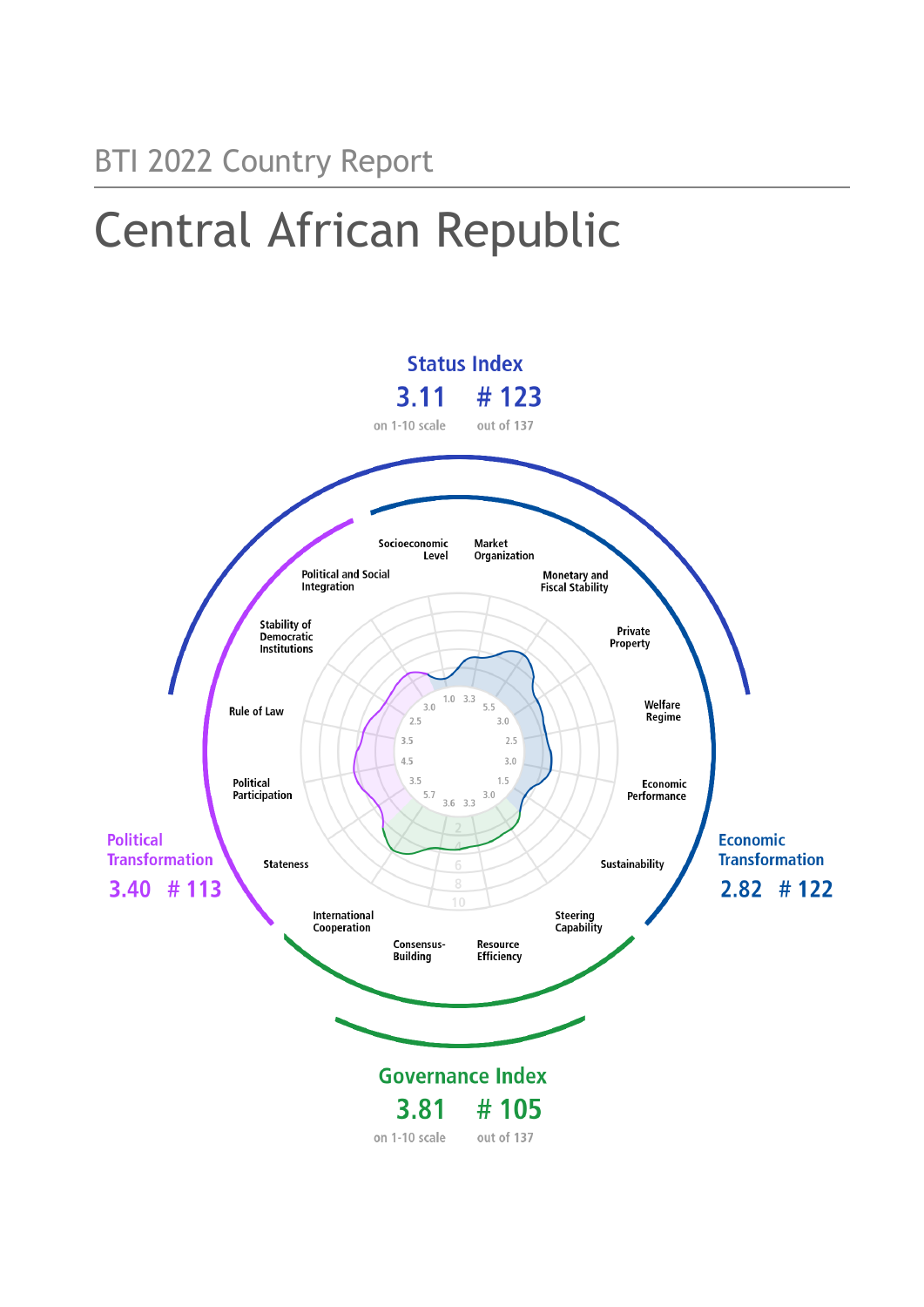# Central African Republic

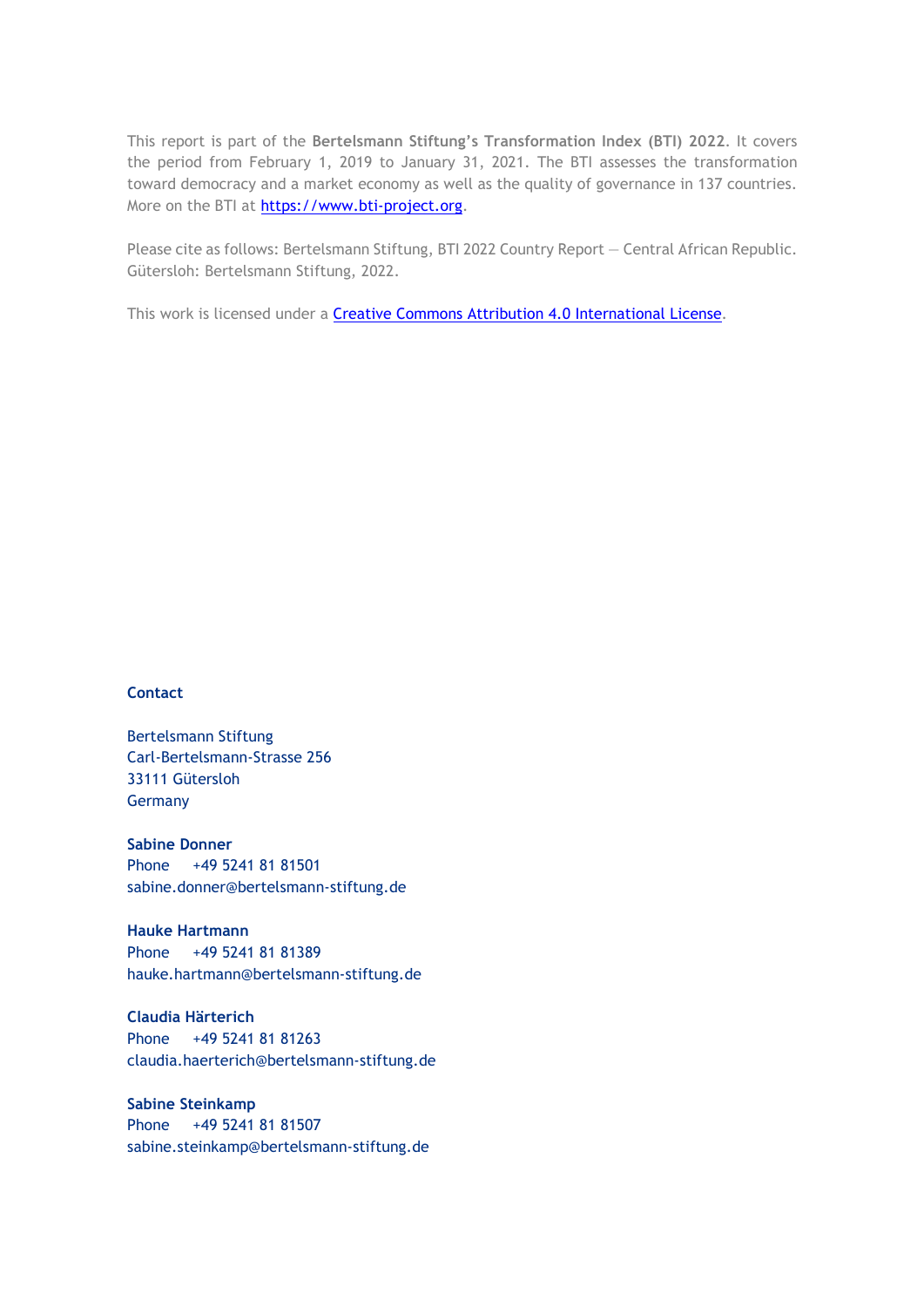This report is part of the **Bertelsmann Stiftung's Transformation Index (BTI) 2022**. It covers the period from February 1, 2019 to January 31, 2021. The BTI assesses the transformation toward democracy and a market economy as well as the quality of governance in 137 countries. More on the BTI at [https://www.bti-project.org.](https://www.bti-project.org/)

Please cite as follows: Bertelsmann Stiftung, BTI 2022 Country Report — Central African Republic. Gütersloh: Bertelsmann Stiftung, 2022.

This work is licensed under a **Creative Commons Attribution 4.0 International License**.

#### **Contact**

Bertelsmann Stiftung Carl-Bertelsmann-Strasse 256 33111 Gütersloh Germany

**Sabine Donner** Phone +49 5241 81 81501 sabine.donner@bertelsmann-stiftung.de

**Hauke Hartmann** Phone +49 5241 81 81389 hauke.hartmann@bertelsmann-stiftung.de

**Claudia Härterich** Phone +49 5241 81 81263 claudia.haerterich@bertelsmann-stiftung.de

#### **Sabine Steinkamp** Phone +49 5241 81 81507 sabine.steinkamp@bertelsmann-stiftung.de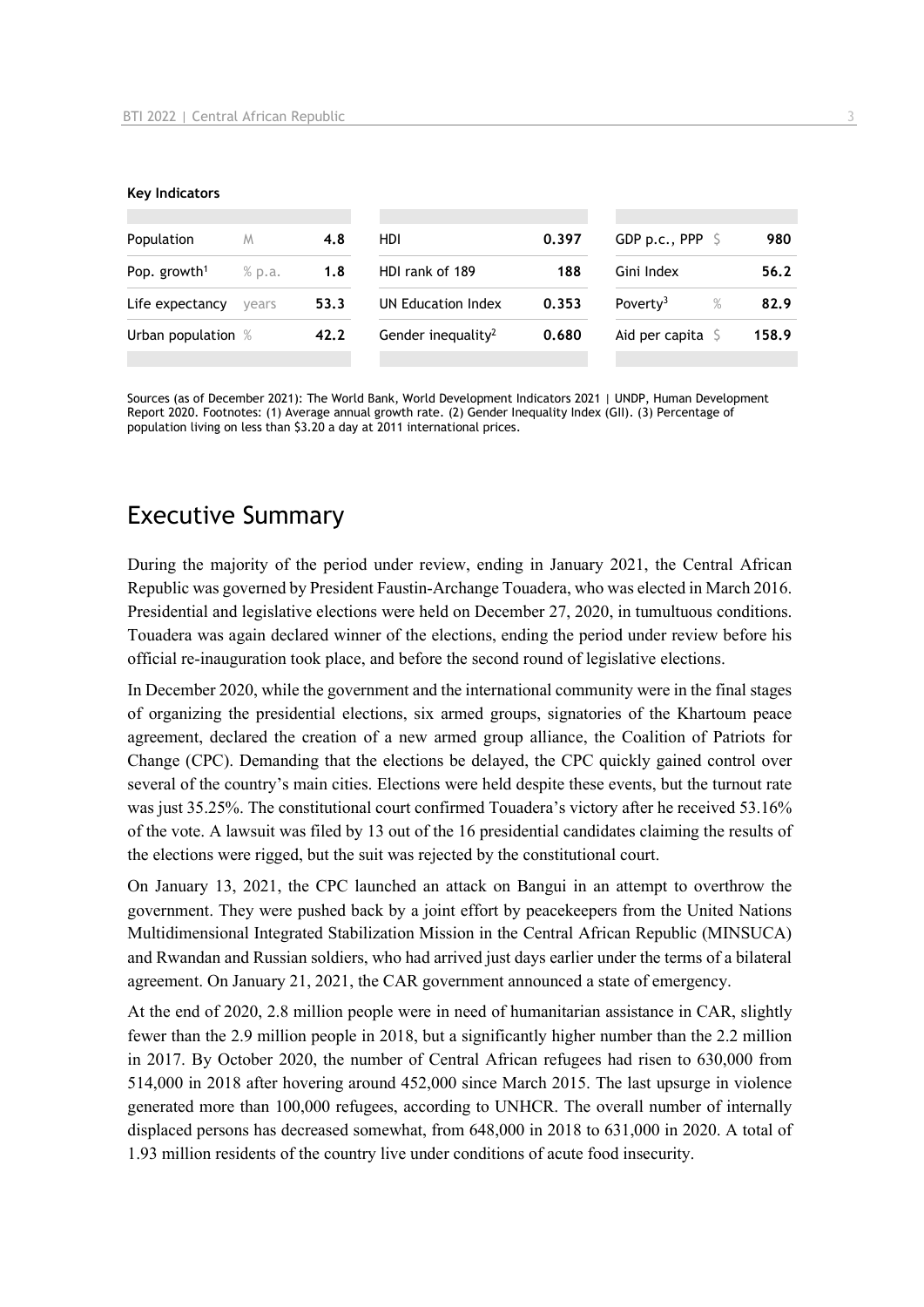#### **Key Indicators**

| Population<br>M          |        | 4.8  | HDI                            | 0.397 | GDP p.c., PPP $\mathsf{S}$ | 980   |
|--------------------------|--------|------|--------------------------------|-------|----------------------------|-------|
| Pop. growth <sup>1</sup> | % p.a. | 1.8  | HDI rank of 189                | 188   | Gini Index                 | 56.2  |
| Life expectancy          | vears  | 53.3 | UN Education Index             | 0.353 | Poverty <sup>3</sup><br>%  | 82.9  |
| Urban population %       |        | 42.2 | Gender inequality <sup>2</sup> | 0.680 | Aid per capita             | 158.9 |
|                          |        |      |                                |       |                            |       |

Sources (as of December 2021): The World Bank, World Development Indicators 2021 | UNDP, Human Development Report 2020. Footnotes: (1) Average annual growth rate. (2) Gender Inequality Index (GII). (3) Percentage of population living on less than \$3.20 a day at 2011 international prices.

# Executive Summary

During the majority of the period under review, ending in January 2021, the Central African Republic was governed by President Faustin-Archange Touadera, who was elected in March 2016. Presidential and legislative elections were held on December 27, 2020, in tumultuous conditions. Touadera was again declared winner of the elections, ending the period under review before his official re-inauguration took place, and before the second round of legislative elections.

In December 2020, while the government and the international community were in the final stages of organizing the presidential elections, six armed groups, signatories of the Khartoum peace agreement, declared the creation of a new armed group alliance, the Coalition of Patriots for Change (CPC). Demanding that the elections be delayed, the CPC quickly gained control over several of the country's main cities. Elections were held despite these events, but the turnout rate was just 35.25%. The constitutional court confirmed Touadera's victory after he received 53.16% of the vote. A lawsuit was filed by 13 out of the 16 presidential candidates claiming the results of the elections were rigged, but the suit was rejected by the constitutional court.

On January 13, 2021, the CPC launched an attack on Bangui in an attempt to overthrow the government. They were pushed back by a joint effort by peacekeepers from the United Nations Multidimensional Integrated Stabilization Mission in the Central African Republic (MINSUCA) and Rwandan and Russian soldiers, who had arrived just days earlier under the terms of a bilateral agreement. On January 21, 2021, the CAR government announced a state of emergency.

At the end of 2020, 2.8 million people were in need of humanitarian assistance in CAR, slightly fewer than the 2.9 million people in 2018, but a significantly higher number than the 2.2 million in 2017. By October 2020, the number of Central African refugees had risen to 630,000 from 514,000 in 2018 after hovering around 452,000 since March 2015. The last upsurge in violence generated more than 100,000 refugees, according to UNHCR. The overall number of internally displaced persons has decreased somewhat, from 648,000 in 2018 to 631,000 in 2020. A total of 1.93 million residents of the country live under conditions of acute food insecurity.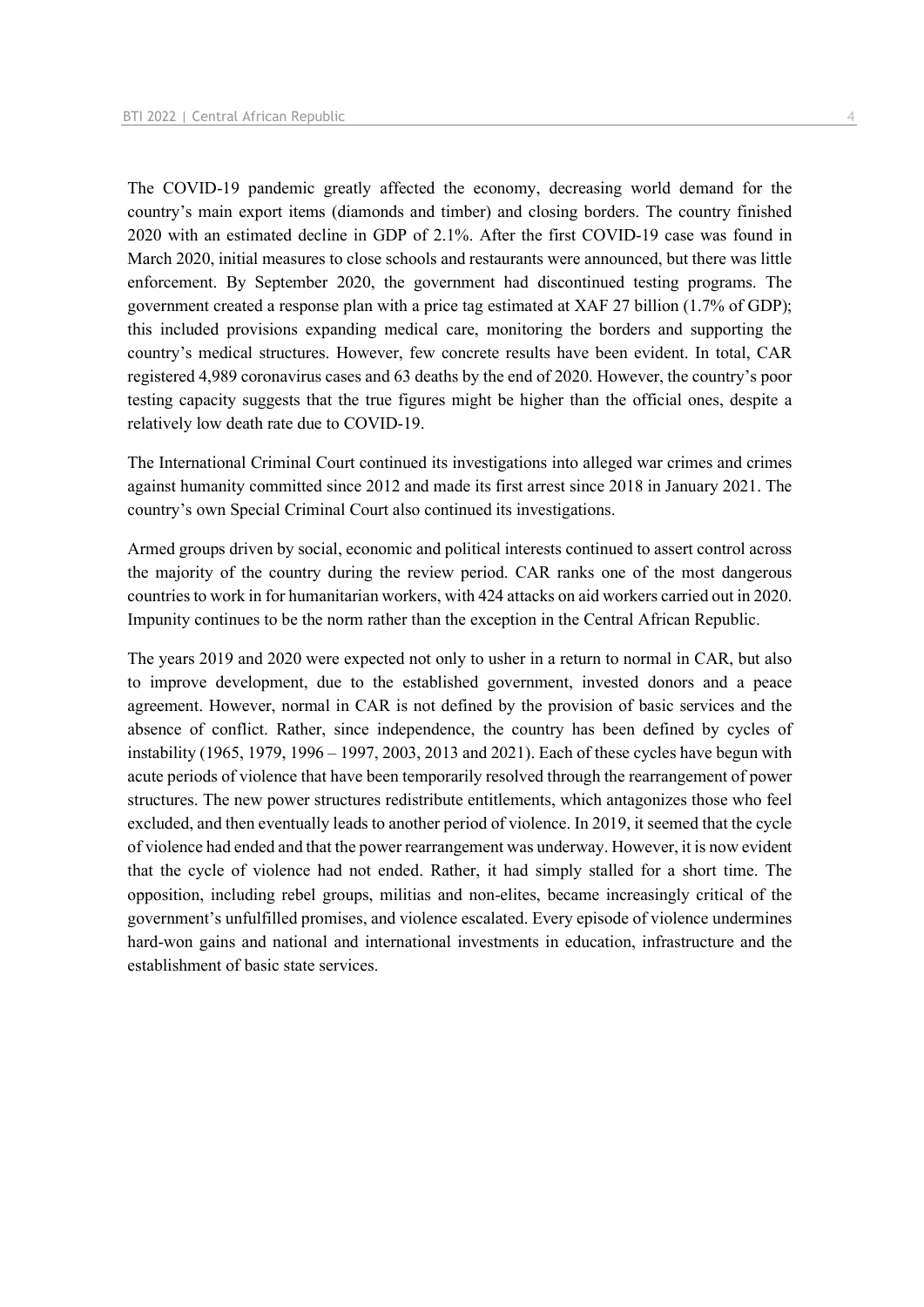The COVID-19 pandemic greatly affected the economy, decreasing world demand for the country's main export items (diamonds and timber) and closing borders. The country finished 2020 with an estimated decline in GDP of 2.1%. After the first COVID-19 case was found in March 2020, initial measures to close schools and restaurants were announced, but there was little enforcement. By September 2020, the government had discontinued testing programs. The government created a response plan with a price tag estimated at XAF 27 billion (1.7% of GDP); this included provisions expanding medical care, monitoring the borders and supporting the country's medical structures. However, few concrete results have been evident. In total, CAR registered 4,989 coronavirus cases and 63 deaths by the end of 2020. However, the country's poor testing capacity suggests that the true figures might be higher than the official ones, despite a relatively low death rate due to COVID-19.

The International Criminal Court continued its investigations into alleged war crimes and crimes against humanity committed since 2012 and made its first arrest since 2018 in January 2021. The country's own Special Criminal Court also continued its investigations.

Armed groups driven by social, economic and political interests continued to assert control across the majority of the country during the review period. CAR ranks one of the most dangerous countries to work in for humanitarian workers, with 424 attacks on aid workers carried out in 2020. Impunity continues to be the norm rather than the exception in the Central African Republic.

The years 2019 and 2020 were expected not only to usher in a return to normal in CAR, but also to improve development, due to the established government, invested donors and a peace agreement. However, normal in CAR is not defined by the provision of basic services and the absence of conflict. Rather, since independence, the country has been defined by cycles of instability (1965, 1979, 1996 – 1997, 2003, 2013 and 2021). Each of these cycles have begun with acute periods of violence that have been temporarily resolved through the rearrangement of power structures. The new power structures redistribute entitlements, which antagonizes those who feel excluded, and then eventually leads to another period of violence. In 2019, it seemed that the cycle of violence had ended and that the power rearrangement was underway. However, it is now evident that the cycle of violence had not ended. Rather, it had simply stalled for a short time. The opposition, including rebel groups, militias and non-elites, became increasingly critical of the government's unfulfilled promises, and violence escalated. Every episode of violence undermines hard-won gains and national and international investments in education, infrastructure and the establishment of basic state services.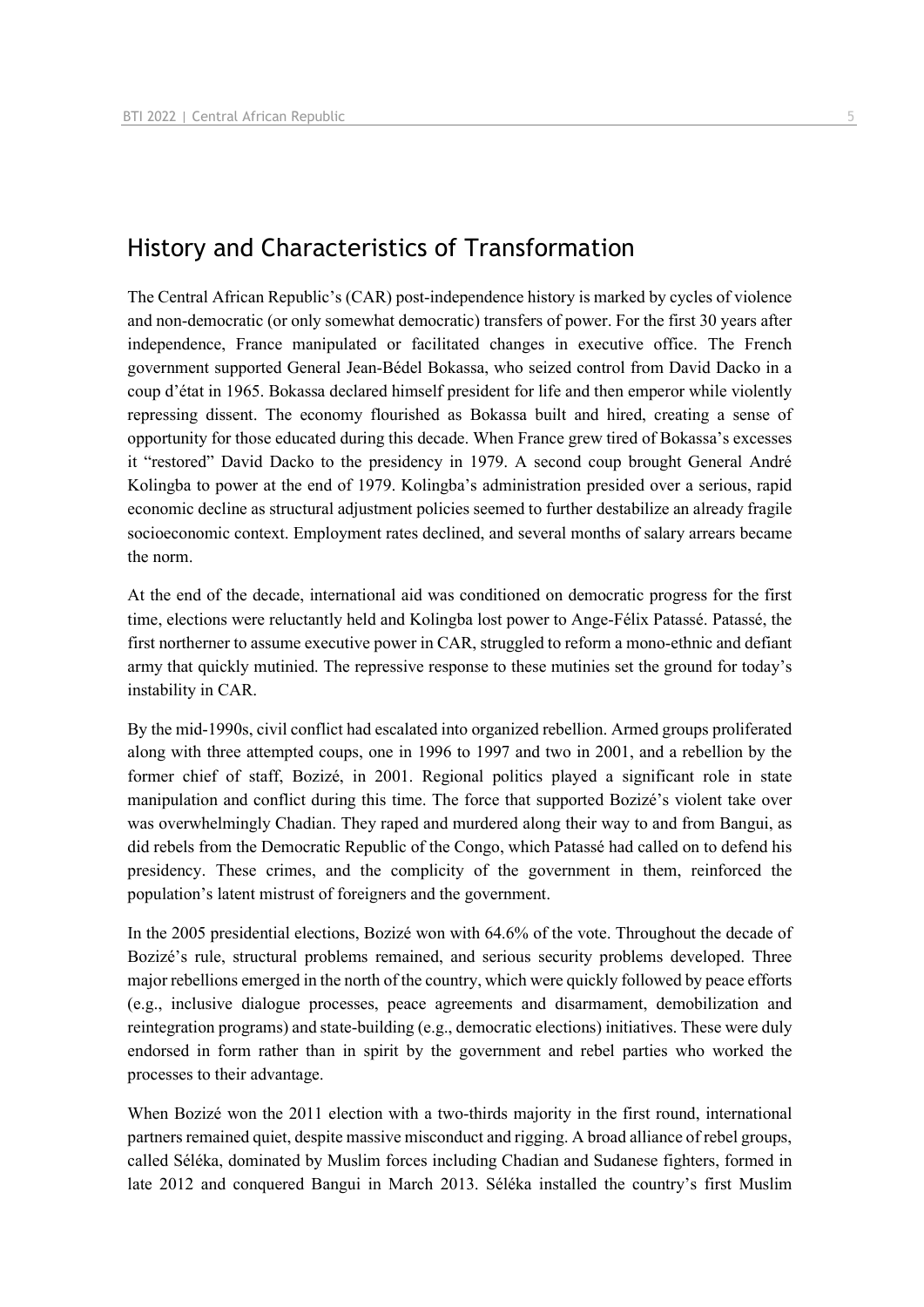## History and Characteristics of Transformation

The Central African Republic's (CAR) post-independence history is marked by cycles of violence and non-democratic (or only somewhat democratic) transfers of power. For the first 30 years after independence, France manipulated or facilitated changes in executive office. The French government supported General Jean-Bédel Bokassa, who seized control from David Dacko in a coup d'état in 1965. Bokassa declared himself president for life and then emperor while violently repressing dissent. The economy flourished as Bokassa built and hired, creating a sense of opportunity for those educated during this decade. When France grew tired of Bokassa's excesses it "restored" David Dacko to the presidency in 1979. A second coup brought General André Kolingba to power at the end of 1979. Kolingba's administration presided over a serious, rapid economic decline as structural adjustment policies seemed to further destabilize an already fragile socioeconomic context. Employment rates declined, and several months of salary arrears became the norm.

At the end of the decade, international aid was conditioned on democratic progress for the first time, elections were reluctantly held and Kolingba lost power to Ange-Félix Patassé. Patassé, the first northerner to assume executive power in CAR, struggled to reform a mono-ethnic and defiant army that quickly mutinied. The repressive response to these mutinies set the ground for today's instability in CAR.

By the mid-1990s, civil conflict had escalated into organized rebellion. Armed groups proliferated along with three attempted coups, one in 1996 to 1997 and two in 2001, and a rebellion by the former chief of staff, Bozizé, in 2001. Regional politics played a significant role in state manipulation and conflict during this time. The force that supported Bozizé's violent take over was overwhelmingly Chadian. They raped and murdered along their way to and from Bangui, as did rebels from the Democratic Republic of the Congo, which Patassé had called on to defend his presidency. These crimes, and the complicity of the government in them, reinforced the population's latent mistrust of foreigners and the government.

In the 2005 presidential elections, Bozizé won with 64.6% of the vote. Throughout the decade of Bozizé's rule, structural problems remained, and serious security problems developed. Three major rebellions emerged in the north of the country, which were quickly followed by peace efforts (e.g., inclusive dialogue processes, peace agreements and disarmament, demobilization and reintegration programs) and state-building (e.g., democratic elections) initiatives. These were duly endorsed in form rather than in spirit by the government and rebel parties who worked the processes to their advantage.

When Bozizé won the 2011 election with a two-thirds majority in the first round, international partners remained quiet, despite massive misconduct and rigging. A broad alliance of rebel groups, called Séléka, dominated by Muslim forces including Chadian and Sudanese fighters, formed in late 2012 and conquered Bangui in March 2013. Séléka installed the country's first Muslim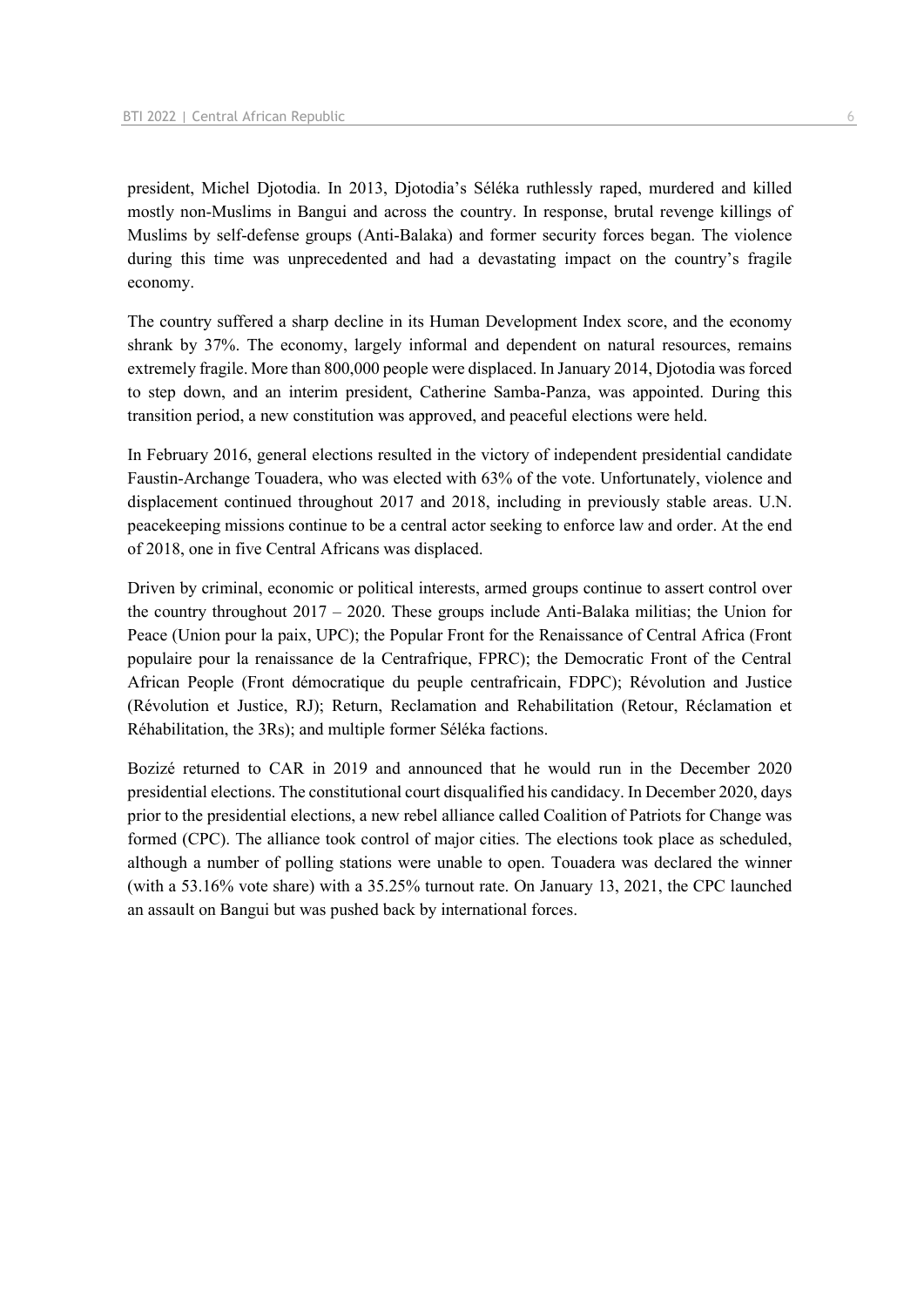president, Michel Djotodia. In 2013, Djotodia's Séléka ruthlessly raped, murdered and killed mostly non-Muslims in Bangui and across the country. In response, brutal revenge killings of Muslims by self-defense groups (Anti-Balaka) and former security forces began. The violence during this time was unprecedented and had a devastating impact on the country's fragile economy.

The country suffered a sharp decline in its Human Development Index score, and the economy shrank by 37%. The economy, largely informal and dependent on natural resources, remains extremely fragile. More than 800,000 people were displaced. In January 2014, Djotodia was forced to step down, and an interim president, Catherine Samba-Panza, was appointed. During this transition period, a new constitution was approved, and peaceful elections were held.

In February 2016, general elections resulted in the victory of independent presidential candidate Faustin-Archange Touadera, who was elected with 63% of the vote. Unfortunately, violence and displacement continued throughout 2017 and 2018, including in previously stable areas. U.N. peacekeeping missions continue to be a central actor seeking to enforce law and order. At the end of 2018, one in five Central Africans was displaced.

Driven by criminal, economic or political interests, armed groups continue to assert control over the country throughout 2017 – 2020. These groups include Anti-Balaka militias; the Union for Peace (Union pour la paix, UPC); the Popular Front for the Renaissance of Central Africa (Front populaire pour la renaissance de la Centrafrique, FPRC); the Democratic Front of the Central African People (Front démocratique du peuple centrafricain, FDPC); Révolution and Justice (Révolution et Justice, RJ); Return, Reclamation and Rehabilitation (Retour, Réclamation et Réhabilitation, the 3Rs); and multiple former Séléka factions.

Bozizé returned to CAR in 2019 and announced that he would run in the December 2020 presidential elections. The constitutional court disqualified his candidacy. In December 2020, days prior to the presidential elections, a new rebel alliance called Coalition of Patriots for Change was formed (CPC). The alliance took control of major cities. The elections took place as scheduled, although a number of polling stations were unable to open. Touadera was declared the winner (with a 53.16% vote share) with a 35.25% turnout rate. On January 13, 2021, the CPC launched an assault on Bangui but was pushed back by international forces.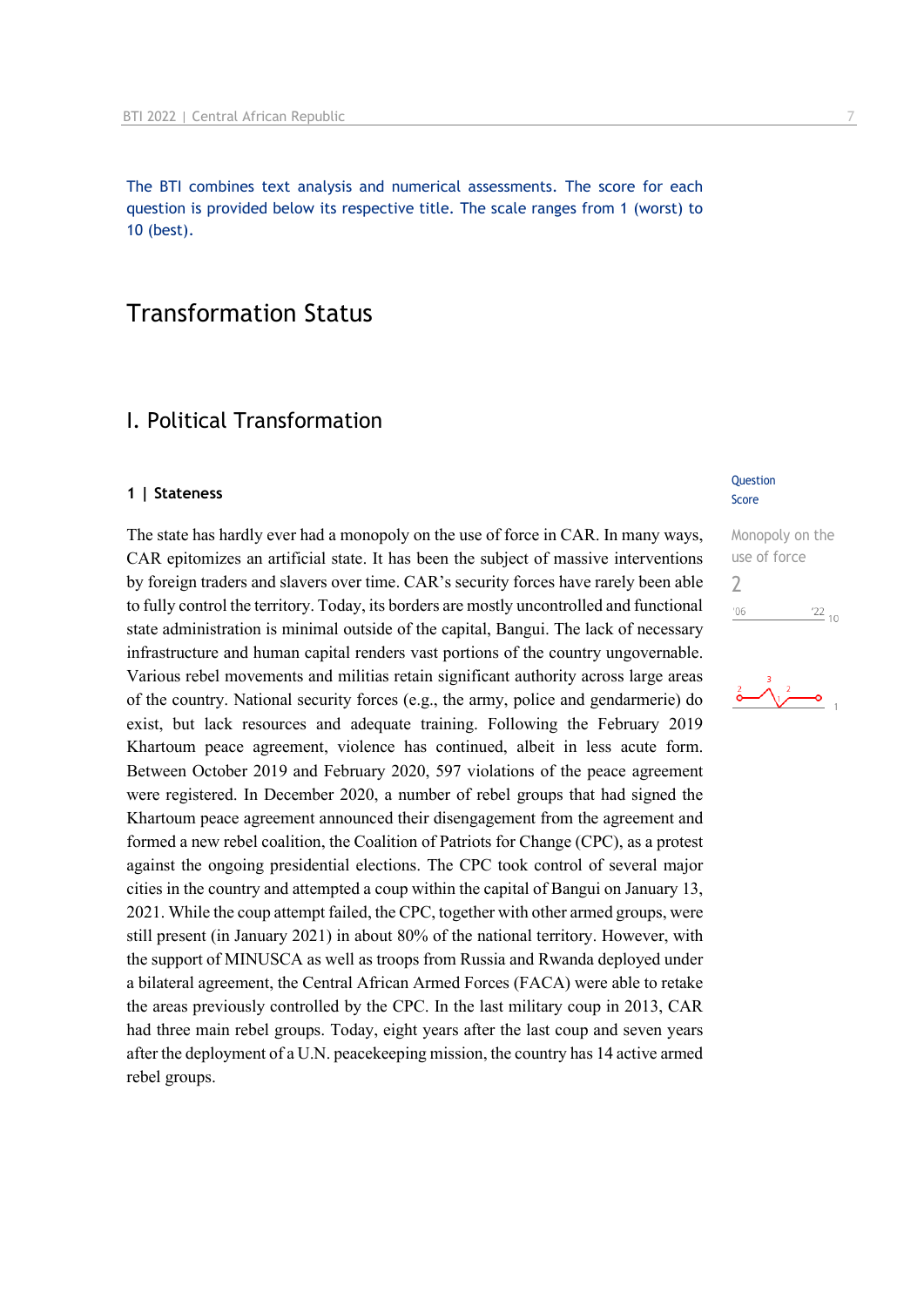The BTI combines text analysis and numerical assessments. The score for each question is provided below its respective title. The scale ranges from 1 (worst) to 10 (best).

## Transformation Status

## I. Political Transformation

#### **1 | Stateness**

The state has hardly ever had a monopoly on the use of force in CAR. In many ways, CAR epitomizes an artificial state. It has been the subject of massive interventions by foreign traders and slavers over time. CAR's security forces have rarely been able to fully control the territory. Today, its borders are mostly uncontrolled and functional state administration is minimal outside of the capital, Bangui. The lack of necessary infrastructure and human capital renders vast portions of the country ungovernable. Various rebel movements and militias retain significant authority across large areas of the country. National security forces (e.g., the army, police and gendarmerie) do exist, but lack resources and adequate training. Following the February 2019 Khartoum peace agreement, violence has continued, albeit in less acute form. Between October 2019 and February 2020, 597 violations of the peace agreement were registered. In December 2020, a number of rebel groups that had signed the Khartoum peace agreement announced their disengagement from the agreement and formed a new rebel coalition, the Coalition of Patriots for Change (CPC), as a protest against the ongoing presidential elections. The CPC took control of several major cities in the country and attempted a coup within the capital of Bangui on January 13, 2021. While the coup attempt failed, the CPC, together with other armed groups, were still present (in January 2021) in about 80% of the national territory. However, with the support of MINUSCA as well as troops from Russia and Rwanda deployed under a bilateral agreement, the Central African Armed Forces (FACA) were able to retake the areas previously controlled by the CPC. In the last military coup in 2013, CAR had three main rebel groups. Today, eight years after the last coup and seven years after the deployment of a U.N. peacekeeping mission, the country has 14 active armed rebel groups.

#### **Question** Score

Monopoly on the use of force  $\overline{\phantom{0}}$  $06'$  $\frac{22}{10}$ 

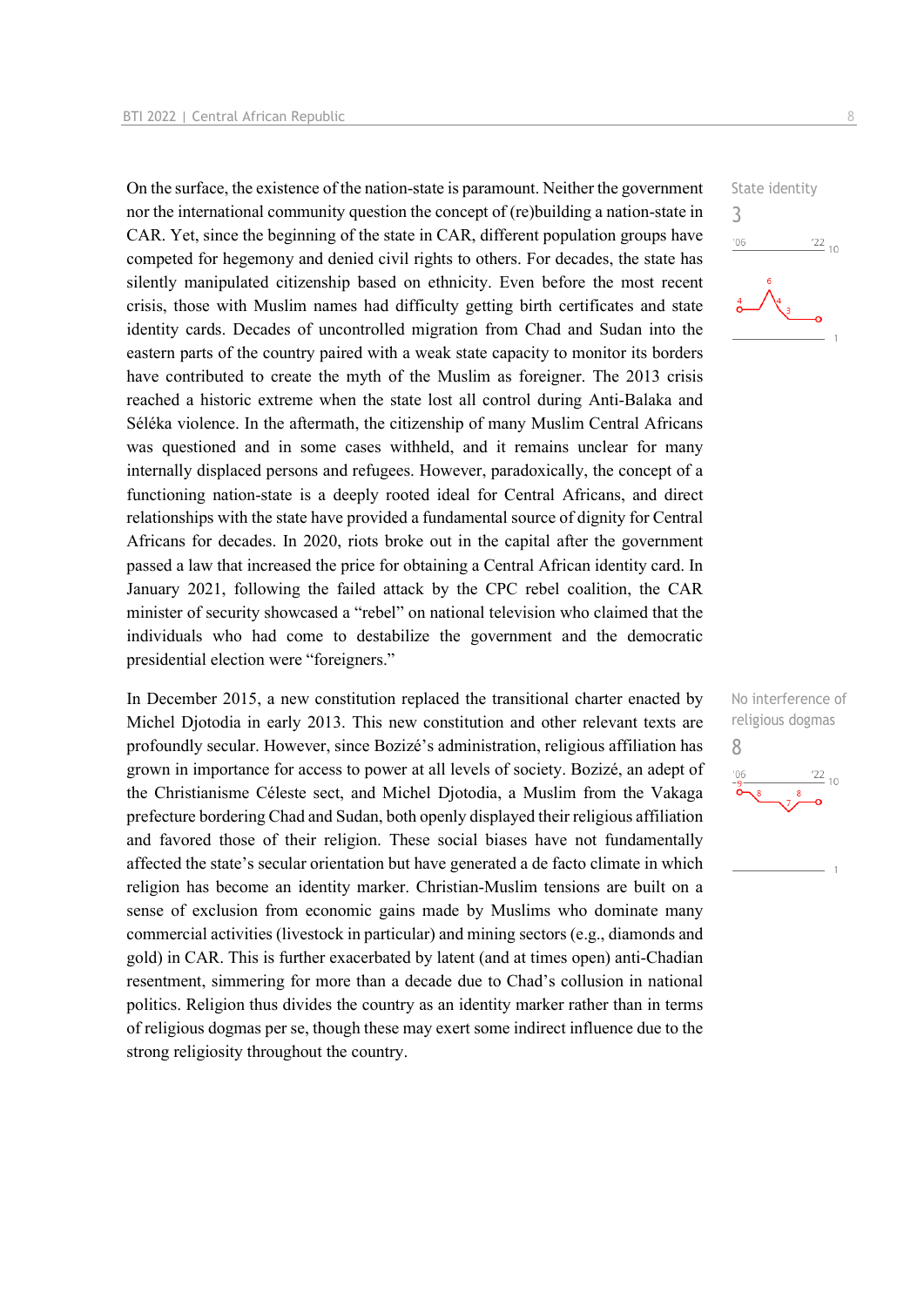On the surface, the existence of the nation-state is paramount. Neither the government nor the international community question the concept of (re)building a nation-state in CAR. Yet, since the beginning of the state in CAR, different population groups have competed for hegemony and denied civil rights to others. For decades, the state has silently manipulated citizenship based on ethnicity. Even before the most recent crisis, those with Muslim names had difficulty getting birth certificates and state identity cards. Decades of uncontrolled migration from Chad and Sudan into the eastern parts of the country paired with a weak state capacity to monitor its borders have contributed to create the myth of the Muslim as foreigner. The 2013 crisis reached a historic extreme when the state lost all control during Anti-Balaka and Séléka violence. In the aftermath, the citizenship of many Muslim Central Africans was questioned and in some cases withheld, and it remains unclear for many internally displaced persons and refugees. However, paradoxically, the concept of a functioning nation-state is a deeply rooted ideal for Central Africans, and direct relationships with the state have provided a fundamental source of dignity for Central Africans for decades. In 2020, riots broke out in the capital after the government passed a law that increased the price for obtaining a Central African identity card. In January 2021, following the failed attack by the CPC rebel coalition, the CAR minister of security showcased a "rebel" on national television who claimed that the individuals who had come to destabilize the government and the democratic presidential election were "foreigners."

In December 2015, a new constitution replaced the transitional charter enacted by Michel Djotodia in early 2013. This new constitution and other relevant texts are profoundly secular. However, since Bozizé's administration, religious affiliation has grown in importance for access to power at all levels of society. Bozizé, an adept of the Christianisme Céleste sect, and Michel Djotodia, a Muslim from the Vakaga prefecture bordering Chad and Sudan, both openly displayed their religious affiliation and favored those of their religion. These social biases have not fundamentally affected the state's secular orientation but have generated a de facto climate in which religion has become an identity marker. Christian-Muslim tensions are built on a sense of exclusion from economic gains made by Muslims who dominate many commercial activities (livestock in particular) and mining sectors (e.g., diamonds and gold) in CAR. This is further exacerbated by latent (and at times open) anti-Chadian resentment, simmering for more than a decade due to Chad's collusion in national politics. Religion thus divides the country as an identity marker rather than in terms of religious dogmas per se, though these may exert some indirect influence due to the strong religiosity throughout the country.



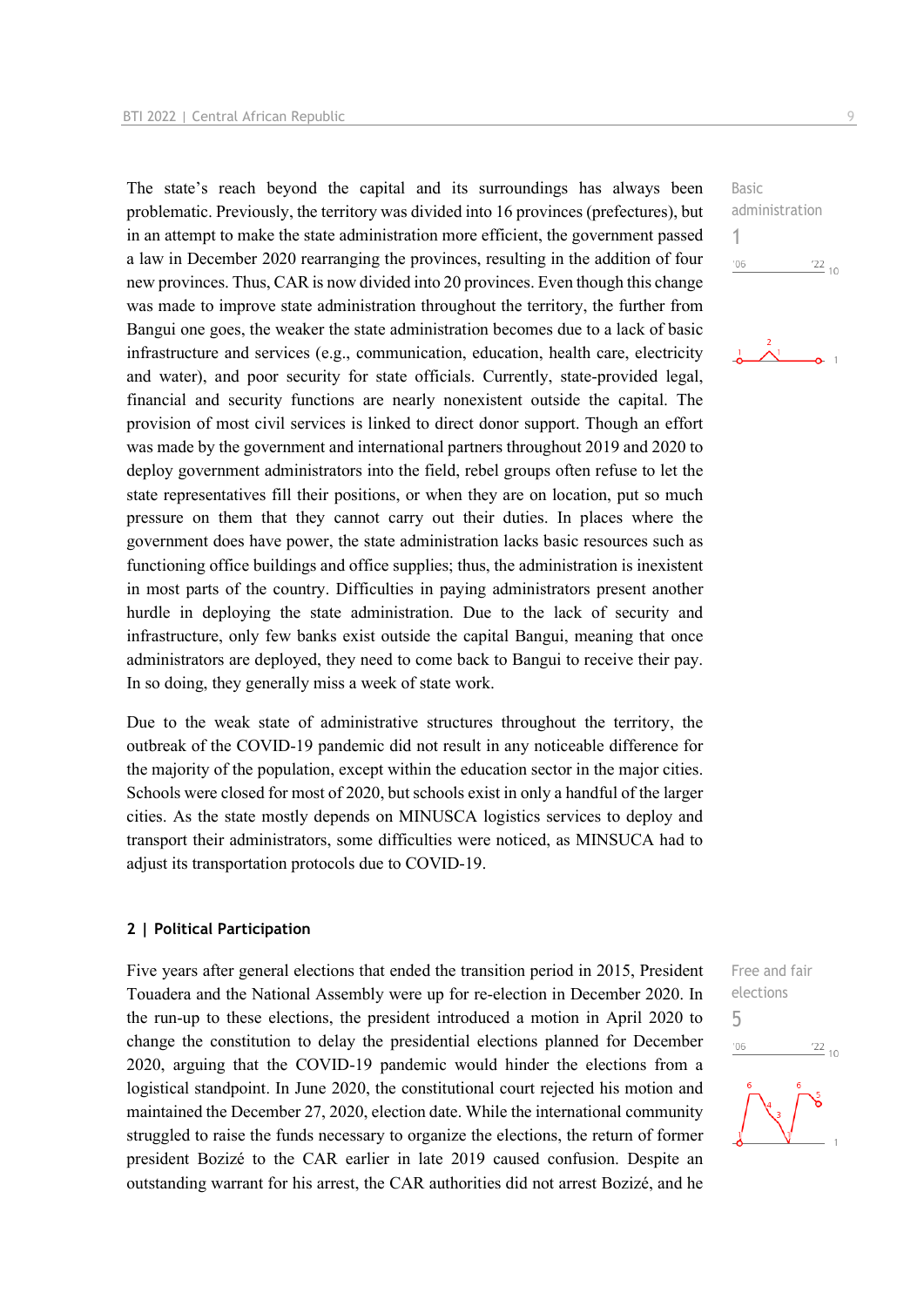The state's reach beyond the capital and its surroundings has always been problematic. Previously, the territory was divided into 16 provinces (prefectures), but in an attempt to make the state administration more efficient, the government passed a law in December 2020 rearranging the provinces, resulting in the addition of four new provinces. Thus, CAR is now divided into 20 provinces. Even though this change was made to improve state administration throughout the territory, the further from Bangui one goes, the weaker the state administration becomes due to a lack of basic infrastructure and services (e.g., communication, education, health care, electricity and water), and poor security for state officials. Currently, state-provided legal, financial and security functions are nearly nonexistent outside the capital. The provision of most civil services is linked to direct donor support. Though an effort was made by the government and international partners throughout 2019 and 2020 to deploy government administrators into the field, rebel groups often refuse to let the state representatives fill their positions, or when they are on location, put so much pressure on them that they cannot carry out their duties. In places where the government does have power, the state administration lacks basic resources such as functioning office buildings and office supplies; thus, the administration is inexistent in most parts of the country. Difficulties in paying administrators present another hurdle in deploying the state administration. Due to the lack of security and infrastructure, only few banks exist outside the capital Bangui, meaning that once administrators are deployed, they need to come back to Bangui to receive their pay. In so doing, they generally miss a week of state work.

Due to the weak state of administrative structures throughout the territory, the outbreak of the COVID-19 pandemic did not result in any noticeable difference for the majority of the population, except within the education sector in the major cities. Schools were closed for most of 2020, but schools exist in only a handful of the larger cities. As the state mostly depends on MINUSCA logistics services to deploy and transport their administrators, some difficulties were noticed, as MINSUCA had to adjust its transportation protocols due to COVID-19.

#### **2 | Political Participation**

Five years after general elections that ended the transition period in 2015, President Touadera and the National Assembly were up for re-election in December 2020. In the run-up to these elections, the president introduced a motion in April 2020 to change the constitution to delay the presidential elections planned for December 2020, arguing that the COVID-19 pandemic would hinder the elections from a logistical standpoint. In June 2020, the constitutional court rejected his motion and maintained the December 27, 2020, election date. While the international community struggled to raise the funds necessary to organize the elections, the return of former president Bozizé to the CAR earlier in late 2019 caused confusion. Despite an outstanding warrant for his arrest, the CAR authorities did not arrest Bozizé, and he

Basic administration 1  $-06$  $\frac{22}{10}$ 



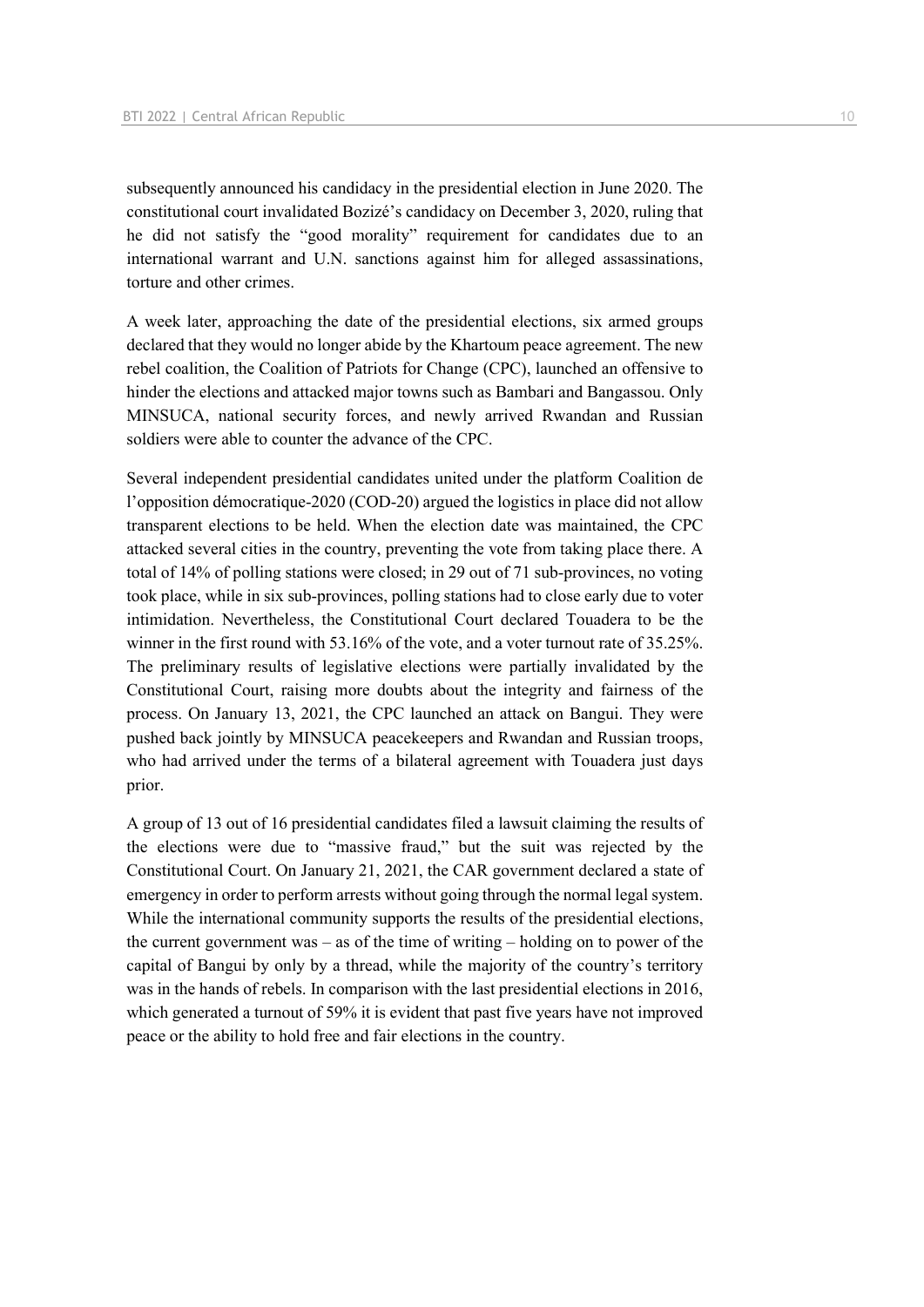subsequently announced his candidacy in the presidential election in June 2020. The constitutional court invalidated Bozizé's candidacy on December 3, 2020, ruling that he did not satisfy the "good morality" requirement for candidates due to an international warrant and U.N. sanctions against him for alleged assassinations, torture and other crimes.

A week later, approaching the date of the presidential elections, six armed groups declared that they would no longer abide by the Khartoum peace agreement. The new rebel coalition, the Coalition of Patriots for Change (CPC), launched an offensive to hinder the elections and attacked major towns such as Bambari and Bangassou. Only MINSUCA, national security forces, and newly arrived Rwandan and Russian soldiers were able to counter the advance of the CPC.

Several independent presidential candidates united under the platform Coalition de l'opposition démocratique-2020 (COD-20) argued the logistics in place did not allow transparent elections to be held. When the election date was maintained, the CPC attacked several cities in the country, preventing the vote from taking place there. A total of 14% of polling stations were closed; in 29 out of 71 sub-provinces, no voting took place, while in six sub-provinces, polling stations had to close early due to voter intimidation. Nevertheless, the Constitutional Court declared Touadera to be the winner in the first round with 53.16% of the vote, and a voter turnout rate of 35.25%. The preliminary results of legislative elections were partially invalidated by the Constitutional Court, raising more doubts about the integrity and fairness of the process. On January 13, 2021, the CPC launched an attack on Bangui. They were pushed back jointly by MINSUCA peacekeepers and Rwandan and Russian troops, who had arrived under the terms of a bilateral agreement with Touadera just days prior.

A group of 13 out of 16 presidential candidates filed a lawsuit claiming the results of the elections were due to "massive fraud," but the suit was rejected by the Constitutional Court. On January 21, 2021, the CAR government declared a state of emergency in order to perform arrests without going through the normal legal system. While the international community supports the results of the presidential elections, the current government was – as of the time of writing – holding on to power of the capital of Bangui by only by a thread, while the majority of the country's territory was in the hands of rebels. In comparison with the last presidential elections in 2016, which generated a turnout of 59% it is evident that past five years have not improved peace or the ability to hold free and fair elections in the country.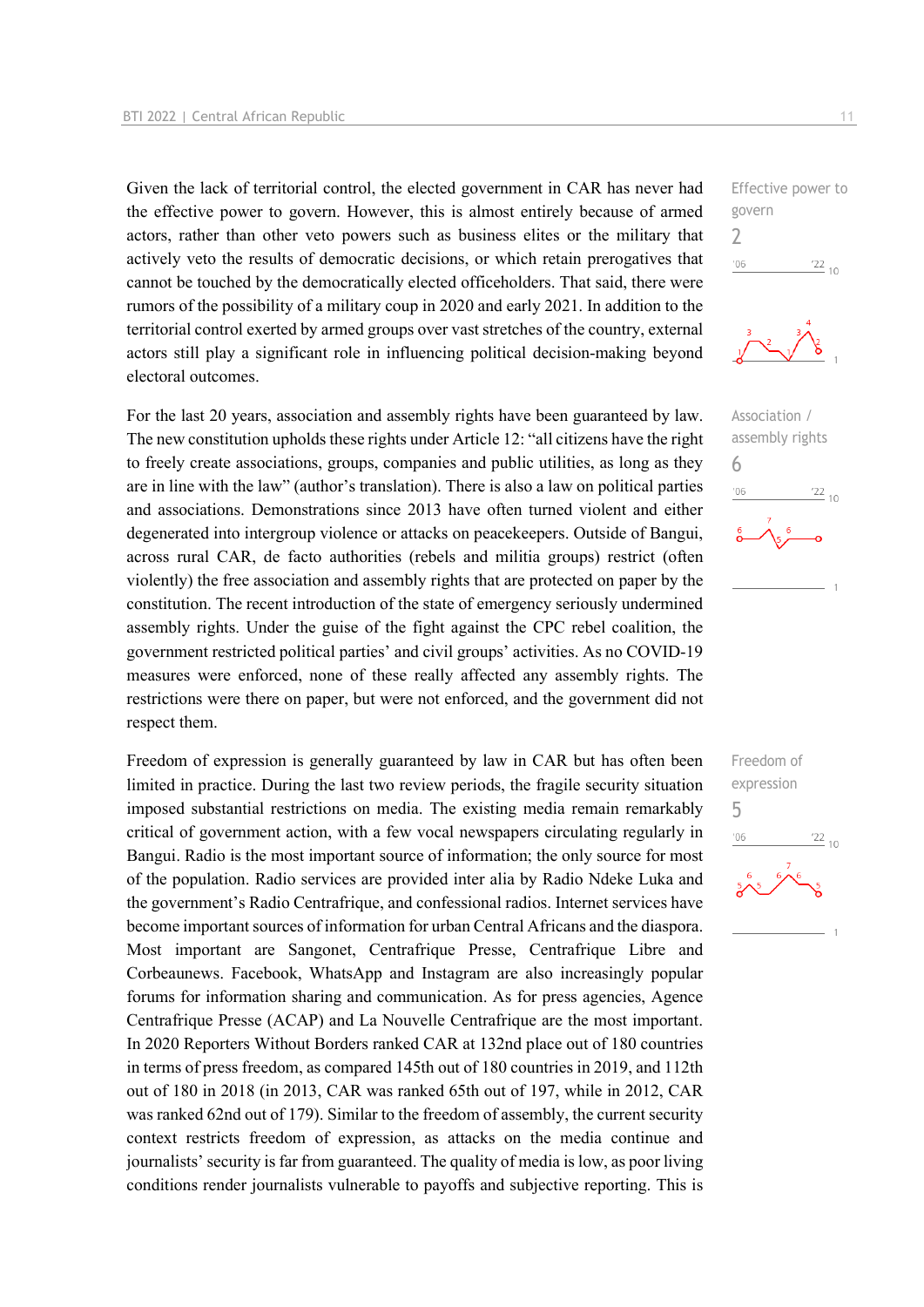Given the lack of territorial control, the elected government in CAR has never had the effective power to govern. However, this is almost entirely because of armed actors, rather than other veto powers such as business elites or the military that actively veto the results of democratic decisions, or which retain prerogatives that cannot be touched by the democratically elected officeholders. That said, there were rumors of the possibility of a military coup in 2020 and early 2021. In addition to the territorial control exerted by armed groups over vast stretches of the country, external actors still play a significant role in influencing political decision-making beyond electoral outcomes.

For the last 20 years, association and assembly rights have been guaranteed by law. The new constitution upholds these rights under Article 12: "all citizens have the right to freely create associations, groups, companies and public utilities, as long as they are in line with the law" (author's translation). There is also a law on political parties and associations. Demonstrations since 2013 have often turned violent and either degenerated into intergroup violence or attacks on peacekeepers. Outside of Bangui, across rural CAR, de facto authorities (rebels and militia groups) restrict (often violently) the free association and assembly rights that are protected on paper by the constitution. The recent introduction of the state of emergency seriously undermined assembly rights. Under the guise of the fight against the CPC rebel coalition, the government restricted political parties' and civil groups' activities. As no COVID-19 measures were enforced, none of these really affected any assembly rights. The restrictions were there on paper, but were not enforced, and the government did not respect them.

Freedom of expression is generally guaranteed by law in CAR but has often been limited in practice. During the last two review periods, the fragile security situation imposed substantial restrictions on media. The existing media remain remarkably critical of government action, with a few vocal newspapers circulating regularly in Bangui. Radio is the most important source of information; the only source for most of the population. Radio services are provided inter alia by Radio Ndeke Luka and the government's Radio Centrafrique, and confessional radios. Internet services have become important sources of information for urban Central Africans and the diaspora. Most important are Sangonet, Centrafrique Presse, Centrafrique Libre and Corbeaunews. Facebook, WhatsApp and Instagram are also increasingly popular forums for information sharing and communication. As for press agencies, Agence Centrafrique Presse (ACAP) and La Nouvelle Centrafrique are the most important. In 2020 Reporters Without Borders ranked CAR at 132nd place out of 180 countries in terms of press freedom, as compared 145th out of 180 countries in 2019, and 112th out of 180 in 2018 (in 2013, CAR was ranked 65th out of 197, while in 2012, CAR was ranked 62nd out of 179). Similar to the freedom of assembly, the current security context restricts freedom of expression, as attacks on the media continue and journalists' security is far from guaranteed. The quality of media is low, as poor living conditions render journalists vulnerable to payoffs and subjective reporting. This is

Effective power to govern 2  $-06$  $\frac{22}{10}$ 





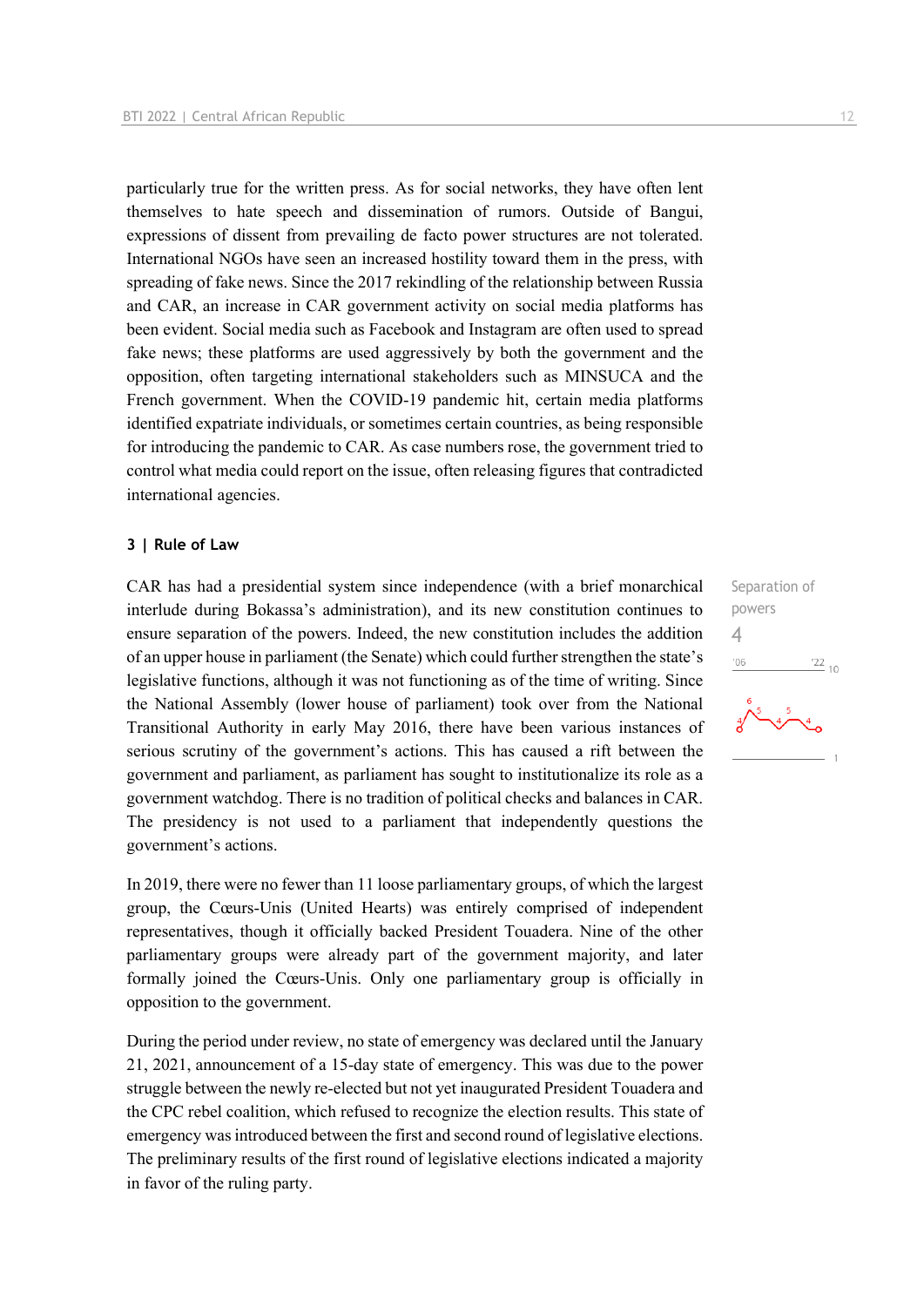particularly true for the written press. As for social networks, they have often lent themselves to hate speech and dissemination of rumors. Outside of Bangui, expressions of dissent from prevailing de facto power structures are not tolerated. International NGOs have seen an increased hostility toward them in the press, with spreading of fake news. Since the 2017 rekindling of the relationship between Russia and CAR, an increase in CAR government activity on social media platforms has been evident. Social media such as Facebook and Instagram are often used to spread fake news; these platforms are used aggressively by both the government and the opposition, often targeting international stakeholders such as MINSUCA and the French government. When the COVID-19 pandemic hit, certain media platforms identified expatriate individuals, or sometimes certain countries, as being responsible for introducing the pandemic to CAR. As case numbers rose, the government tried to control what media could report on the issue, often releasing figures that contradicted international agencies.

#### **3 | Rule of Law**

CAR has had a presidential system since independence (with a brief monarchical interlude during Bokassa's administration), and its new constitution continues to ensure separation of the powers. Indeed, the new constitution includes the addition of an upper house in parliament (the Senate) which could further strengthen the state's legislative functions, although it was not functioning as of the time of writing. Since the National Assembly (lower house of parliament) took over from the National Transitional Authority in early May 2016, there have been various instances of serious scrutiny of the government's actions. This has caused a rift between the government and parliament, as parliament has sought to institutionalize its role as a government watchdog. There is no tradition of political checks and balances in CAR. The presidency is not used to a parliament that independently questions the government's actions.

In 2019, there were no fewer than 11 loose parliamentary groups, of which the largest group, the Cœurs-Unis (United Hearts) was entirely comprised of independent representatives, though it officially backed President Touadera. Nine of the other parliamentary groups were already part of the government majority, and later formally joined the Cœurs-Unis. Only one parliamentary group is officially in opposition to the government.

During the period under review, no state of emergency was declared until the January 21, 2021, announcement of a 15-day state of emergency. This was due to the power struggle between the newly re-elected but not yet inaugurated President Touadera and the CPC rebel coalition, which refused to recognize the election results. This state of emergency was introduced between the first and second round of legislative elections. The preliminary results of the first round of legislative elections indicated a majority in favor of the ruling party.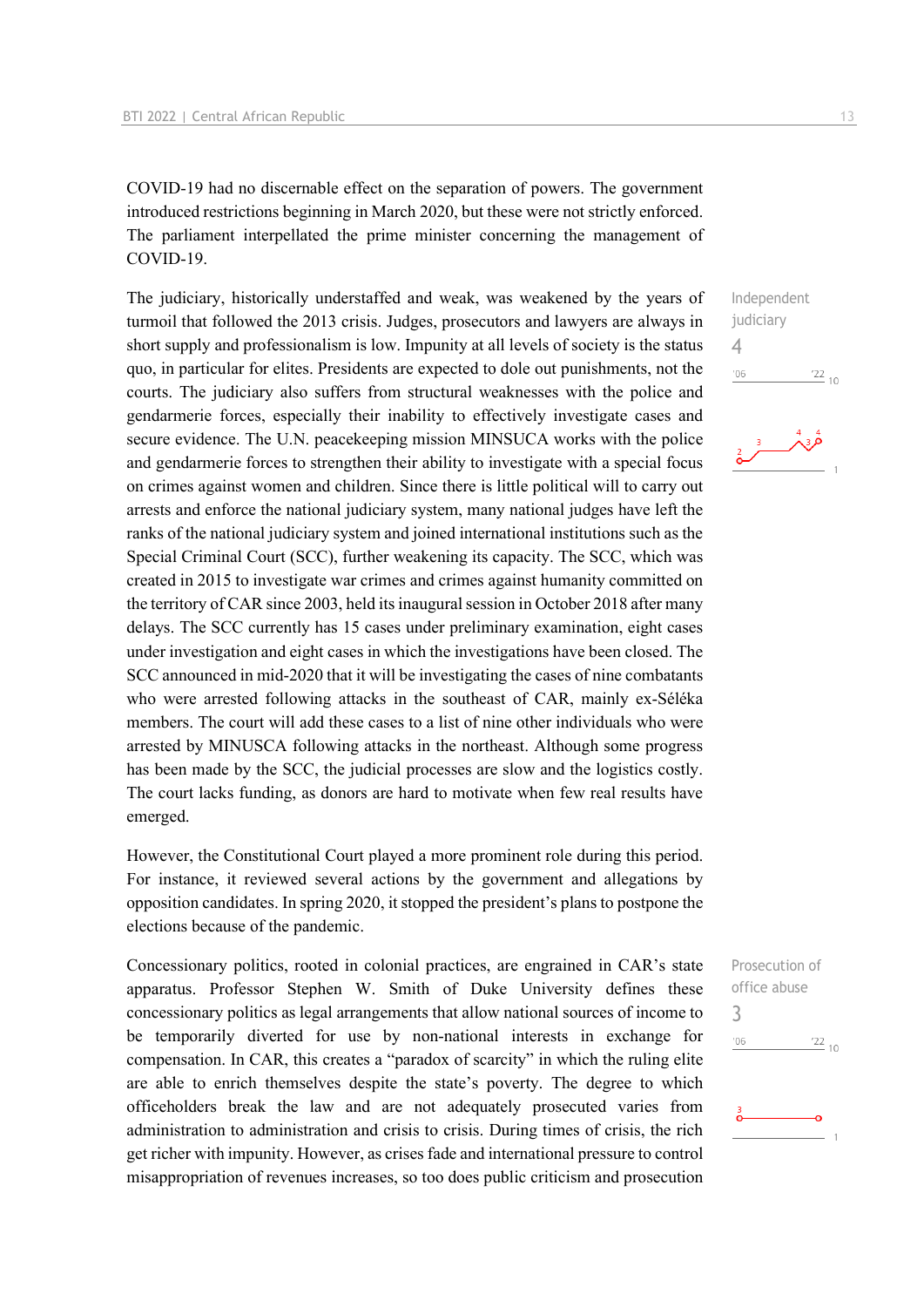COVID-19 had no discernable effect on the separation of powers. The government introduced restrictions beginning in March 2020, but these were not strictly enforced. The parliament interpellated the prime minister concerning the management of COVID-19.

The judiciary, historically understaffed and weak, was weakened by the years of turmoil that followed the 2013 crisis. Judges, prosecutors and lawyers are always in short supply and professionalism is low. Impunity at all levels of society is the status quo, in particular for elites. Presidents are expected to dole out punishments, not the courts. The judiciary also suffers from structural weaknesses with the police and gendarmerie forces, especially their inability to effectively investigate cases and secure evidence. The U.N. peacekeeping mission MINSUCA works with the police and gendarmerie forces to strengthen their ability to investigate with a special focus on crimes against women and children. Since there is little political will to carry out arrests and enforce the national judiciary system, many national judges have left the ranks of the national judiciary system and joined international institutions such as the Special Criminal Court (SCC), further weakening its capacity. The SCC, which was created in 2015 to investigate war crimes and crimes against humanity committed on the territory of CAR since 2003, held its inaugural session in October 2018 after many delays. The SCC currently has 15 cases under preliminary examination, eight cases under investigation and eight cases in which the investigations have been closed. The SCC announced in mid-2020 that it will be investigating the cases of nine combatants who were arrested following attacks in the southeast of CAR, mainly ex-Séléka members. The court will add these cases to a list of nine other individuals who were arrested by MINUSCA following attacks in the northeast. Although some progress has been made by the SCC, the judicial processes are slow and the logistics costly. The court lacks funding, as donors are hard to motivate when few real results have emerged.

However, the Constitutional Court played a more prominent role during this period. For instance, it reviewed several actions by the government and allegations by opposition candidates. In spring 2020, it stopped the president's plans to postpone the elections because of the pandemic.

Concessionary politics, rooted in colonial practices, are engrained in CAR's state apparatus. Professor Stephen W. Smith of Duke University defines these concessionary politics as legal arrangements that allow national sources of income to be temporarily diverted for use by non-national interests in exchange for compensation. In CAR, this creates a "paradox of scarcity" in which the ruling elite are able to enrich themselves despite the state's poverty. The degree to which officeholders break the law and are not adequately prosecuted varies from administration to administration and crisis to crisis. During times of crisis, the rich get richer with impunity. However, as crises fade and international pressure to control misappropriation of revenues increases, so too does public criticism and prosecution

Independent iudiciary 4  $^{\prime}06$  $\frac{22}{10}$ 



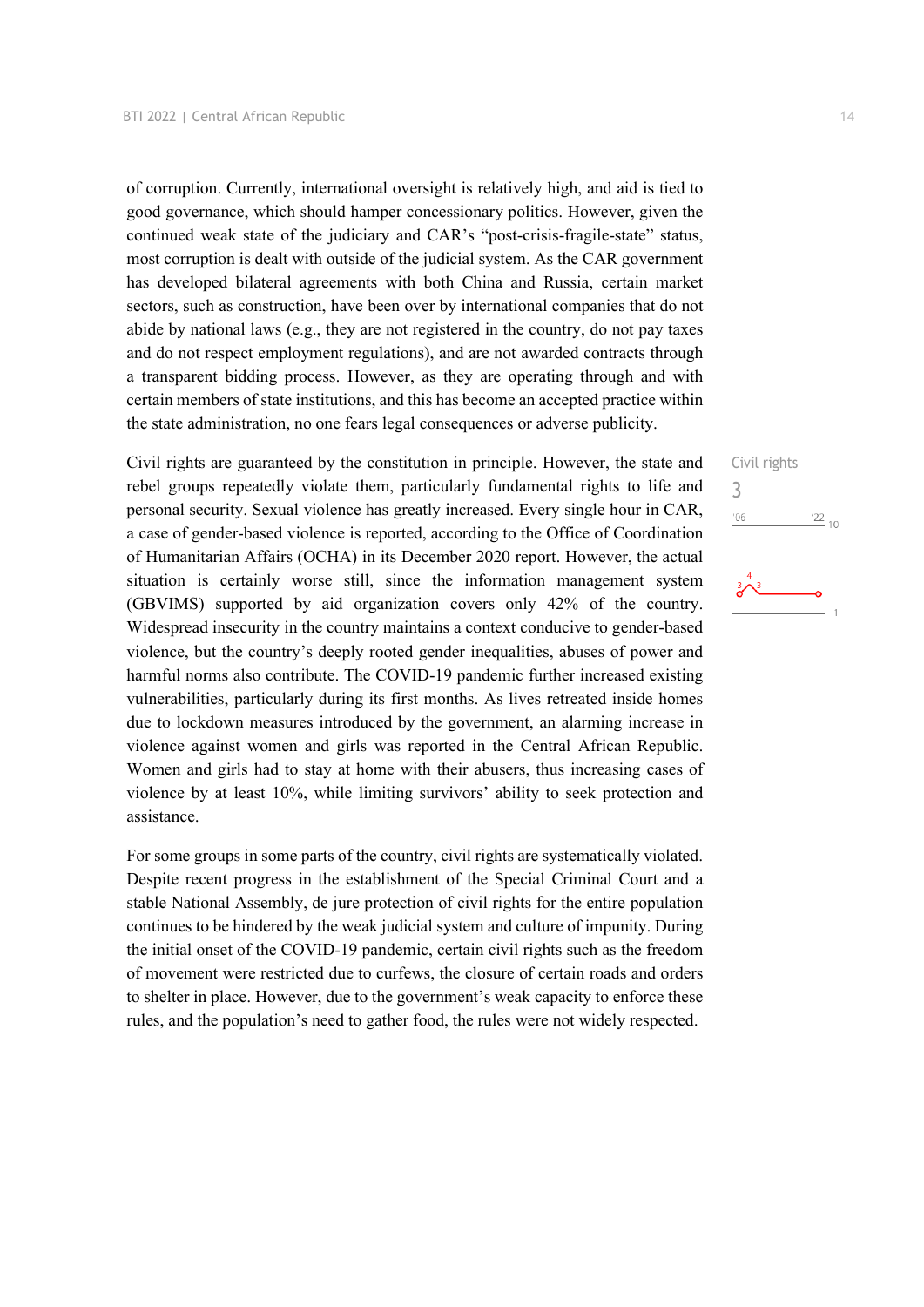of corruption. Currently, international oversight is relatively high, and aid is tied to good governance, which should hamper concessionary politics. However, given the continued weak state of the judiciary and CAR's "post-crisis-fragile-state" status, most corruption is dealt with outside of the judicial system. As the CAR government has developed bilateral agreements with both China and Russia, certain market sectors, such as construction, have been over by international companies that do not abide by national laws (e.g., they are not registered in the country, do not pay taxes and do not respect employment regulations), and are not awarded contracts through a transparent bidding process. However, as they are operating through and with certain members of state institutions, and this has become an accepted practice within the state administration, no one fears legal consequences or adverse publicity.

Civil rights are guaranteed by the constitution in principle. However, the state and rebel groups repeatedly violate them, particularly fundamental rights to life and personal security. Sexual violence has greatly increased. Every single hour in CAR, a case of gender-based violence is reported, according to the Office of Coordination of Humanitarian Affairs (OCHA) in its December 2020 report. However, the actual situation is certainly worse still, since the information management system (GBVIMS) supported by aid organization covers only 42% of the country. Widespread insecurity in the country maintains a context conducive to gender-based violence, but the country's deeply rooted gender inequalities, abuses of power and harmful norms also contribute. The COVID-19 pandemic further increased existing vulnerabilities, particularly during its first months. As lives retreated inside homes due to lockdown measures introduced by the government, an alarming increase in violence against women and girls was reported in the Central African Republic. Women and girls had to stay at home with their abusers, thus increasing cases of violence by at least 10%, while limiting survivors' ability to seek protection and assistance.

For some groups in some parts of the country, civil rights are systematically violated. Despite recent progress in the establishment of the Special Criminal Court and a stable National Assembly, de jure protection of civil rights for the entire population continues to be hindered by the weak judicial system and culture of impunity. During the initial onset of the COVID-19 pandemic, certain civil rights such as the freedom of movement were restricted due to curfews, the closure of certain roads and orders to shelter in place. However, due to the government's weak capacity to enforce these rules, and the population's need to gather food, the rules were not widely respected.

Civil rights 3'06  $\frac{22}{10}$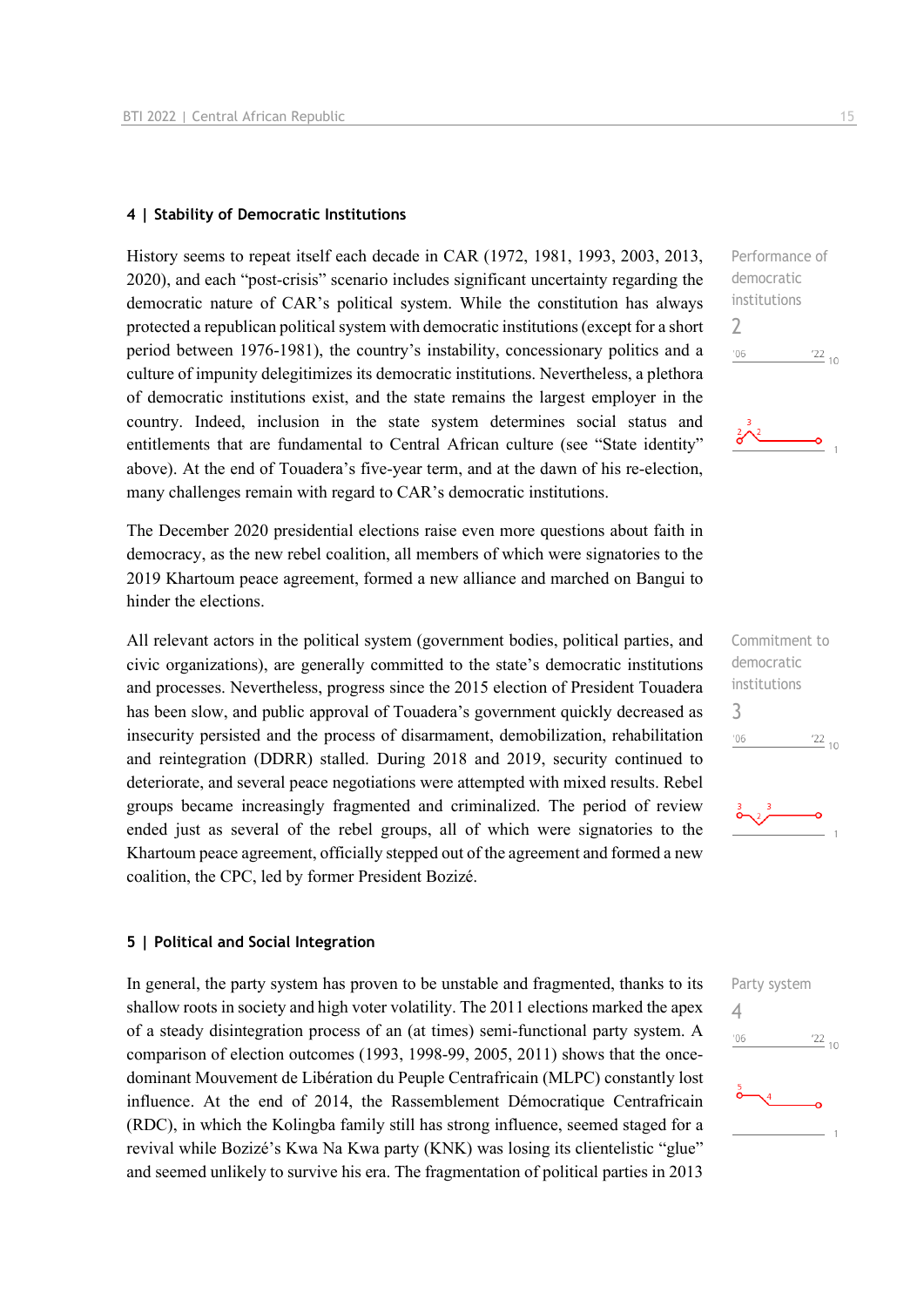#### **4 | Stability of Democratic Institutions**

History seems to repeat itself each decade in CAR (1972, 1981, 1993, 2003, 2013, 2020), and each "post-crisis" scenario includes significant uncertainty regarding the democratic nature of CAR's political system. While the constitution has always protected a republican political system with democratic institutions (except for a short period between 1976-1981), the country's instability, concessionary politics and a culture of impunity delegitimizes its democratic institutions. Nevertheless, a plethora of democratic institutions exist, and the state remains the largest employer in the country. Indeed, inclusion in the state system determines social status and entitlements that are fundamental to Central African culture (see "State identity" above). At the end of Touadera's five-year term, and at the dawn of his re-election, many challenges remain with regard to CAR's democratic institutions.

The December 2020 presidential elections raise even more questions about faith in democracy, as the new rebel coalition, all members of which were signatories to the 2019 Khartoum peace agreement, formed a new alliance and marched on Bangui to hinder the elections.

All relevant actors in the political system (government bodies, political parties, and civic organizations), are generally committed to the state's democratic institutions and processes. Nevertheless, progress since the 2015 election of President Touadera has been slow, and public approval of Touadera's government quickly decreased as insecurity persisted and the process of disarmament, demobilization, rehabilitation and reintegration (DDRR) stalled. During 2018 and 2019, security continued to deteriorate, and several peace negotiations were attempted with mixed results. Rebel groups became increasingly fragmented and criminalized. The period of review ended just as several of the rebel groups, all of which were signatories to the Khartoum peace agreement, officially stepped out of the agreement and formed a new coalition, the CPC, led by former President Bozizé.

#### **5 | Political and Social Integration**

In general, the party system has proven to be unstable and fragmented, thanks to its shallow roots in society and high voter volatility. The 2011 elections marked the apex of a steady disintegration process of an (at times) semi-functional party system. A comparison of election outcomes (1993, 1998-99, 2005, 2011) shows that the oncedominant Mouvement de Libération du Peuple Centrafricain (MLPC) constantly lost influence. At the end of 2014, the Rassemblement Démocratique Centrafricain (RDC), in which the Kolingba family still has strong influence, seemed staged for a revival while Bozizé's Kwa Na Kwa party (KNK) was losing its clientelistic "glue" and seemed unlikely to survive his era. The fragmentation of political parties in 2013





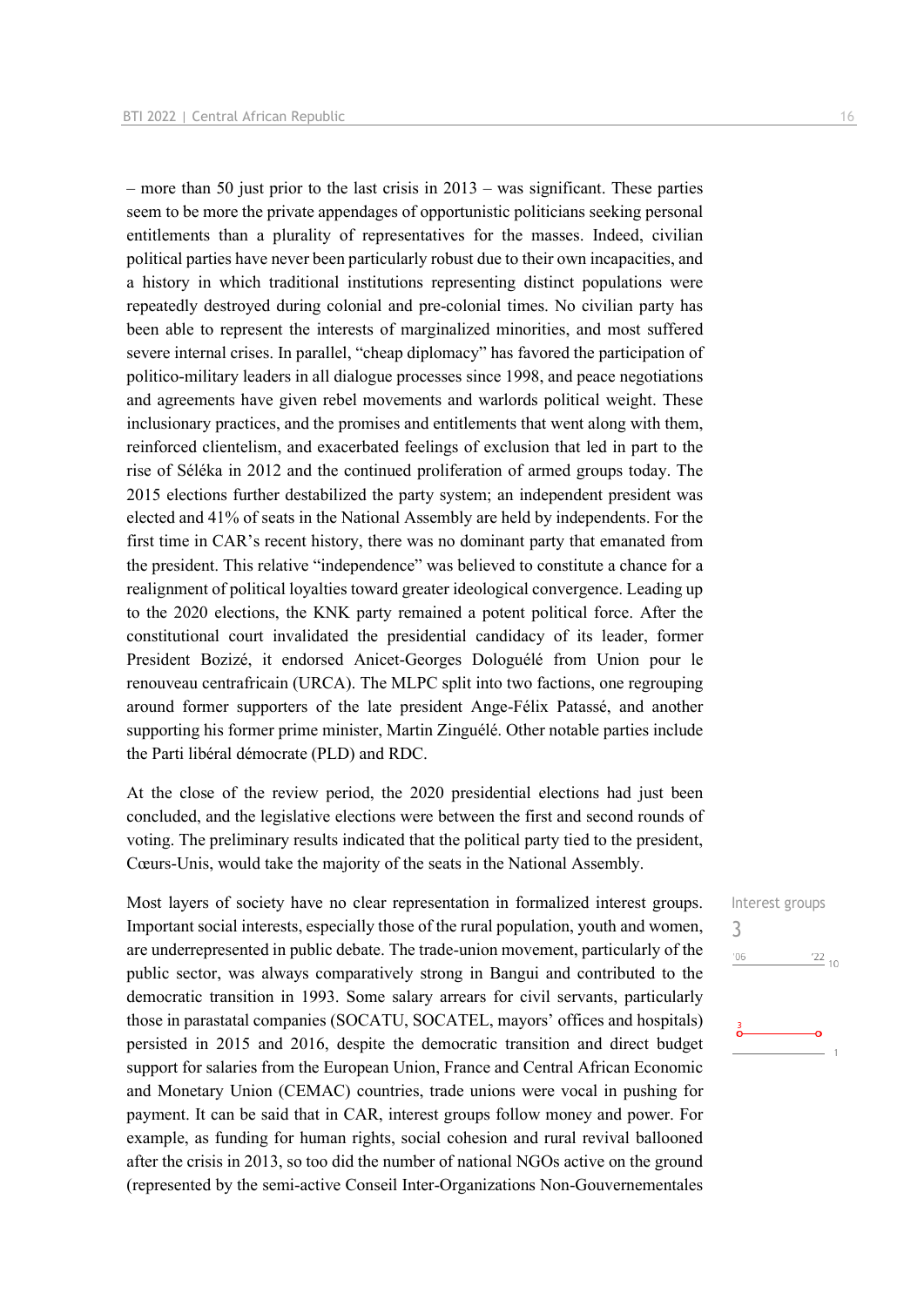Interest groups

 $\frac{22}{10}$ 

3

 $06'$ 

– more than 50 just prior to the last crisis in  $2013$  – was significant. These parties seem to be more the private appendages of opportunistic politicians seeking personal entitlements than a plurality of representatives for the masses. Indeed, civilian political parties have never been particularly robust due to their own incapacities, and a history in which traditional institutions representing distinct populations were repeatedly destroyed during colonial and pre-colonial times. No civilian party has been able to represent the interests of marginalized minorities, and most suffered severe internal crises. In parallel, "cheap diplomacy" has favored the participation of politico-military leaders in all dialogue processes since 1998, and peace negotiations and agreements have given rebel movements and warlords political weight. These inclusionary practices, and the promises and entitlements that went along with them, reinforced clientelism, and exacerbated feelings of exclusion that led in part to the rise of Séléka in 2012 and the continued proliferation of armed groups today. The 2015 elections further destabilized the party system; an independent president was elected and 41% of seats in the National Assembly are held by independents. For the first time in CAR's recent history, there was no dominant party that emanated from the president. This relative "independence" was believed to constitute a chance for a realignment of political loyalties toward greater ideological convergence. Leading up to the 2020 elections, the KNK party remained a potent political force. After the constitutional court invalidated the presidential candidacy of its leader, former President Bozizé, it endorsed Anicet-Georges Dologuélé from Union pour le renouveau centrafricain (URCA). The MLPC split into two factions, one regrouping around former supporters of the late president Ange-Félix Patassé, and another supporting his former prime minister, Martin Zinguélé. Other notable parties include the Parti libéral démocrate (PLD) and RDC.

At the close of the review period, the 2020 presidential elections had just been concluded, and the legislative elections were between the first and second rounds of voting. The preliminary results indicated that the political party tied to the president, Cœurs-Unis, would take the majority of the seats in the National Assembly.

Most layers of society have no clear representation in formalized interest groups. Important social interests, especially those of the rural population, youth and women, are underrepresented in public debate. The trade-union movement, particularly of the public sector, was always comparatively strong in Bangui and contributed to the democratic transition in 1993. Some salary arrears for civil servants, particularly those in parastatal companies (SOCATU, SOCATEL, mayors' offices and hospitals) persisted in 2015 and 2016, despite the democratic transition and direct budget support for salaries from the European Union, France and Central African Economic and Monetary Union (CEMAC) countries, trade unions were vocal in pushing for payment. It can be said that in CAR, interest groups follow money and power. For example, as funding for human rights, social cohesion and rural revival ballooned after the crisis in 2013, so too did the number of national NGOs active on the ground (represented by the semi-active Conseil Inter-Organizations Non-Gouvernementales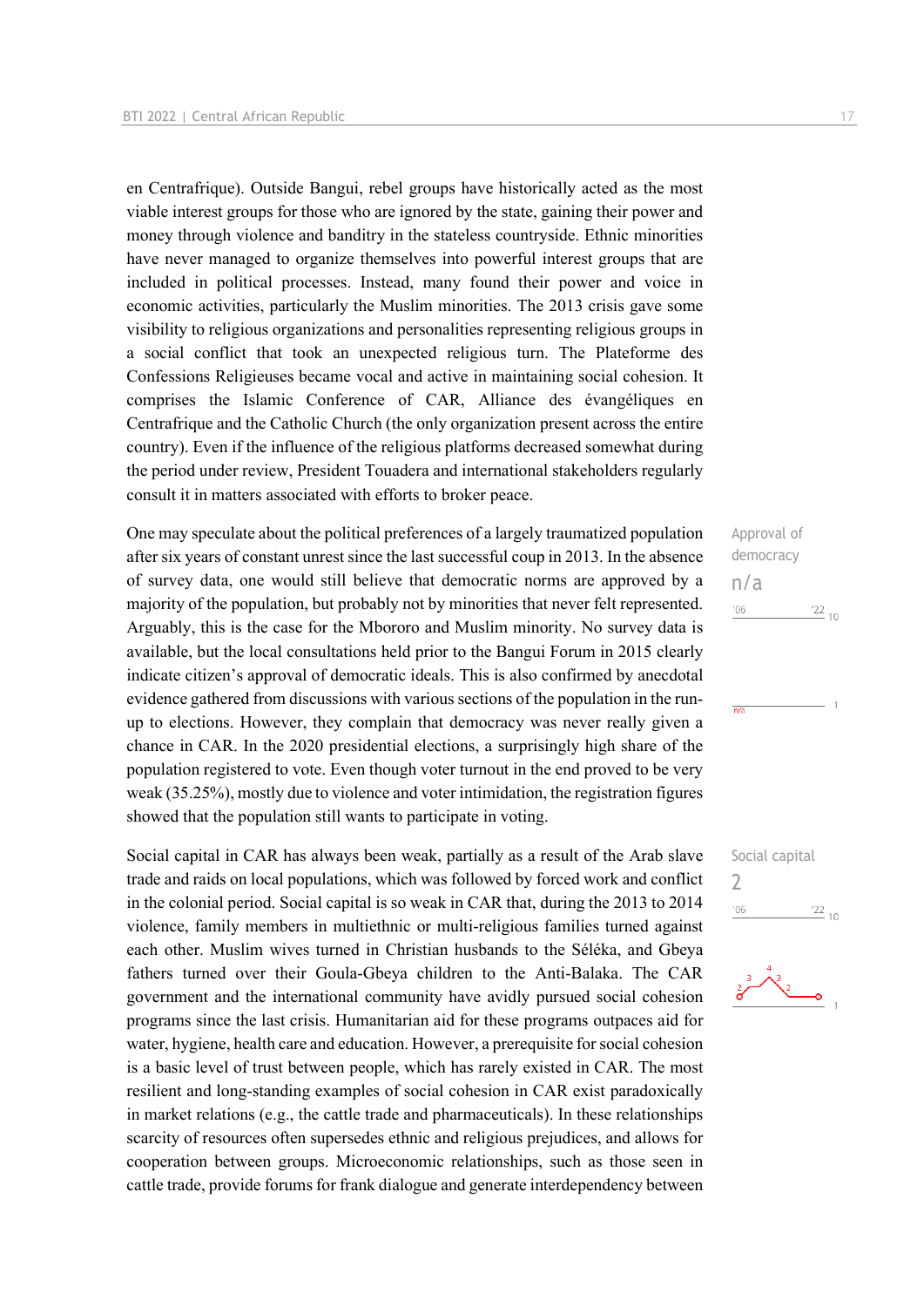en Centrafrique). Outside Bangui, rebel groups have historically acted as the most viable interest groups for those who are ignored by the state, gaining their power and money through violence and banditry in the stateless countryside. Ethnic minorities have never managed to organize themselves into powerful interest groups that are included in political processes. Instead, many found their power and voice in economic activities, particularly the Muslim minorities. The 2013 crisis gave some visibility to religious organizations and personalities representing religious groups in a social conflict that took an unexpected religious turn. The Plateforme des Confessions Religieuses became vocal and active in maintaining social cohesion. It comprises the Islamic Conference of CAR, Alliance des évangéliques en Centrafrique and the Catholic Church (the only organization present across the entire country). Even if the influence of the religious platforms decreased somewhat during the period under review, President Touadera and international stakeholders regularly consult it in matters associated with efforts to broker peace.

One may speculate about the political preferences of a largely traumatized population after six years of constant unrest since the last successful coup in 2013. In the absence of survey data, one would still believe that democratic norms are approved by a majority of the population, but probably not by minorities that never felt represented. Arguably, this is the case for the Mbororo and Muslim minority. No survey data is available, but the local consultations held prior to the Bangui Forum in 2015 clearly indicate citizen's approval of democratic ideals. This is also confirmed by anecdotal evidence gathered from discussions with various sections of the population in the runup to elections. However, they complain that democracy was never really given a chance in CAR. In the 2020 presidential elections, a surprisingly high share of the population registered to vote. Even though voter turnout in the end proved to be very weak (35.25%), mostly due to violence and voter intimidation, the registration figures showed that the population still wants to participate in voting.

Social capital in CAR has always been weak, partially as a result of the Arab slave trade and raids on local populations, which was followed by forced work and conflict in the colonial period. Social capital is so weak in CAR that, during the 2013 to 2014 violence, family members in multiethnic or multi-religious families turned against each other. Muslim wives turned in Christian husbands to the Séléka, and Gbeya fathers turned over their Goula-Gbeya children to the Anti-Balaka. The CAR government and the international community have avidly pursued social cohesion programs since the last crisis. Humanitarian aid for these programs outpaces aid for water, hygiene, health care and education. However, a prerequisite for social cohesion is a basic level of trust between people, which has rarely existed in CAR. The most resilient and long-standing examples of social cohesion in CAR exist paradoxically in market relations (e.g., the cattle trade and pharmaceuticals). In these relationships scarcity of resources often supersedes ethnic and religious prejudices, and allows for cooperation between groups. Microeconomic relationships, such as those seen in cattle trade, provide forums for frank dialogue and generate interdependency between

Approval of democracy n/a  $\frac{22}{10}$  $n<sub>6</sub>$  $\overline{n}/\overline{n}$ 



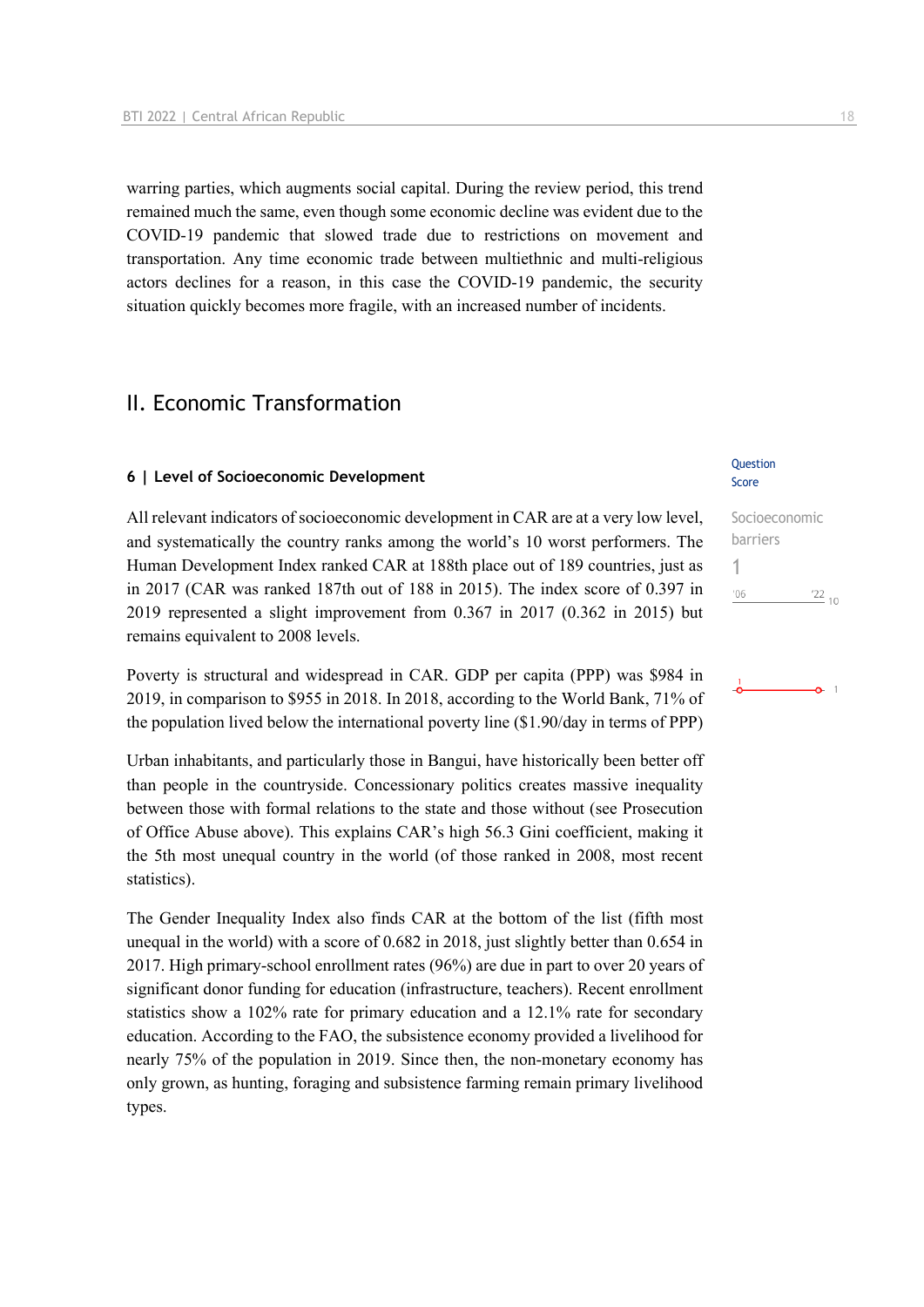warring parties, which augments social capital. During the review period, this trend remained much the same, even though some economic decline was evident due to the COVID-19 pandemic that slowed trade due to restrictions on movement and transportation. Any time economic trade between multiethnic and multi-religious actors declines for a reason, in this case the COVID-19 pandemic, the security situation quickly becomes more fragile, with an increased number of incidents.

## II. Economic Transformation

#### **6 | Level of Socioeconomic Development**

All relevant indicators of socioeconomic development in CAR are at a very low level, and systematically the country ranks among the world's 10 worst performers. The Human Development Index ranked CAR at 188th place out of 189 countries, just as in 2017 (CAR was ranked 187th out of 188 in 2015). The index score of 0.397 in 2019 represented a slight improvement from 0.367 in 2017 (0.362 in 2015) but remains equivalent to 2008 levels.

Poverty is structural and widespread in CAR. GDP per capita (PPP) was \$984 in 2019, in comparison to \$955 in 2018. In 2018, according to the World Bank, 71% of the population lived below the international poverty line (\$1.90/day in terms of PPP)

Urban inhabitants, and particularly those in Bangui, have historically been better off than people in the countryside. Concessionary politics creates massive inequality between those with formal relations to the state and those without (see Prosecution of Office Abuse above). This explains CAR's high 56.3 Gini coefficient, making it the 5th most unequal country in the world (of those ranked in 2008, most recent statistics).

The Gender Inequality Index also finds CAR at the bottom of the list (fifth most unequal in the world) with a score of 0.682 in 2018, just slightly better than 0.654 in 2017. High primary-school enrollment rates (96%) are due in part to over 20 years of significant donor funding for education (infrastructure, teachers). Recent enrollment statistics show a 102% rate for primary education and a 12.1% rate for secondary education. According to the FAO, the subsistence economy provided a livelihood for nearly 75% of the population in 2019. Since then, the non-monetary economy has only grown, as hunting, foraging and subsistence farming remain primary livelihood types.

#### **Question** Score

Socioeconomic barriers 1 $06'$  $\frac{22}{10}$ 

## $\overline{1}$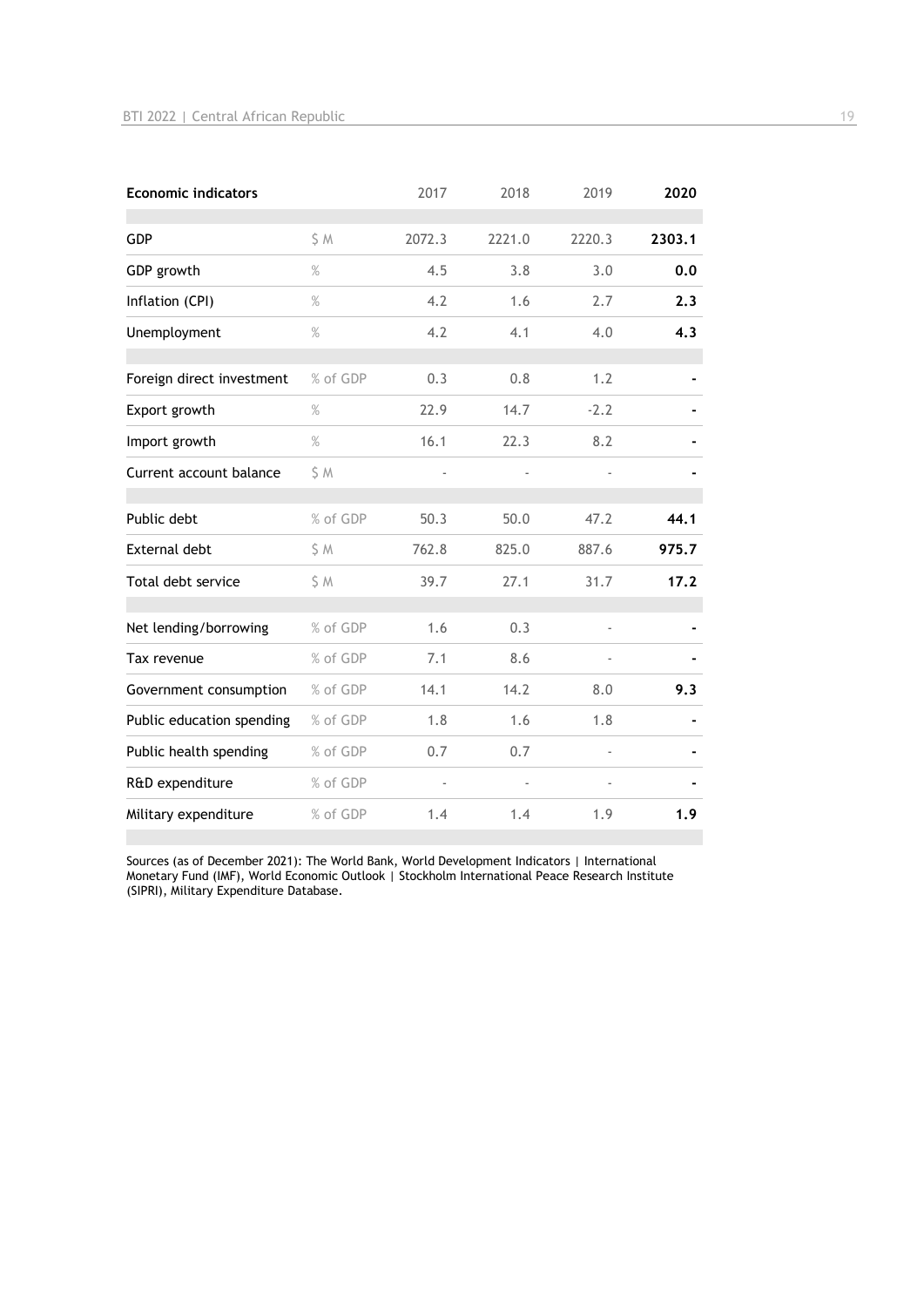| <b>Economic indicators</b> |          | 2017   | 2018   | 2019   | 2020   |
|----------------------------|----------|--------|--------|--------|--------|
| <b>GDP</b>                 | S M      | 2072.3 | 2221.0 | 2220.3 | 2303.1 |
| GDP growth                 | $\%$     | 4.5    | 3.8    | 3.0    | 0.0    |
| Inflation (CPI)            | $\%$     | 4.2    | 1.6    | 2.7    | 2.3    |
| Unemployment               | $\%$     | 4.2    | 4.1    | 4.0    | 4.3    |
| Foreign direct investment  | % of GDP | 0.3    | 0.8    | 1.2    |        |
| Export growth              | $\%$     | 22.9   | 14.7   | $-2.2$ |        |
| Import growth              | $\%$     | 16.1   | 22.3   | 8.2    |        |
| Current account balance    | S M      |        |        |        |        |
| Public debt                | % of GDP | 50.3   | 50.0   | 47.2   | 44.1   |
| <b>External debt</b>       | \$M      | 762.8  | 825.0  | 887.6  | 975.7  |
| Total debt service         | S M      | 39.7   | 27.1   | 31.7   | 17.2   |
| Net lending/borrowing      | % of GDP | 1.6    | 0.3    | J.     |        |
| Tax revenue                | % of GDP | 7.1    | 8.6    |        |        |
| Government consumption     | % of GDP | 14.1   | 14.2   | 8.0    | 9.3    |
| Public education spending  | % of GDP | 1.8    | 1.6    | 1.8    |        |
| Public health spending     | % of GDP | 0.7    | 0.7    |        |        |
| R&D expenditure            | % of GDP |        |        | L,     |        |
| Military expenditure       | % of GDP | 1.4    | 1.4    | 1.9    | 1.9    |

Sources (as of December 2021): The World Bank, World Development Indicators | International Monetary Fund (IMF), World Economic Outlook | Stockholm International Peace Research Institute (SIPRI), Military Expenditure Database.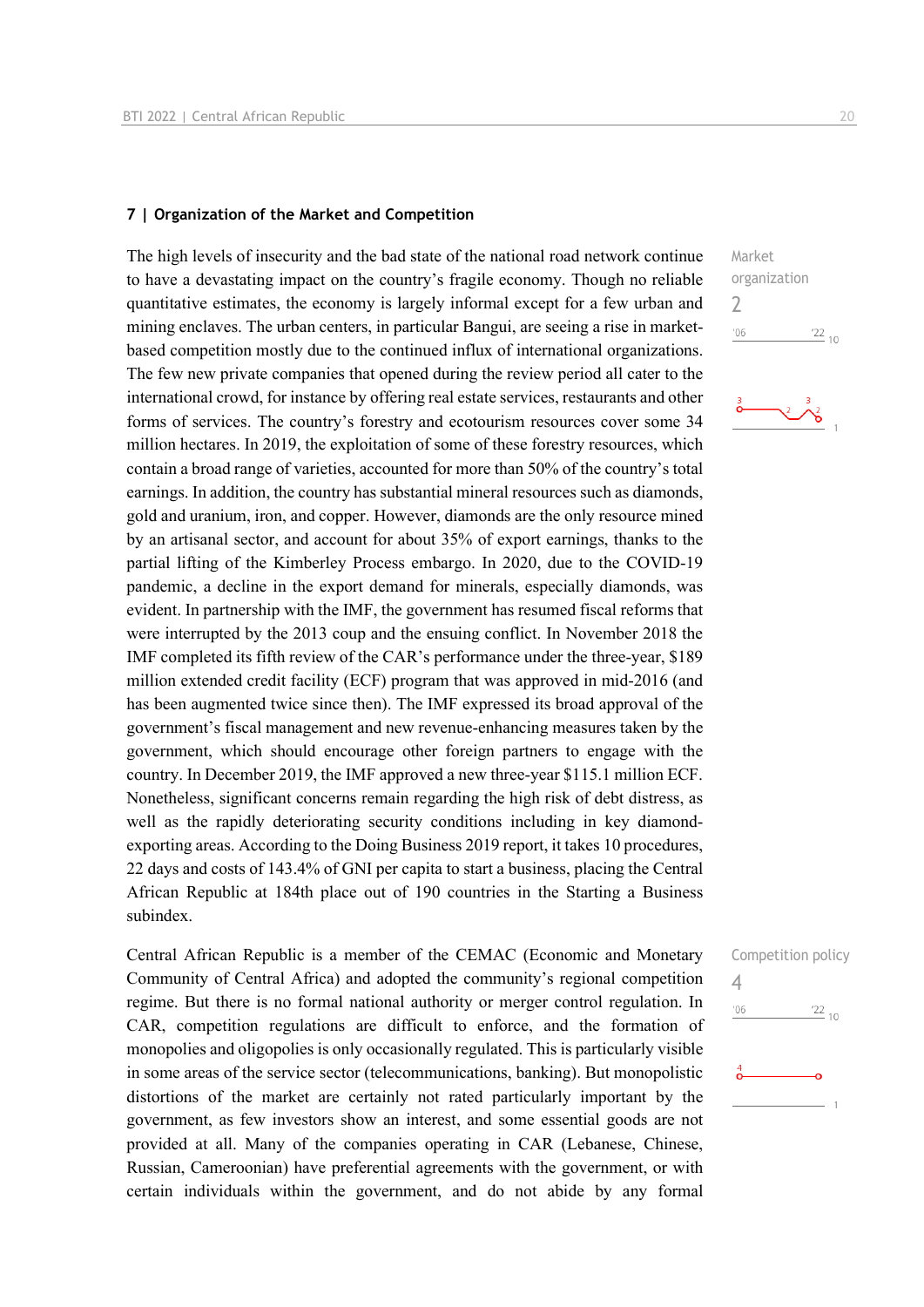#### **7 | Organization of the Market and Competition**

The high levels of insecurity and the bad state of the national road network continue to have a devastating impact on the country's fragile economy. Though no reliable quantitative estimates, the economy is largely informal except for a few urban and mining enclaves. The urban centers, in particular Bangui, are seeing a rise in marketbased competition mostly due to the continued influx of international organizations. The few new private companies that opened during the review period all cater to the international crowd, for instance by offering real estate services, restaurants and other forms of services. The country's forestry and ecotourism resources cover some 34 million hectares. In 2019, the exploitation of some of these forestry resources, which contain a broad range of varieties, accounted for more than 50% of the country's total earnings. In addition, the country has substantial mineral resources such as diamonds, gold and uranium, iron, and copper. However, diamonds are the only resource mined by an artisanal sector, and account for about 35% of export earnings, thanks to the partial lifting of the Kimberley Process embargo. In 2020, due to the COVID-19 pandemic, a decline in the export demand for minerals, especially diamonds, was evident. In partnership with the IMF, the government has resumed fiscal reforms that were interrupted by the 2013 coup and the ensuing conflict. In November 2018 the IMF completed its fifth review of the CAR's performance under the three-year, \$189 million extended credit facility (ECF) program that was approved in mid-2016 (and has been augmented twice since then). The IMF expressed its broad approval of the government's fiscal management and new revenue-enhancing measures taken by the government, which should encourage other foreign partners to engage with the country. In December 2019, the IMF approved a new three-year \$115.1 million ECF. Nonetheless, significant concerns remain regarding the high risk of debt distress, as well as the rapidly deteriorating security conditions including in key diamondexporting areas. According to the Doing Business 2019 report, it takes 10 procedures, 22 days and costs of 143.4% of GNI per capita to start a business, placing the Central African Republic at 184th place out of 190 countries in the Starting a Business subindex.

Central African Republic is a member of the CEMAC (Economic and Monetary Community of Central Africa) and adopted the community's regional competition regime. But there is no formal national authority or merger control regulation. In CAR, competition regulations are difficult to enforce, and the formation of monopolies and oligopolies is only occasionally regulated. This is particularly visible in some areas of the service sector (telecommunications, banking). But monopolistic distortions of the market are certainly not rated particularly important by the government, as few investors show an interest, and some essential goods are not provided at all. Many of the companies operating in CAR (Lebanese, Chinese, Russian, Cameroonian) have preferential agreements with the government, or with certain individuals within the government, and do not abide by any formal



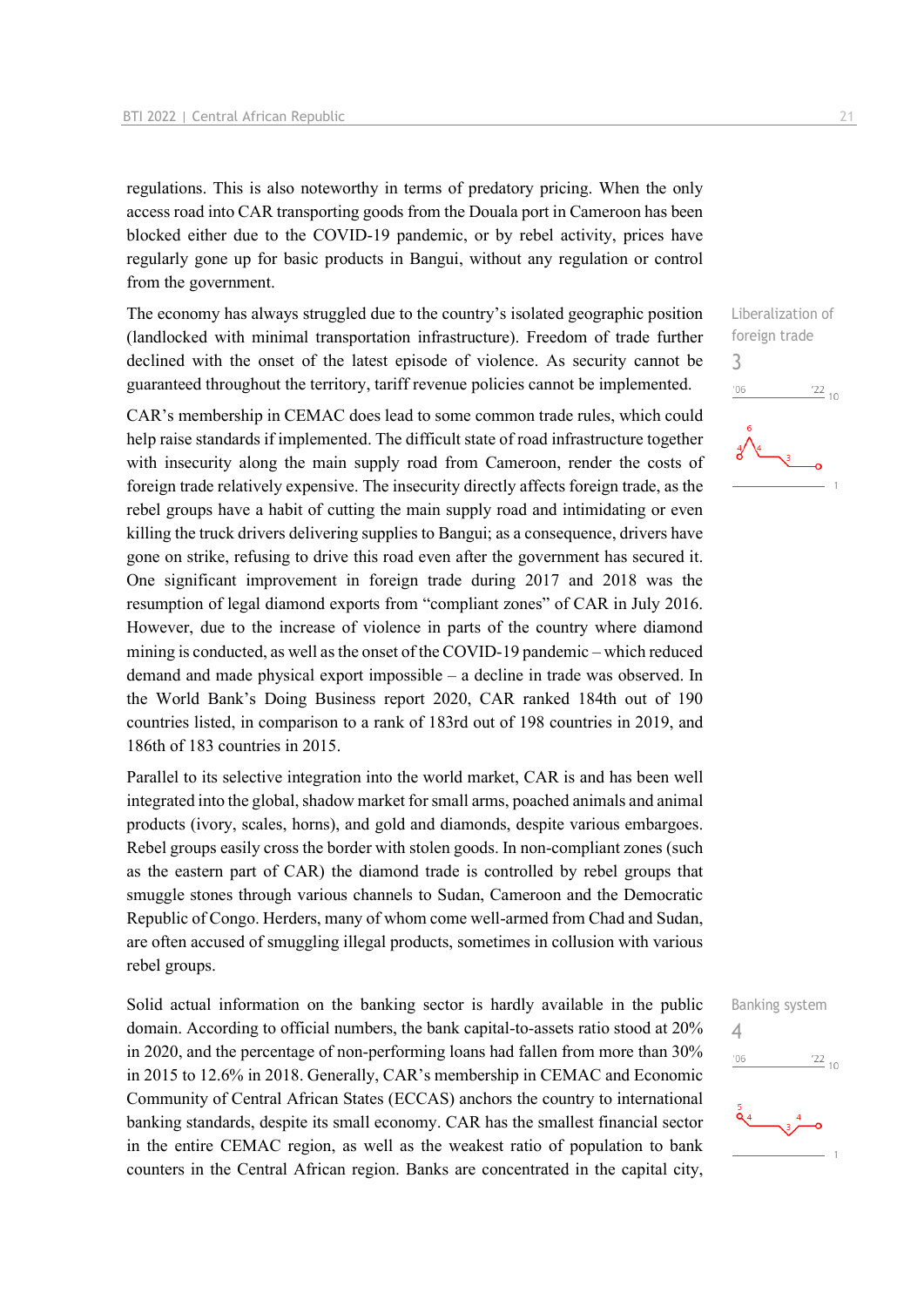regulations. This is also noteworthy in terms of predatory pricing. When the only access road into CAR transporting goods from the Douala port in Cameroon has been blocked either due to the COVID-19 pandemic, or by rebel activity, prices have regularly gone up for basic products in Bangui, without any regulation or control from the government.

The economy has always struggled due to the country's isolated geographic position (landlocked with minimal transportation infrastructure). Freedom of trade further declined with the onset of the latest episode of violence. As security cannot be guaranteed throughout the territory, tariff revenue policies cannot be implemented.

CAR's membership in CEMAC does lead to some common trade rules, which could help raise standards if implemented. The difficult state of road infrastructure together with insecurity along the main supply road from Cameroon, render the costs of foreign trade relatively expensive. The insecurity directly affects foreign trade, as the rebel groups have a habit of cutting the main supply road and intimidating or even killing the truck drivers delivering supplies to Bangui; as a consequence, drivers have gone on strike, refusing to drive this road even after the government has secured it. One significant improvement in foreign trade during 2017 and 2018 was the resumption of legal diamond exports from "compliant zones" of CAR in July 2016. However, due to the increase of violence in parts of the country where diamond mining is conducted, as well as the onset of the COVID-19 pandemic – which reduced demand and made physical export impossible – a decline in trade was observed. In the World Bank's Doing Business report 2020, CAR ranked 184th out of 190 countries listed, in comparison to a rank of 183rd out of 198 countries in 2019, and 186th of 183 countries in 2015.

Parallel to its selective integration into the world market, CAR is and has been well integrated into the global, shadow market for small arms, poached animals and animal products (ivory, scales, horns), and gold and diamonds, despite various embargoes. Rebel groups easily cross the border with stolen goods. In non-compliant zones (such as the eastern part of CAR) the diamond trade is controlled by rebel groups that smuggle stones through various channels to Sudan, Cameroon and the Democratic Republic of Congo. Herders, many of whom come well-armed from Chad and Sudan, are often accused of smuggling illegal products, sometimes in collusion with various rebel groups.

Solid actual information on the banking sector is hardly available in the public domain. According to official numbers, the bank capital-to-assets ratio stood at 20% in 2020, and the percentage of non-performing loans had fallen from more than 30% in 2015 to 12.6% in 2018. Generally, CAR's membership in CEMAC and Economic Community of Central African States (ECCAS) anchors the country to international banking standards, despite its small economy. CAR has the smallest financial sector in the entire CEMAC region, as well as the weakest ratio of population to bank counters in the Central African region. Banks are concentrated in the capital city,



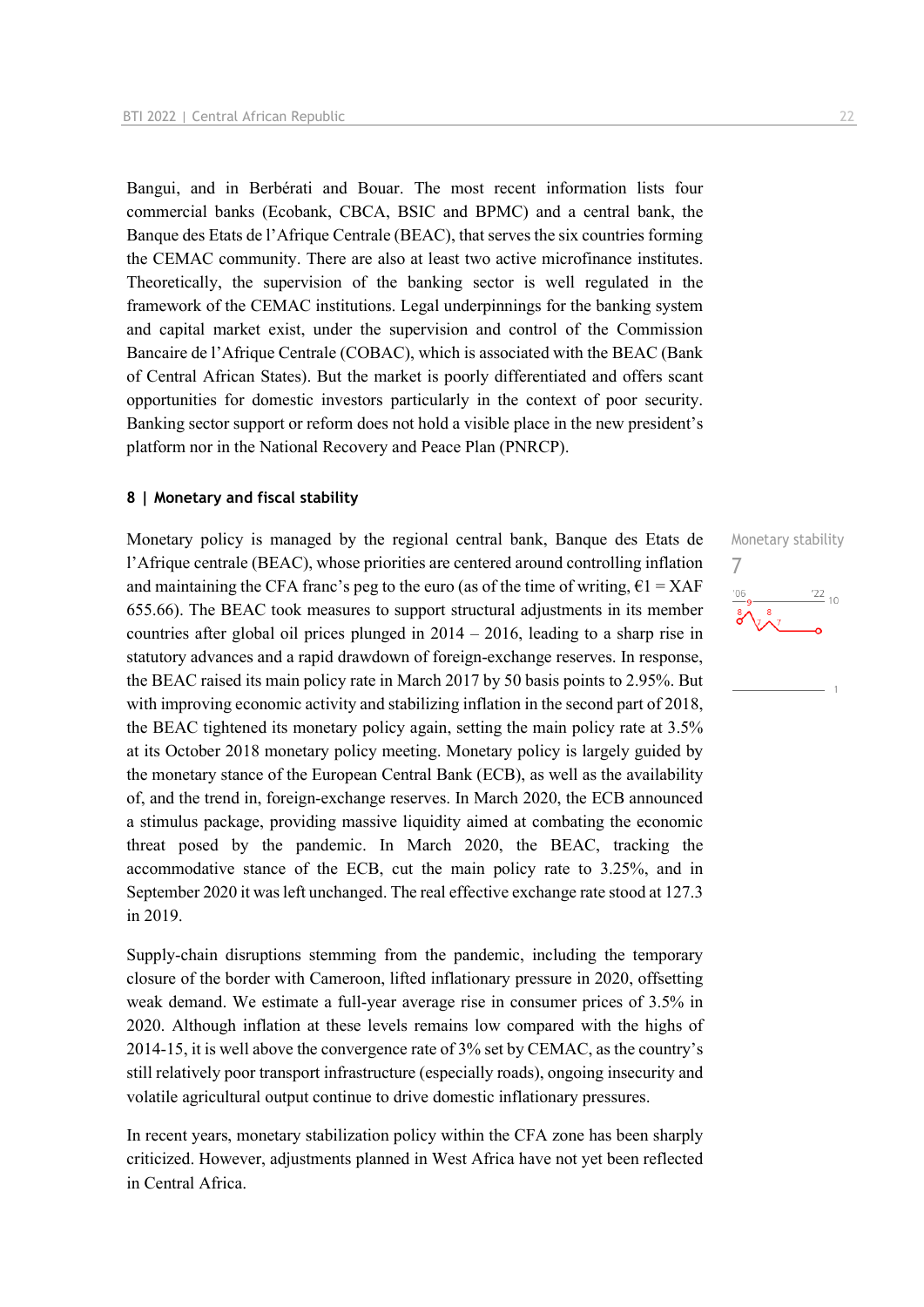Bangui, and in Berbérati and Bouar. The most recent information lists four commercial banks (Ecobank, CBCA, BSIC and BPMC) and a central bank, the Banque des Etats de l'Afrique Centrale (BEAC), that serves the six countries forming the CEMAC community. There are also at least two active microfinance institutes. Theoretically, the supervision of the banking sector is well regulated in the framework of the CEMAC institutions. Legal underpinnings for the banking system and capital market exist, under the supervision and control of the Commission Bancaire de l'Afrique Centrale (COBAC), which is associated with the BEAC (Bank of Central African States). But the market is poorly differentiated and offers scant opportunities for domestic investors particularly in the context of poor security. Banking sector support or reform does not hold a visible place in the new president's platform nor in the National Recovery and Peace Plan (PNRCP).

#### **8 | Monetary and fiscal stability**

Monetary policy is managed by the regional central bank, Banque des Etats de l'Afrique centrale (BEAC), whose priorities are centered around controlling inflation and maintaining the CFA franc's peg to the euro (as of the time of writing,  $\epsilon$ 1 = XAF 655.66). The BEAC took measures to support structural adjustments in its member countries after global oil prices plunged in 2014 – 2016, leading to a sharp rise in statutory advances and a rapid drawdown of foreign-exchange reserves. In response, the BEAC raised its main policy rate in March 2017 by 50 basis points to 2.95%. But with improving economic activity and stabilizing inflation in the second part of 2018, the BEAC tightened its monetary policy again, setting the main policy rate at 3.5% at its October 2018 monetary policy meeting. Monetary policy is largely guided by the monetary stance of the European Central Bank (ECB), as well as the availability of, and the trend in, foreign-exchange reserves. In March 2020, the ECB announced a stimulus package, providing massive liquidity aimed at combating the economic threat posed by the pandemic. In March 2020, the BEAC, tracking the accommodative stance of the ECB, cut the main policy rate to 3.25%, and in September 2020 it was left unchanged. The real effective exchange rate stood at 127.3 in 2019.

Supply-chain disruptions stemming from the pandemic, including the temporary closure of the border with Cameroon, lifted inflationary pressure in 2020, offsetting weak demand. We estimate a full-year average rise in consumer prices of 3.5% in 2020. Although inflation at these levels remains low compared with the highs of 2014-15, it is well above the convergence rate of 3% set by CEMAC, as the country's still relatively poor transport infrastructure (especially roads), ongoing insecurity and volatile agricultural output continue to drive domestic inflationary pressures.

In recent years, monetary stabilization policy within the CFA zone has been sharply criticized. However, adjustments planned in West Africa have not yet been reflected in Central Africa.

Monetary stability 7 $\frac{122}{10}$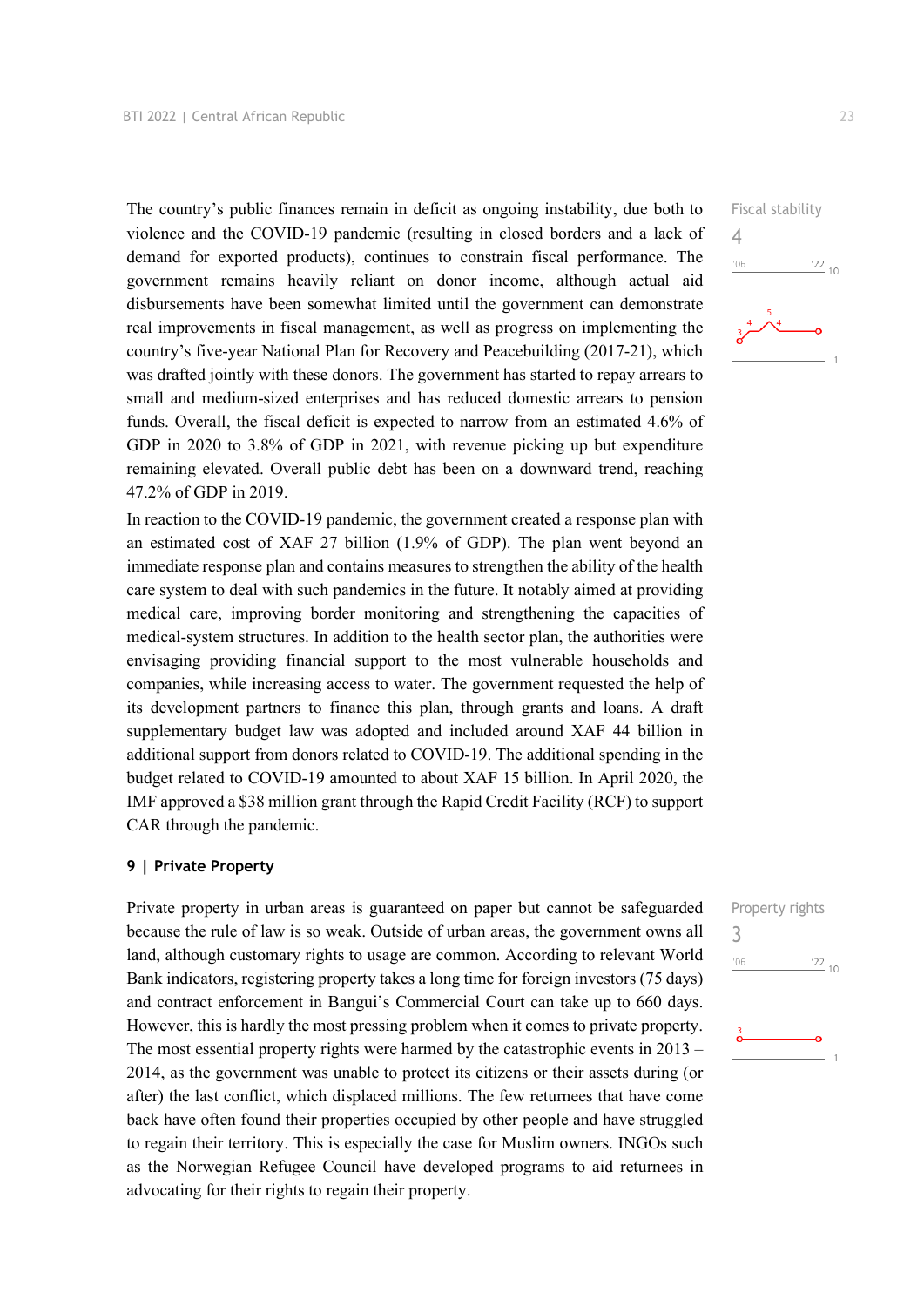The country's public finances remain in deficit as ongoing instability, due both to violence and the COVID-19 pandemic (resulting in closed borders and a lack of demand for exported products), continues to constrain fiscal performance. The government remains heavily reliant on donor income, although actual aid disbursements have been somewhat limited until the government can demonstrate real improvements in fiscal management, as well as progress on implementing the country's five-year National Plan for Recovery and Peacebuilding (2017-21), which was drafted jointly with these donors. The government has started to repay arrears to small and medium-sized enterprises and has reduced domestic arrears to pension funds. Overall, the fiscal deficit is expected to narrow from an estimated 4.6% of GDP in 2020 to 3.8% of GDP in 2021, with revenue picking up but expenditure remaining elevated. Overall public debt has been on a downward trend, reaching 47.2% of GDP in 2019.

In reaction to the COVID-19 pandemic, the government created a response plan with an estimated cost of XAF 27 billion (1.9% of GDP). The plan went beyond an immediate response plan and contains measures to strengthen the ability of the health care system to deal with such pandemics in the future. It notably aimed at providing medical care, improving border monitoring and strengthening the capacities of medical-system structures. In addition to the health sector plan, the authorities were envisaging providing financial support to the most vulnerable households and companies, while increasing access to water. The government requested the help of its development partners to finance this plan, through grants and loans. A draft supplementary budget law was adopted and included around XAF 44 billion in additional support from donors related to COVID-19. The additional spending in the budget related to COVID-19 amounted to about XAF 15 billion. In April 2020, the IMF approved a \$38 million grant through the Rapid Credit Facility (RCF) to support CAR through the pandemic.

#### **9 | Private Property**

Private property in urban areas is guaranteed on paper but cannot be safeguarded because the rule of law is so weak. Outside of urban areas, the government owns all land, although customary rights to usage are common. According to relevant World Bank indicators, registering property takes a long time for foreign investors (75 days) and contract enforcement in Bangui's Commercial Court can take up to 660 days. However, this is hardly the most pressing problem when it comes to private property. The most essential property rights were harmed by the catastrophic events in 2013 – 2014, as the government was unable to protect its citizens or their assets during (or after) the last conflict, which displaced millions. The few returnees that have come back have often found their properties occupied by other people and have struggled to regain their territory. This is especially the case for Muslim owners. INGOs such as the Norwegian Refugee Council have developed programs to aid returnees in advocating for their rights to regain their property.



| Property rights |
|-----------------|
|                 |
| $\frac{22}{10}$ |
|                 |
|                 |
|                 |
|                 |
| 1               |
|                 |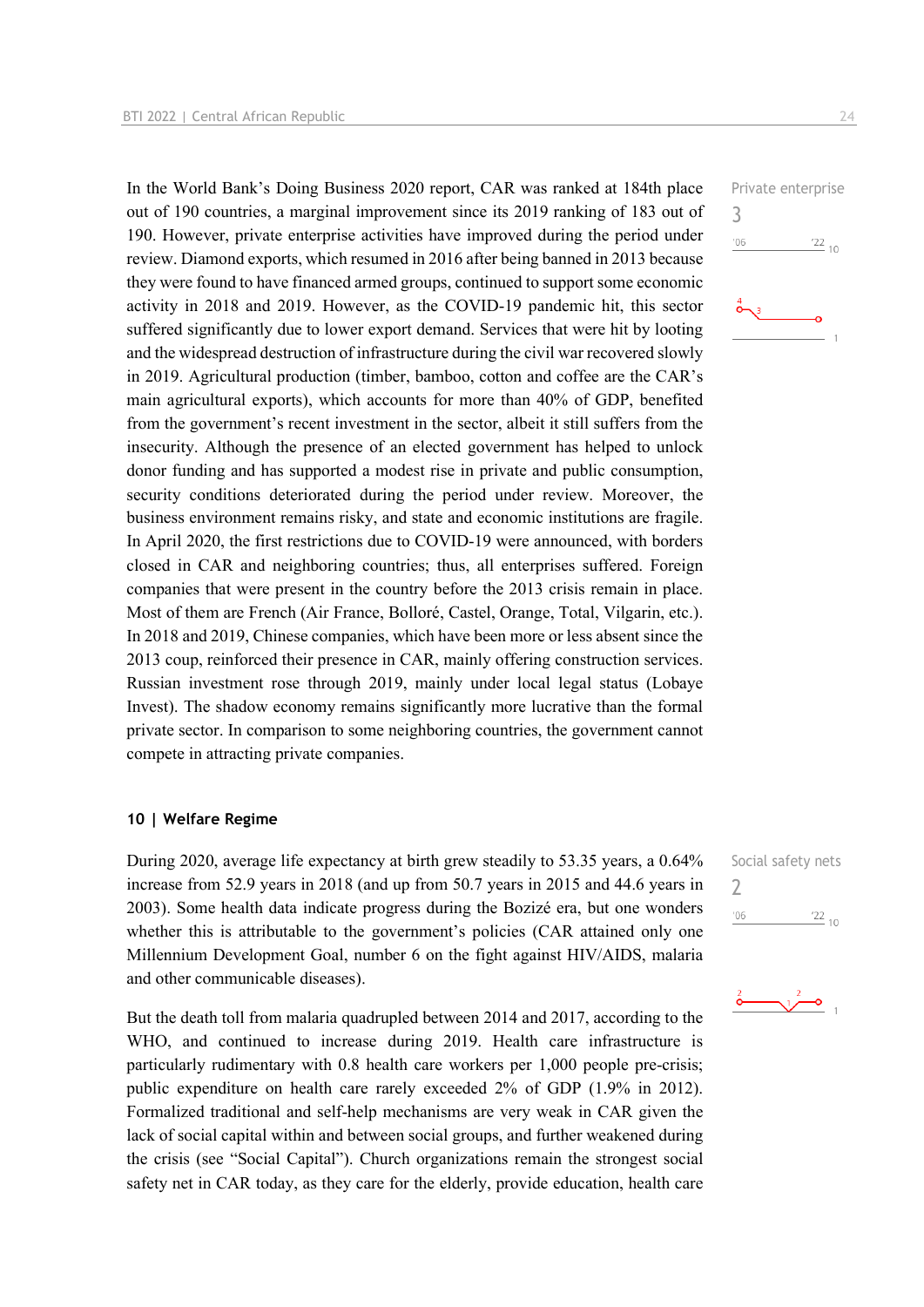In the World Bank's Doing Business 2020 report, CAR was ranked at 184th place out of 190 countries, a marginal improvement since its 2019 ranking of 183 out of 190. However, private enterprise activities have improved during the period under review. Diamond exports, which resumed in 2016 after being banned in 2013 because they were found to have financed armed groups, continued to support some economic activity in 2018 and 2019. However, as the COVID-19 pandemic hit, this sector suffered significantly due to lower export demand. Services that were hit by looting and the widespread destruction of infrastructure during the civil war recovered slowly in 2019. Agricultural production (timber, bamboo, cotton and coffee are the CAR's main agricultural exports), which accounts for more than 40% of GDP, benefited from the government's recent investment in the sector, albeit it still suffers from the insecurity. Although the presence of an elected government has helped to unlock donor funding and has supported a modest rise in private and public consumption, security conditions deteriorated during the period under review. Moreover, the business environment remains risky, and state and economic institutions are fragile. In April 2020, the first restrictions due to COVID-19 were announced, with borders closed in CAR and neighboring countries; thus, all enterprises suffered. Foreign companies that were present in the country before the 2013 crisis remain in place. Most of them are French (Air France, Bolloré, Castel, Orange, Total, Vilgarin, etc.). In 2018 and 2019, Chinese companies, which have been more or less absent since the 2013 coup, reinforced their presence in CAR, mainly offering construction services. Russian investment rose through 2019, mainly under local legal status (Lobaye Invest). The shadow economy remains significantly more lucrative than the formal private sector. In comparison to some neighboring countries, the government cannot compete in attracting private companies.

#### **10 | Welfare Regime**

During 2020, average life expectancy at birth grew steadily to 53.35 years, a 0.64% increase from 52.9 years in 2018 (and up from 50.7 years in 2015 and 44.6 years in 2003). Some health data indicate progress during the Bozizé era, but one wonders whether this is attributable to the government's policies (CAR attained only one Millennium Development Goal, number 6 on the fight against HIV/AIDS, malaria and other communicable diseases).

But the death toll from malaria quadrupled between 2014 and 2017, according to the WHO, and continued to increase during 2019. Health care infrastructure is particularly rudimentary with 0.8 health care workers per 1,000 people pre-crisis; public expenditure on health care rarely exceeded 2% of GDP (1.9% in 2012). Formalized traditional and self-help mechanisms are very weak in CAR given the lack of social capital within and between social groups, and further weakened during the crisis (see "Social Capital"). Church organizations remain the strongest social safety net in CAR today, as they care for the elderly, provide education, health care 3

 $06'$ 





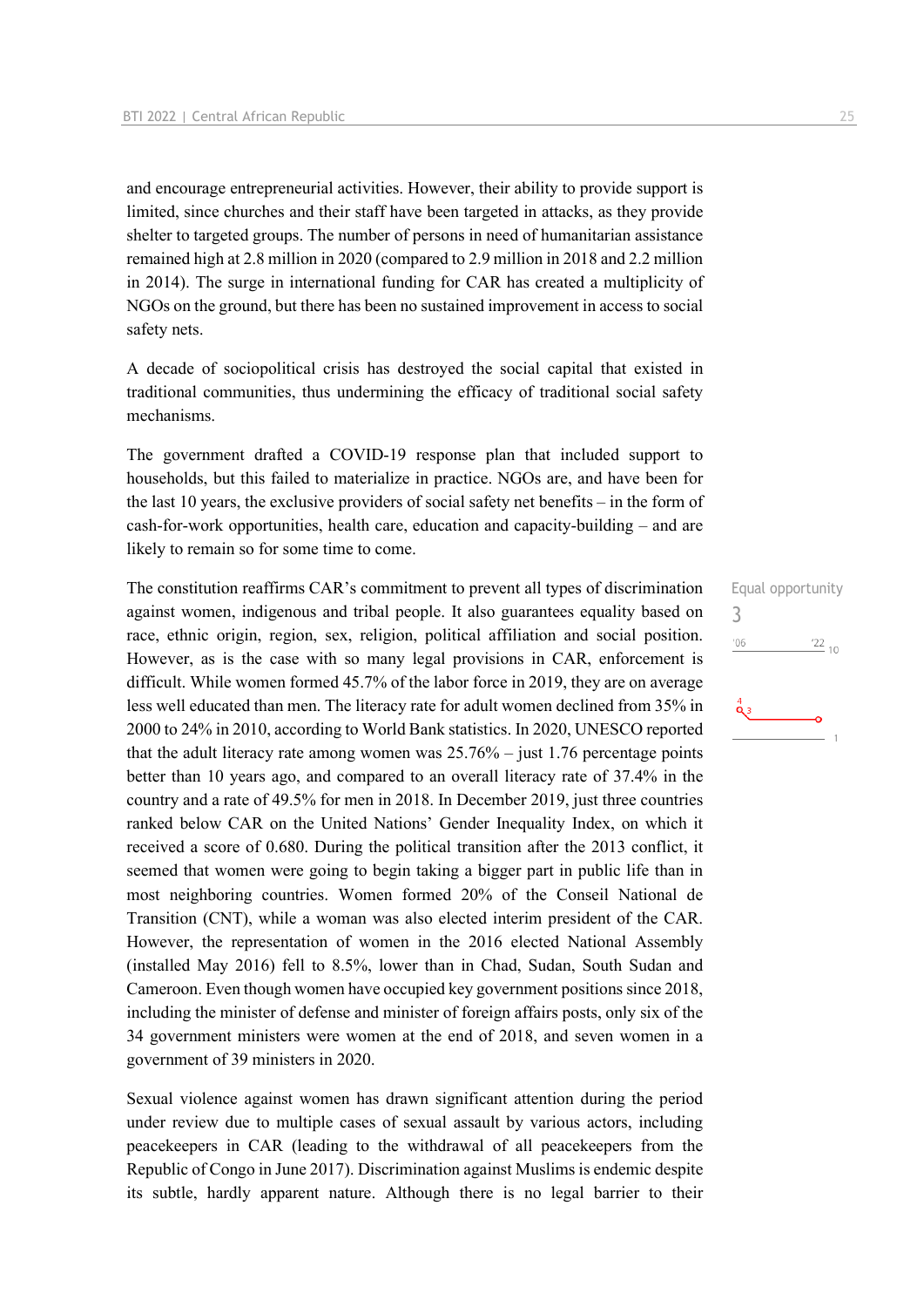and encourage entrepreneurial activities. However, their ability to provide support is limited, since churches and their staff have been targeted in attacks, as they provide shelter to targeted groups. The number of persons in need of humanitarian assistance remained high at 2.8 million in 2020 (compared to 2.9 million in 2018 and 2.2 million in 2014). The surge in international funding for CAR has created a multiplicity of NGOs on the ground, but there has been no sustained improvement in access to social safety nets.

A decade of sociopolitical crisis has destroyed the social capital that existed in traditional communities, thus undermining the efficacy of traditional social safety mechanisms.

The government drafted a COVID-19 response plan that included support to households, but this failed to materialize in practice. NGOs are, and have been for the last 10 years, the exclusive providers of social safety net benefits – in the form of cash-for-work opportunities, health care, education and capacity-building – and are likely to remain so for some time to come.

The constitution reaffirms CAR's commitment to prevent all types of discrimination against women, indigenous and tribal people. It also guarantees equality based on race, ethnic origin, region, sex, religion, political affiliation and social position. However, as is the case with so many legal provisions in CAR, enforcement is difficult. While women formed 45.7% of the labor force in 2019, they are on average less well educated than men. The literacy rate for adult women declined from 35% in 2000 to 24% in 2010, according to World Bank statistics. In 2020, UNESCO reported that the adult literacy rate among women was  $25.76\%$  – just 1.76 percentage points better than 10 years ago, and compared to an overall literacy rate of 37.4% in the country and a rate of 49.5% for men in 2018. In December 2019, just three countries ranked below CAR on the United Nations' Gender Inequality Index, on which it received a score of 0.680. During the political transition after the 2013 conflict, it seemed that women were going to begin taking a bigger part in public life than in most neighboring countries. Women formed 20% of the Conseil National de Transition (CNT), while a woman was also elected interim president of the CAR. However, the representation of women in the 2016 elected National Assembly (installed May 2016) fell to 8.5%, lower than in Chad, Sudan, South Sudan and Cameroon. Even though women have occupied key government positions since 2018, including the minister of defense and minister of foreign affairs posts, only six of the 34 government ministers were women at the end of 2018, and seven women in a government of 39 ministers in 2020.

Sexual violence against women has drawn significant attention during the period under review due to multiple cases of sexual assault by various actors, including peacekeepers in CAR (leading to the withdrawal of all peacekeepers from the Republic of Congo in June 2017). Discrimination against Muslims is endemic despite its subtle, hardly apparent nature. Although there is no legal barrier to their

Equal opportunity 3 $-06$  $\frac{22}{10}$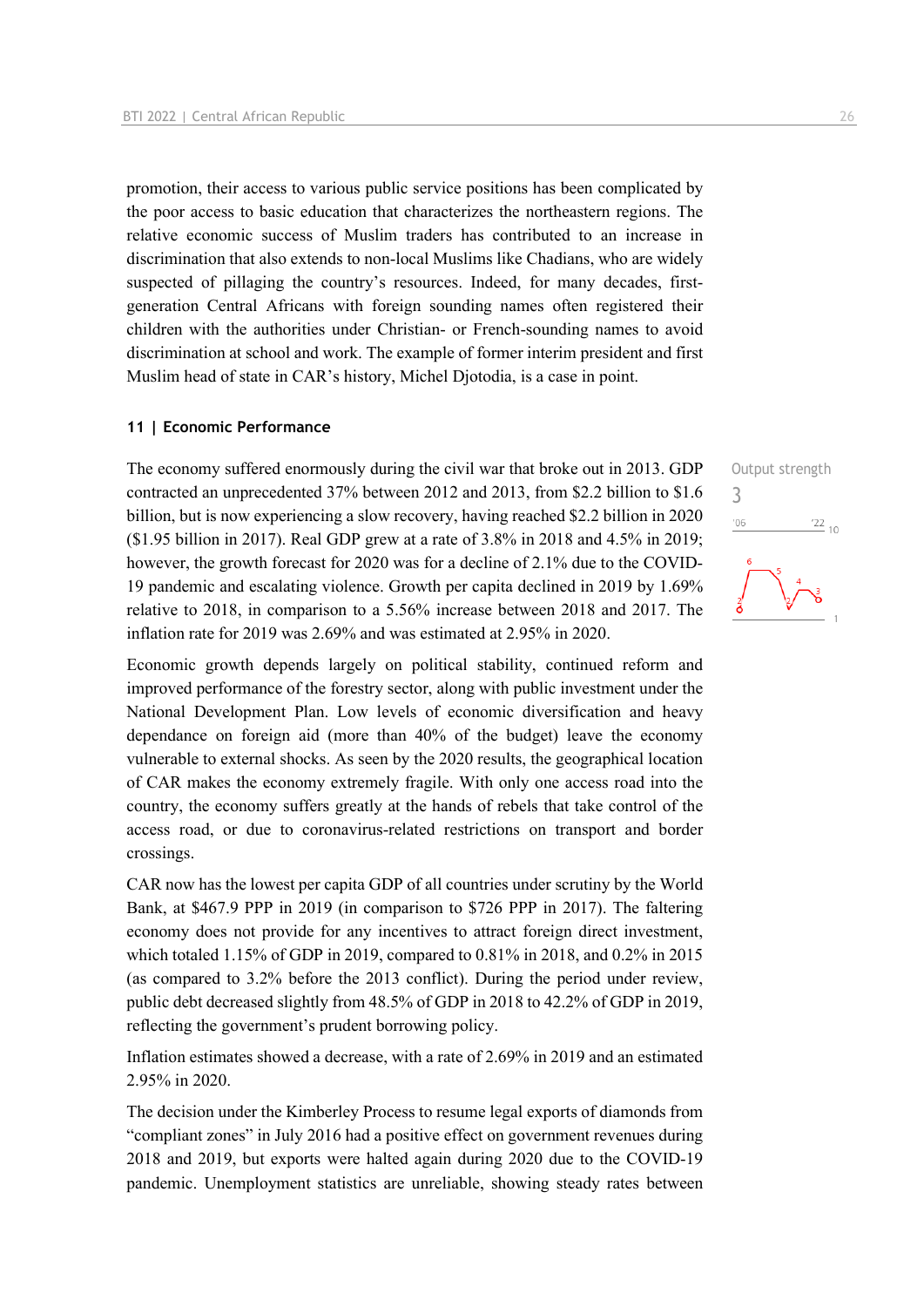promotion, their access to various public service positions has been complicated by the poor access to basic education that characterizes the northeastern regions. The relative economic success of Muslim traders has contributed to an increase in discrimination that also extends to non-local Muslims like Chadians, who are widely suspected of pillaging the country's resources. Indeed, for many decades, firstgeneration Central Africans with foreign sounding names often registered their children with the authorities under Christian- or French-sounding names to avoid discrimination at school and work. The example of former interim president and first Muslim head of state in CAR's history, Michel Djotodia, is a case in point.

#### **11 | Economic Performance**

The economy suffered enormously during the civil war that broke out in 2013. GDP contracted an unprecedented 37% between 2012 and 2013, from \$2.2 billion to \$1.6 billion, but is now experiencing a slow recovery, having reached \$2.2 billion in 2020 (\$1.95 billion in 2017). Real GDP grew at a rate of 3.8% in 2018 and 4.5% in 2019; however, the growth forecast for 2020 was for a decline of 2.1% due to the COVID-19 pandemic and escalating violence. Growth per capita declined in 2019 by 1.69% relative to 2018, in comparison to a 5.56% increase between 2018 and 2017. The inflation rate for 2019 was 2.69% and was estimated at 2.95% in 2020.

Economic growth depends largely on political stability, continued reform and improved performance of the forestry sector, along with public investment under the National Development Plan. Low levels of economic diversification and heavy dependance on foreign aid (more than 40% of the budget) leave the economy vulnerable to external shocks. As seen by the 2020 results, the geographical location of CAR makes the economy extremely fragile. With only one access road into the country, the economy suffers greatly at the hands of rebels that take control of the access road, or due to coronavirus-related restrictions on transport and border crossings.

CAR now has the lowest per capita GDP of all countries under scrutiny by the World Bank, at \$467.9 PPP in 2019 (in comparison to \$726 PPP in 2017). The faltering economy does not provide for any incentives to attract foreign direct investment, which totaled 1.15% of GDP in 2019, compared to 0.81% in 2018, and 0.2% in 2015 (as compared to 3.2% before the 2013 conflict). During the period under review, public debt decreased slightly from 48.5% of GDP in 2018 to 42.2% of GDP in 2019, reflecting the government's prudent borrowing policy.

Inflation estimates showed a decrease, with a rate of 2.69% in 2019 and an estimated 2.95% in 2020.

The decision under the Kimberley Process to resume legal exports of diamonds from "compliant zones" in July 2016 had a positive effect on government revenues during 2018 and 2019, but exports were halted again during 2020 due to the COVID-19 pandemic. Unemployment statistics are unreliable, showing steady rates between

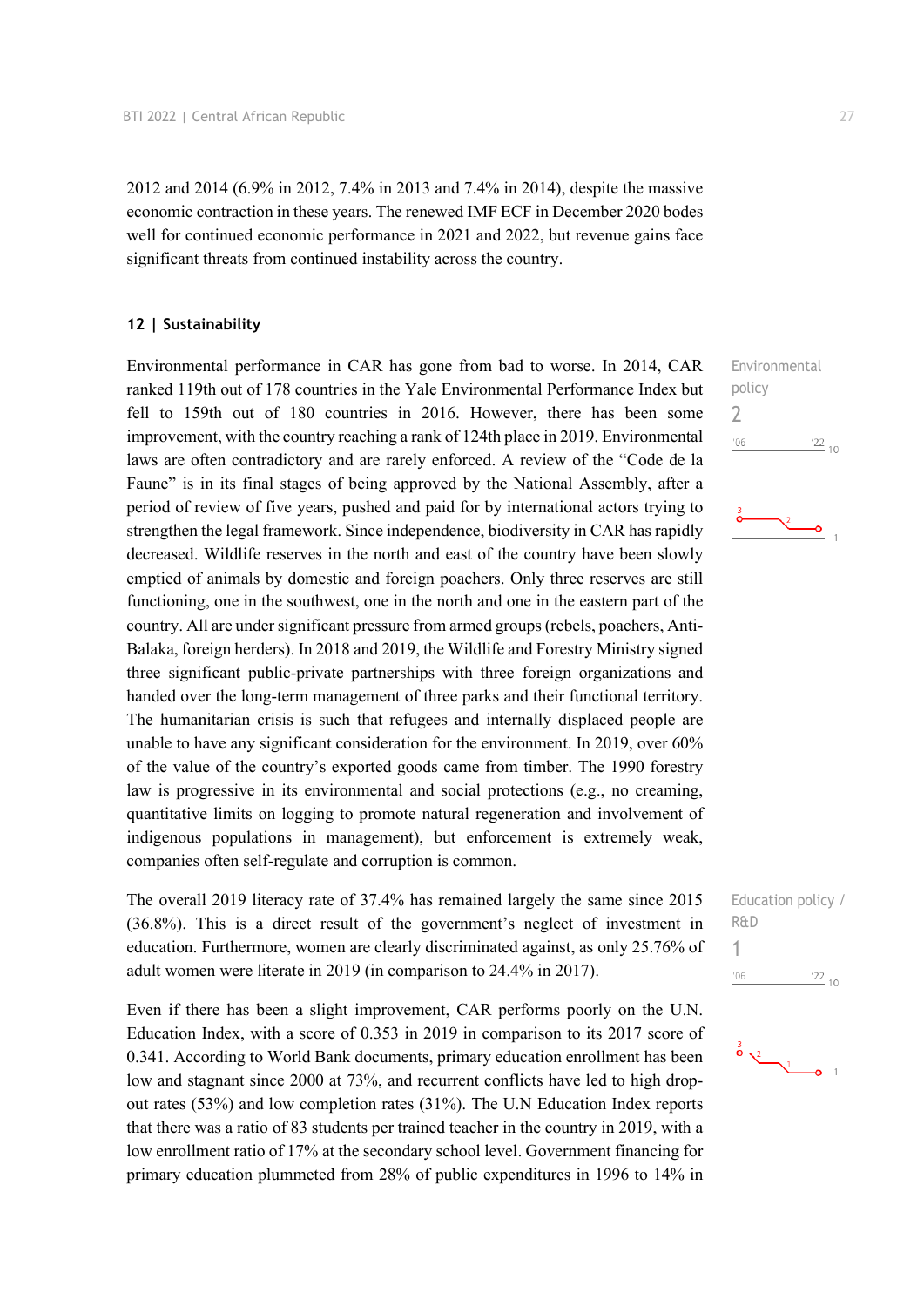2012 and 2014 (6.9% in 2012, 7.4% in 2013 and 7.4% in 2014), despite the massive economic contraction in these years. The renewed IMF ECF in December 2020 bodes well for continued economic performance in 2021 and 2022, but revenue gains face significant threats from continued instability across the country.

#### **12 | Sustainability**

Environmental performance in CAR has gone from bad to worse. In 2014, CAR ranked 119th out of 178 countries in the Yale Environmental Performance Index but fell to 159th out of 180 countries in 2016. However, there has been some improvement, with the country reaching a rank of 124th place in 2019. Environmental laws are often contradictory and are rarely enforced. A review of the "Code de la Faune" is in its final stages of being approved by the National Assembly, after a period of review of five years, pushed and paid for by international actors trying to strengthen the legal framework. Since independence, biodiversity in CAR has rapidly decreased. Wildlife reserves in the north and east of the country have been slowly emptied of animals by domestic and foreign poachers. Only three reserves are still functioning, one in the southwest, one in the north and one in the eastern part of the country. All are under significant pressure from armed groups (rebels, poachers, Anti-Balaka, foreign herders). In 2018 and 2019, the Wildlife and Forestry Ministry signed three significant public-private partnerships with three foreign organizations and handed over the long-term management of three parks and their functional territory. The humanitarian crisis is such that refugees and internally displaced people are unable to have any significant consideration for the environment. In 2019, over 60% of the value of the country's exported goods came from timber. The 1990 forestry law is progressive in its environmental and social protections (e.g., no creaming, quantitative limits on logging to promote natural regeneration and involvement of indigenous populations in management), but enforcement is extremely weak, companies often self-regulate and corruption is common.

The overall 2019 literacy rate of 37.4% has remained largely the same since 2015 (36.8%). This is a direct result of the government's neglect of investment in education. Furthermore, women are clearly discriminated against, as only 25.76% of adult women were literate in 2019 (in comparison to 24.4% in 2017).

Even if there has been a slight improvement, CAR performs poorly on the U.N. Education Index, with a score of 0.353 in 2019 in comparison to its 2017 score of 0.341. According to World Bank documents, primary education enrollment has been low and stagnant since 2000 at 73%, and recurrent conflicts have led to high dropout rates (53%) and low completion rates (31%). The U.N Education Index reports that there was a ratio of 83 students per trained teacher in the country in 2019, with a low enrollment ratio of 17% at the secondary school level. Government financing for primary education plummeted from 28% of public expenditures in 1996 to 14% in

Environmental policy 2  $-06$  $\frac{22}{10}$ 





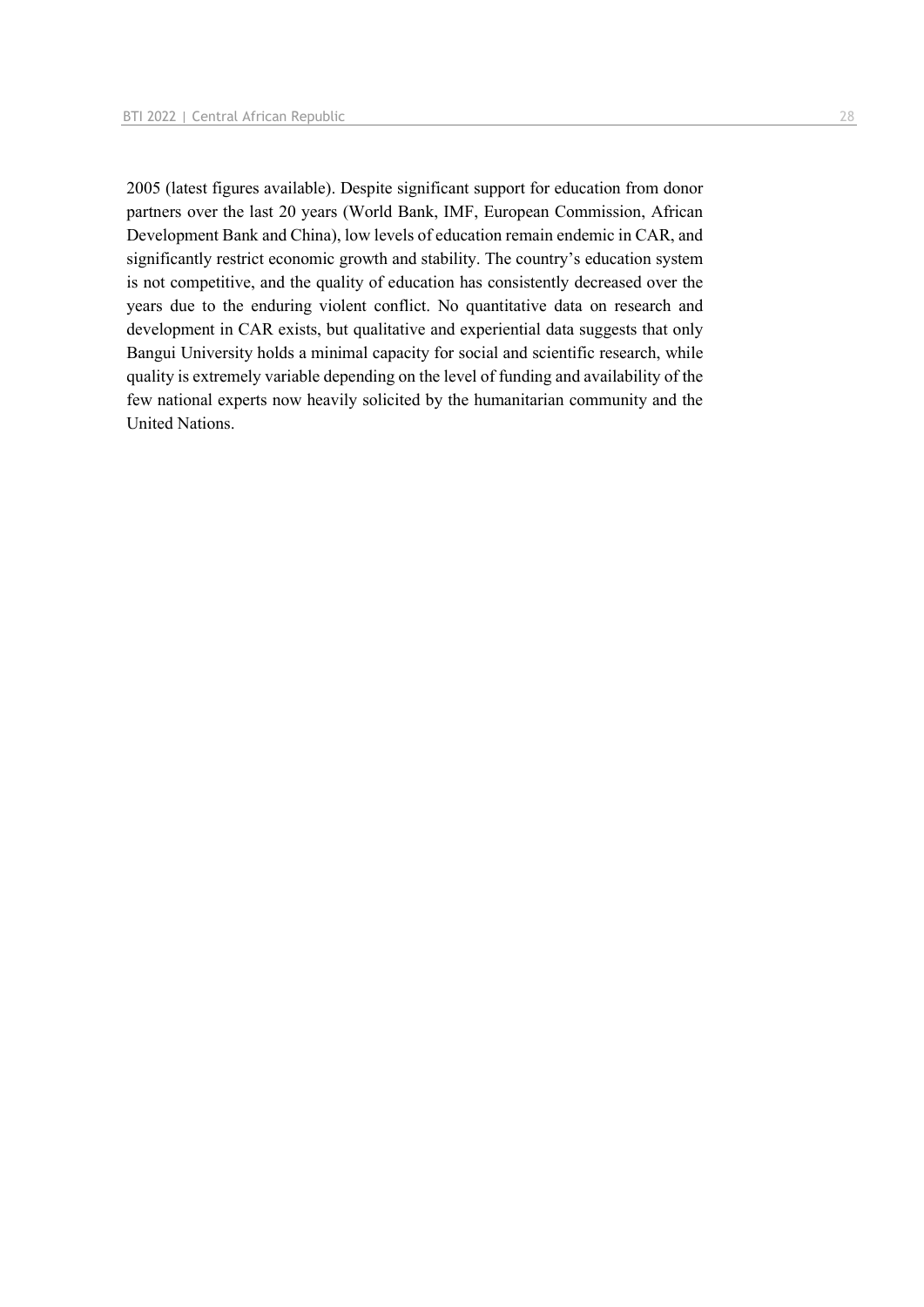2005 (latest figures available). Despite significant support for education from donor partners over the last 20 years (World Bank, IMF, European Commission, African Development Bank and China), low levels of education remain endemic in CAR, and significantly restrict economic growth and stability. The country's education system is not competitive, and the quality of education has consistently decreased over the years due to the enduring violent conflict. No quantitative data on research and development in CAR exists, but qualitative and experiential data suggests that only Bangui University holds a minimal capacity for social and scientific research, while quality is extremely variable depending on the level of funding and availability of the few national experts now heavily solicited by the humanitarian community and the United Nations.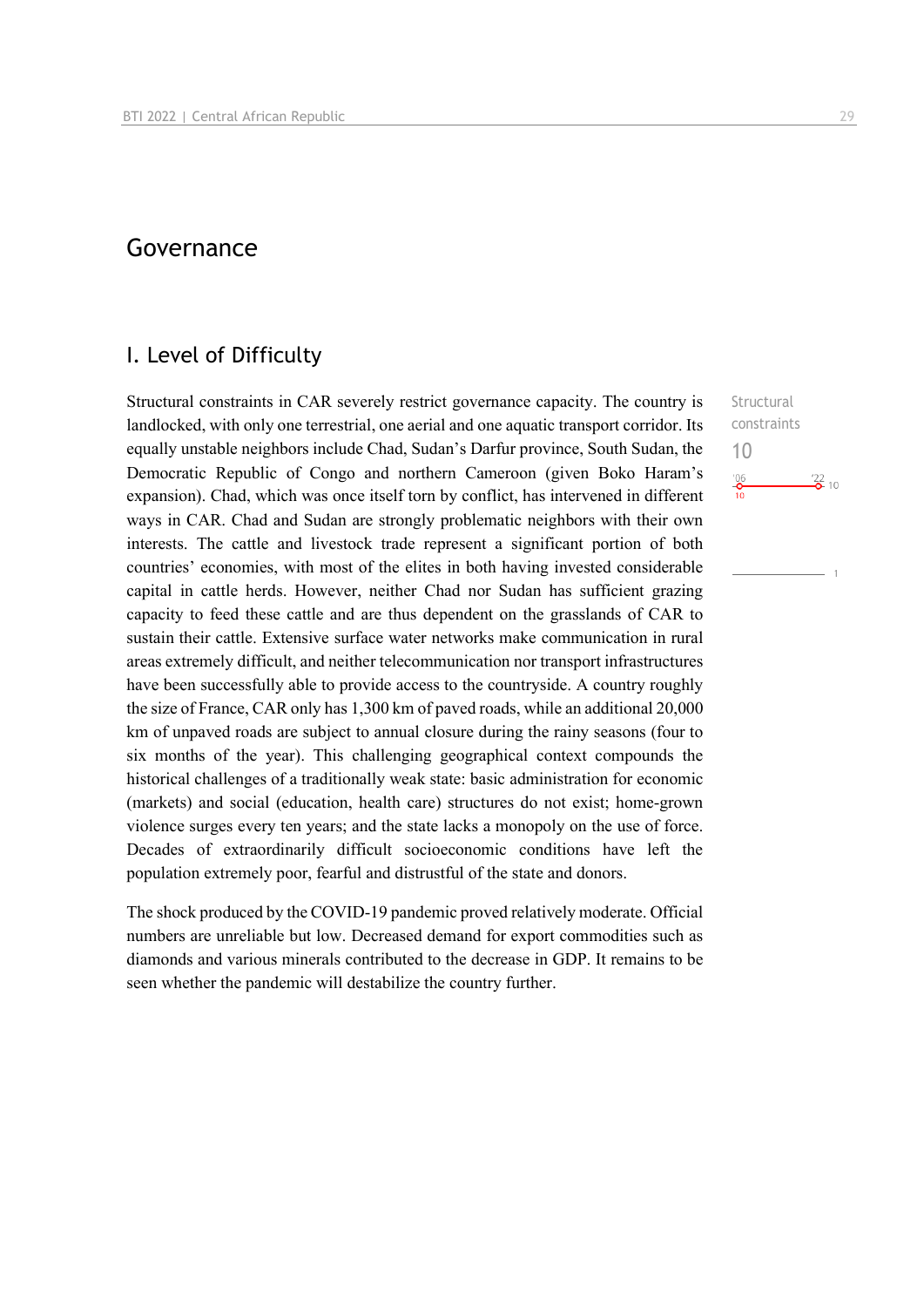## Governance

## I. Level of Difficulty

Structural constraints in CAR severely restrict governance capacity. The country is landlocked, with only one terrestrial, one aerial and one aquatic transport corridor. Its equally unstable neighbors include Chad, Sudan's Darfur province, South Sudan, the Democratic Republic of Congo and northern Cameroon (given Boko Haram's expansion). Chad, which was once itself torn by conflict, has intervened in different ways in CAR. Chad and Sudan are strongly problematic neighbors with their own interests. The cattle and livestock trade represent a significant portion of both countries' economies, with most of the elites in both having invested considerable capital in cattle herds. However, neither Chad nor Sudan has sufficient grazing capacity to feed these cattle and are thus dependent on the grasslands of CAR to sustain their cattle. Extensive surface water networks make communication in rural areas extremely difficult, and neither telecommunication nor transport infrastructures have been successfully able to provide access to the countryside. A country roughly the size of France, CAR only has 1,300 km of paved roads, while an additional 20,000 km of unpaved roads are subject to annual closure during the rainy seasons (four to six months of the year). This challenging geographical context compounds the historical challenges of a traditionally weak state: basic administration for economic (markets) and social (education, health care) structures do not exist; home-grown violence surges every ten years; and the state lacks a monopoly on the use of force. Decades of extraordinarily difficult socioeconomic conditions have left the population extremely poor, fearful and distrustful of the state and donors.

The shock produced by the COVID-19 pandemic proved relatively moderate. Official numbers are unreliable but low. Decreased demand for export commodities such as diamonds and various minerals contributed to the decrease in GDP. It remains to be seen whether the pandemic will destabilize the country further.

**Structural** constraints 10 $\frac{106}{10}$  $\frac{22}{2}$  10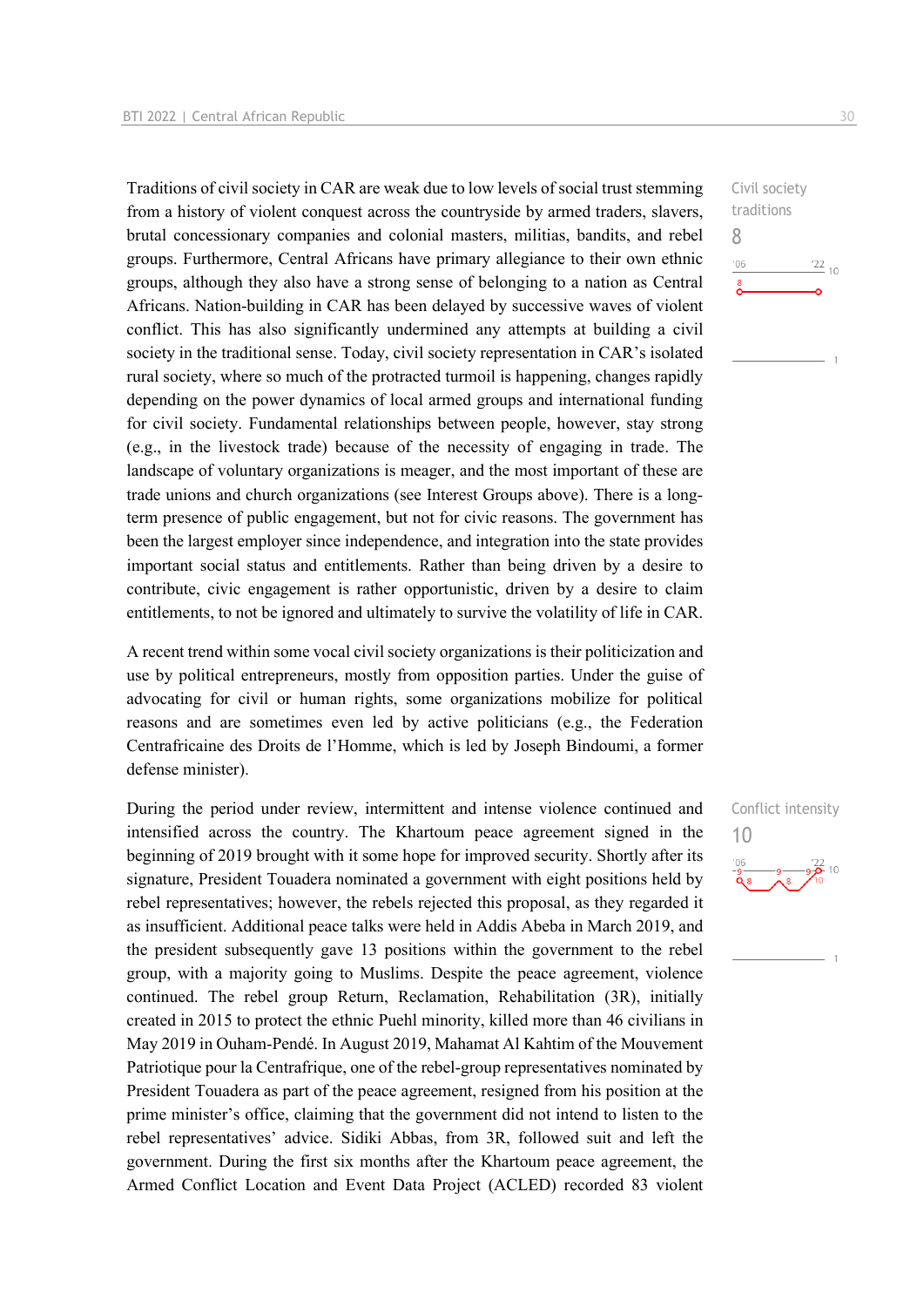Traditions of civil society in CAR are weak due to low levels of social trust stemming from a history of violent conquest across the countryside by armed traders, slavers, brutal concessionary companies and colonial masters, militias, bandits, and rebel groups. Furthermore, Central Africans have primary allegiance to their own ethnic groups, although they also have a strong sense of belonging to a nation as Central Africans. Nation-building in CAR has been delayed by successive waves of violent conflict. This has also significantly undermined any attempts at building a civil society in the traditional sense. Today, civil society representation in CAR's isolated rural society, where so much of the protracted turmoil is happening, changes rapidly depending on the power dynamics of local armed groups and international funding for civil society. Fundamental relationships between people, however, stay strong (e.g., in the livestock trade) because of the necessity of engaging in trade. The landscape of voluntary organizations is meager, and the most important of these are trade unions and church organizations (see Interest Groups above). There is a longterm presence of public engagement, but not for civic reasons. The government has been the largest employer since independence, and integration into the state provides important social status and entitlements. Rather than being driven by a desire to contribute, civic engagement is rather opportunistic, driven by a desire to claim entitlements, to not be ignored and ultimately to survive the volatility of life in CAR.

A recent trend within some vocal civil society organizations is their politicization and use by political entrepreneurs, mostly from opposition parties. Under the guise of advocating for civil or human rights, some organizations mobilize for political reasons and are sometimes even led by active politicians (e.g., the Federation Centrafricaine des Droits de l'Homme, which is led by Joseph Bindoumi, a former defense minister).

During the period under review, intermittent and intense violence continued and intensified across the country. The Khartoum peace agreement signed in the beginning of 2019 brought with it some hope for improved security. Shortly after its signature, President Touadera nominated a government with eight positions held by rebel representatives; however, the rebels rejected this proposal, as they regarded it as insufficient. Additional peace talks were held in Addis Abeba in March 2019, and the president subsequently gave 13 positions within the government to the rebel group, with a majority going to Muslims. Despite the peace agreement, violence continued. The rebel group Return, Reclamation, Rehabilitation (3R), initially created in 2015 to protect the ethnic Puehl minority, killed more than 46 civilians in May 2019 in Ouham-Pendé. In August 2019, Mahamat Al Kahtim of the Mouvement Patriotique pour la Centrafrique, one of the rebel-group representatives nominated by President Touadera as part of the peace agreement, resigned from his position at the prime minister's office, claiming that the government did not intend to listen to the rebel representatives' advice. Sidiki Abbas, from 3R, followed suit and left the government. During the first six months after the Khartoum peace agreement, the Armed Conflict Location and Event Data Project (ACLED) recorded 83 violent

Civil society traditions 8  $-06$  $\frac{22}{10}$  $\sum_{i=1}^{8}$ 

Conflict intensity 10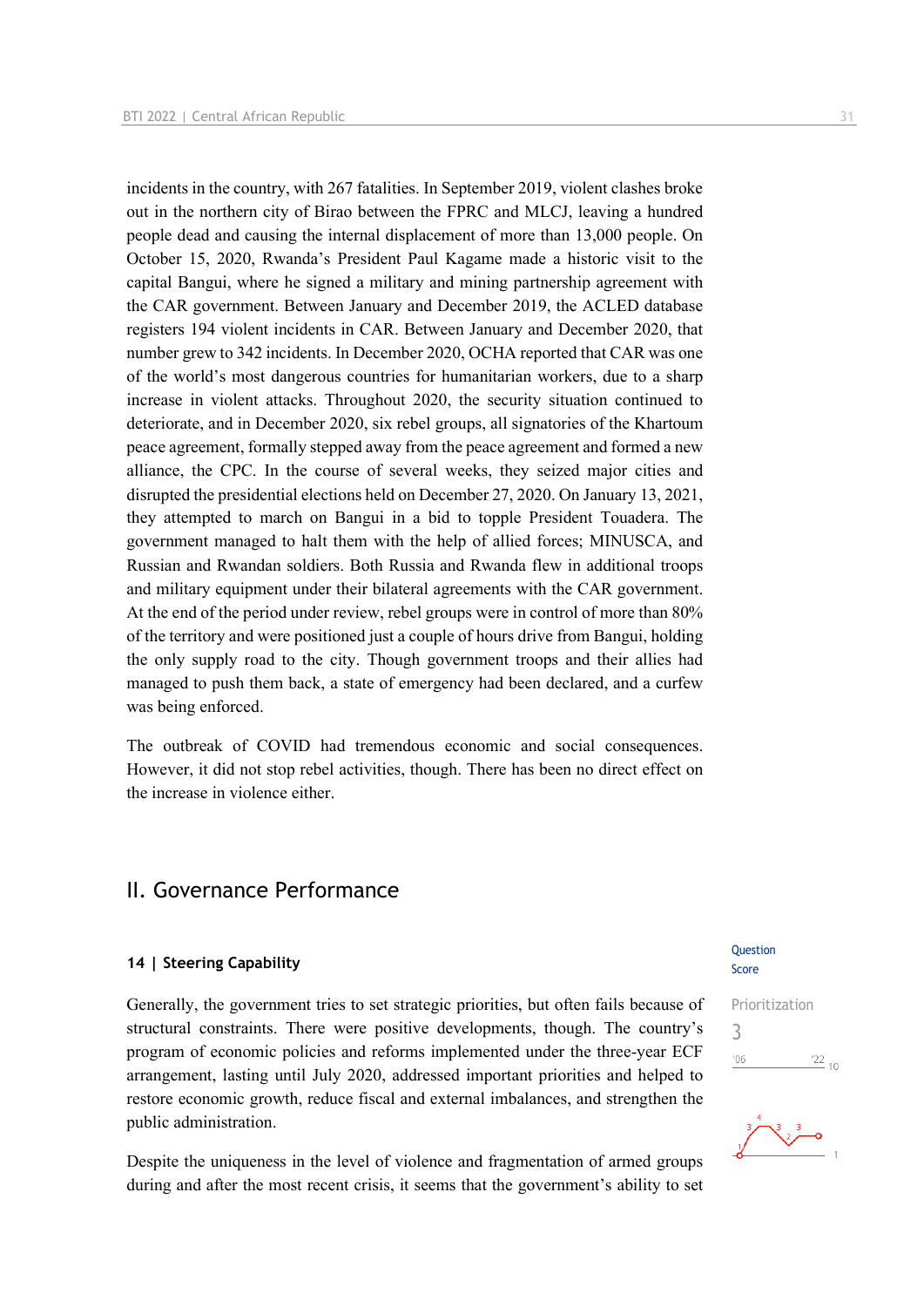incidents in the country, with 267 fatalities. In September 2019, violent clashes broke out in the northern city of Birao between the FPRC and MLCJ, leaving a hundred people dead and causing the internal displacement of more than 13,000 people. On October 15, 2020, Rwanda's President Paul Kagame made a historic visit to the capital Bangui, where he signed a military and mining partnership agreement with the CAR government. Between January and December 2019, the ACLED database registers 194 violent incidents in CAR. Between January and December 2020, that number grew to 342 incidents. In December 2020, OCHA reported that CAR was one of the world's most dangerous countries for humanitarian workers, due to a sharp increase in violent attacks. Throughout 2020, the security situation continued to deteriorate, and in December 2020, six rebel groups, all signatories of the Khartoum peace agreement, formally stepped away from the peace agreement and formed a new alliance, the CPC. In the course of several weeks, they seized major cities and disrupted the presidential elections held on December 27, 2020. On January 13, 2021, they attempted to march on Bangui in a bid to topple President Touadera. The government managed to halt them with the help of allied forces; MINUSCA, and Russian and Rwandan soldiers. Both Russia and Rwanda flew in additional troops and military equipment under their bilateral agreements with the CAR government. At the end of the period under review, rebel groups were in control of more than 80% of the territory and were positioned just a couple of hours drive from Bangui, holding the only supply road to the city. Though government troops and their allies had managed to push them back, a state of emergency had been declared, and a curfew was being enforced.

The outbreak of COVID had tremendous economic and social consequences. However, it did not stop rebel activities, though. There has been no direct effect on the increase in violence either.

### II. Governance Performance

#### **14 | Steering Capability**

Generally, the government tries to set strategic priorities, but often fails because of structural constraints. There were positive developments, though. The country's program of economic policies and reforms implemented under the three-year ECF arrangement, lasting until July 2020, addressed important priorities and helped to restore economic growth, reduce fiscal and external imbalances, and strengthen the public administration.

Despite the uniqueness in the level of violence and fragmentation of armed groups during and after the most recent crisis, it seems that the government's ability to set

#### **Ouestion** Score



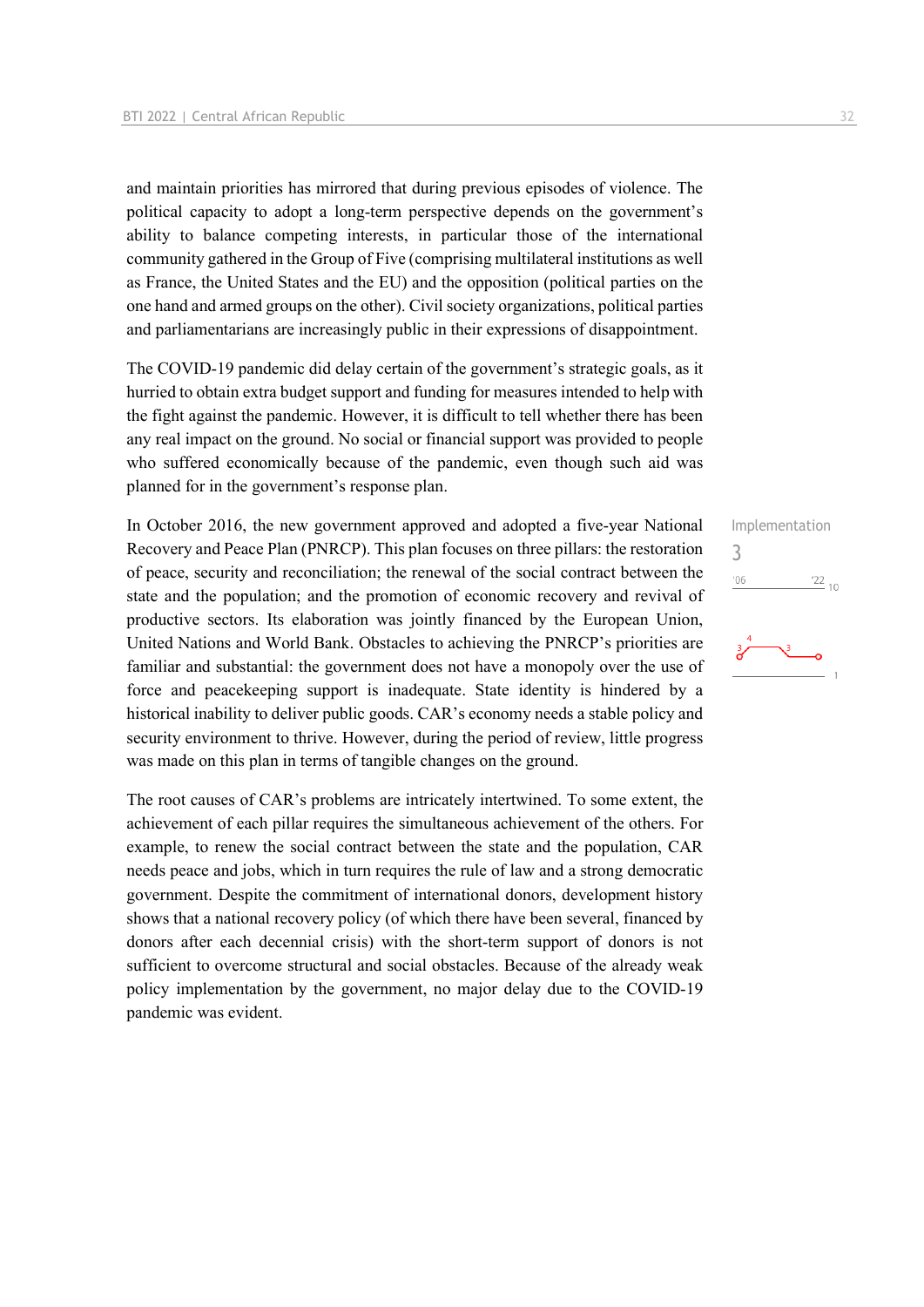and maintain priorities has mirrored that during previous episodes of violence. The political capacity to adopt a long-term perspective depends on the government's ability to balance competing interests, in particular those of the international community gathered in the Group of Five (comprising multilateral institutions as well as France, the United States and the EU) and the opposition (political parties on the one hand and armed groups on the other). Civil society organizations, political parties and parliamentarians are increasingly public in their expressions of disappointment.

The COVID-19 pandemic did delay certain of the government's strategic goals, as it hurried to obtain extra budget support and funding for measures intended to help with the fight against the pandemic. However, it is difficult to tell whether there has been any real impact on the ground. No social or financial support was provided to people who suffered economically because of the pandemic, even though such aid was planned for in the government's response plan.

In October 2016, the new government approved and adopted a five-year National Recovery and Peace Plan (PNRCP). This plan focuses on three pillars: the restoration of peace, security and reconciliation; the renewal of the social contract between the state and the population; and the promotion of economic recovery and revival of productive sectors. Its elaboration was jointly financed by the European Union, United Nations and World Bank. Obstacles to achieving the PNRCP's priorities are familiar and substantial: the government does not have a monopoly over the use of force and peacekeeping support is inadequate. State identity is hindered by a historical inability to deliver public goods. CAR's economy needs a stable policy and security environment to thrive. However, during the period of review, little progress was made on this plan in terms of tangible changes on the ground.

The root causes of CAR's problems are intricately intertwined. To some extent, the achievement of each pillar requires the simultaneous achievement of the others. For example, to renew the social contract between the state and the population, CAR needs peace and jobs, which in turn requires the rule of law and a strong democratic government. Despite the commitment of international donors, development history shows that a national recovery policy (of which there have been several, financed by donors after each decennial crisis) with the short-term support of donors is not sufficient to overcome structural and social obstacles. Because of the already weak policy implementation by the government, no major delay due to the COVID-19 pandemic was evident.

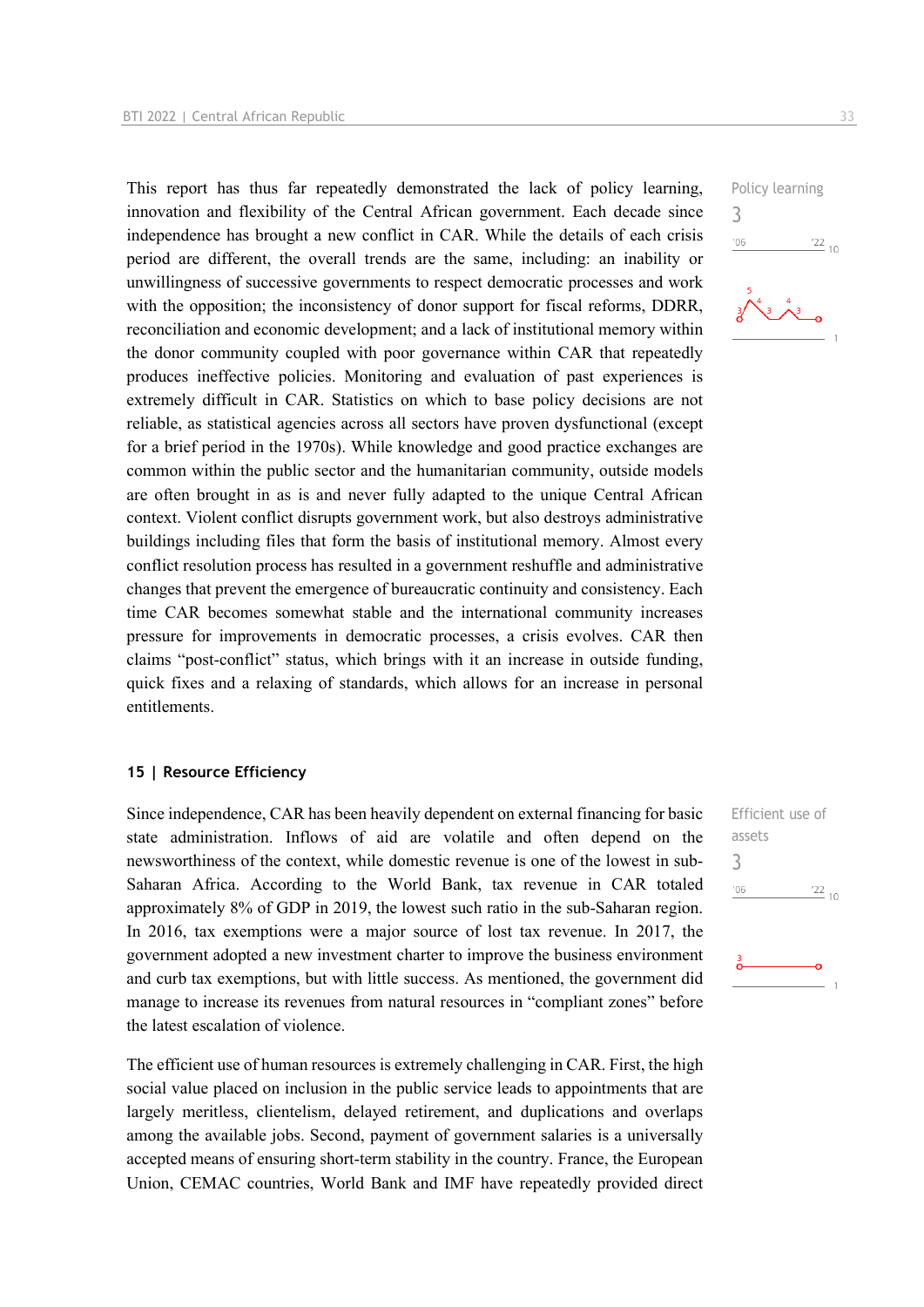This report has thus far repeatedly demonstrated the lack of policy learning, innovation and flexibility of the Central African government. Each decade since independence has brought a new conflict in CAR. While the details of each crisis period are different, the overall trends are the same, including: an inability or unwillingness of successive governments to respect democratic processes and work with the opposition; the inconsistency of donor support for fiscal reforms, DDRR, reconciliation and economic development; and a lack of institutional memory within the donor community coupled with poor governance within CAR that repeatedly produces ineffective policies. Monitoring and evaluation of past experiences is extremely difficult in CAR. Statistics on which to base policy decisions are not reliable, as statistical agencies across all sectors have proven dysfunctional (except for a brief period in the 1970s). While knowledge and good practice exchanges are common within the public sector and the humanitarian community, outside models are often brought in as is and never fully adapted to the unique Central African context. Violent conflict disrupts government work, but also destroys administrative buildings including files that form the basis of institutional memory. Almost every conflict resolution process has resulted in a government reshuffle and administrative changes that prevent the emergence of bureaucratic continuity and consistency. Each time CAR becomes somewhat stable and the international community increases pressure for improvements in democratic processes, a crisis evolves. CAR then claims "post-conflict" status, which brings with it an increase in outside funding, quick fixes and a relaxing of standards, which allows for an increase in personal entitlements.

#### **15 | Resource Efficiency**

Since independence, CAR has been heavily dependent on external financing for basic state administration. Inflows of aid are volatile and often depend on the newsworthiness of the context, while domestic revenue is one of the lowest in sub-Saharan Africa. According to the World Bank, tax revenue in CAR totaled approximately 8% of GDP in 2019, the lowest such ratio in the sub-Saharan region. In 2016, tax exemptions were a major source of lost tax revenue. In 2017, the government adopted a new investment charter to improve the business environment and curb tax exemptions, but with little success. As mentioned, the government did manage to increase its revenues from natural resources in "compliant zones" before the latest escalation of violence.

The efficient use of human resources is extremely challenging in CAR. First, the high social value placed on inclusion in the public service leads to appointments that are largely meritless, clientelism, delayed retirement, and duplications and overlaps among the available jobs. Second, payment of government salaries is a universally accepted means of ensuring short-term stability in the country. France, the European Union, CEMAC countries, World Bank and IMF have repeatedly provided direct Policy learning 3  $106$  $\frac{22}{10}$ 



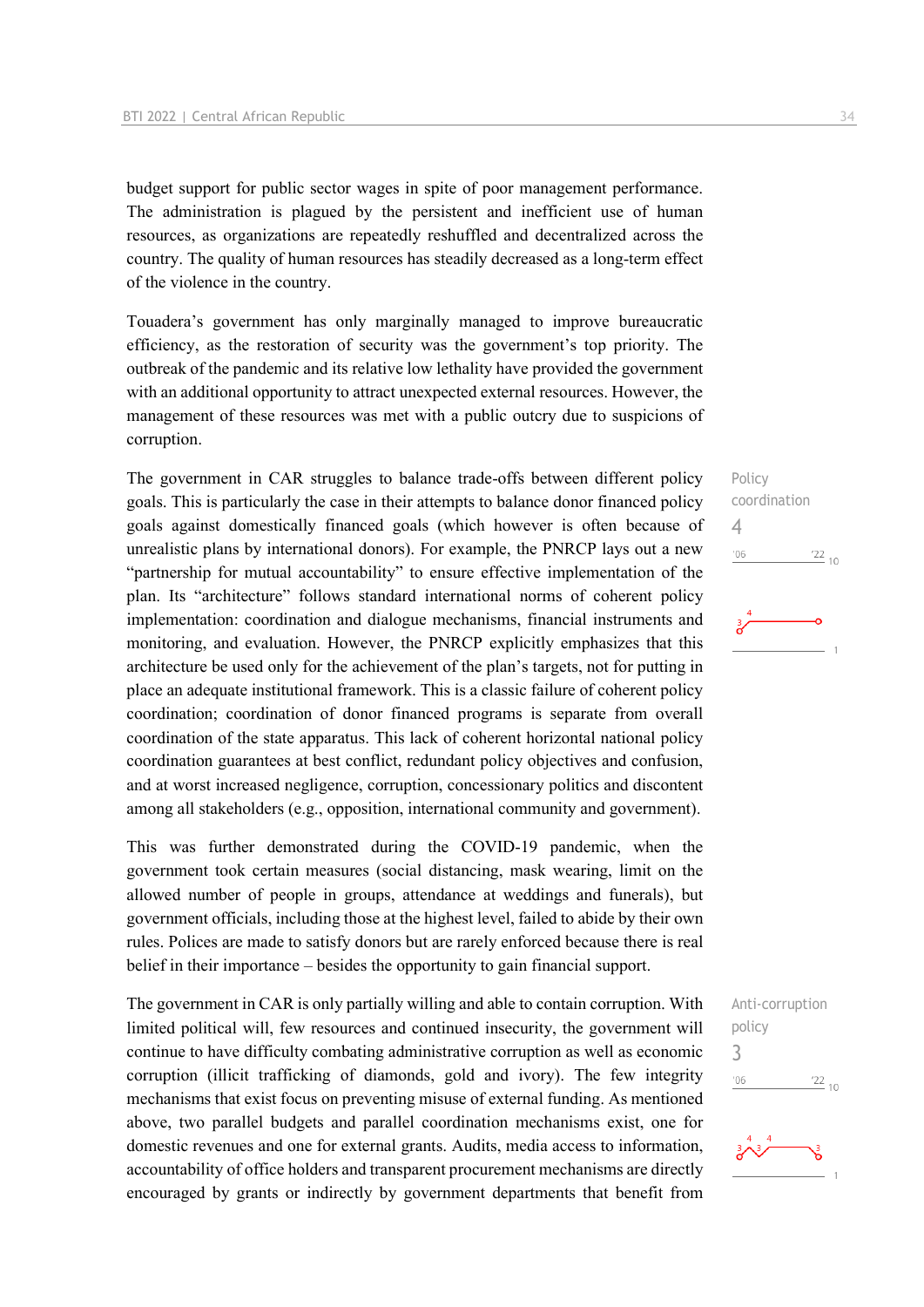budget support for public sector wages in spite of poor management performance. The administration is plagued by the persistent and inefficient use of human resources, as organizations are repeatedly reshuffled and decentralized across the country. The quality of human resources has steadily decreased as a long-term effect of the violence in the country.

Touadera's government has only marginally managed to improve bureaucratic efficiency, as the restoration of security was the government's top priority. The outbreak of the pandemic and its relative low lethality have provided the government with an additional opportunity to attract unexpected external resources. However, the management of these resources was met with a public outcry due to suspicions of corruption.

The government in CAR struggles to balance trade-offs between different policy goals. This is particularly the case in their attempts to balance donor financed policy goals against domestically financed goals (which however is often because of unrealistic plans by international donors). For example, the PNRCP lays out a new "partnership for mutual accountability" to ensure effective implementation of the plan. Its "architecture" follows standard international norms of coherent policy implementation: coordination and dialogue mechanisms, financial instruments and monitoring, and evaluation. However, the PNRCP explicitly emphasizes that this architecture be used only for the achievement of the plan's targets, not for putting in place an adequate institutional framework. This is a classic failure of coherent policy coordination; coordination of donor financed programs is separate from overall coordination of the state apparatus. This lack of coherent horizontal national policy coordination guarantees at best conflict, redundant policy objectives and confusion, and at worst increased negligence, corruption, concessionary politics and discontent among all stakeholders (e.g., opposition, international community and government).

This was further demonstrated during the COVID-19 pandemic, when the government took certain measures (social distancing, mask wearing, limit on the allowed number of people in groups, attendance at weddings and funerals), but government officials, including those at the highest level, failed to abide by their own rules. Polices are made to satisfy donors but are rarely enforced because there is real belief in their importance – besides the opportunity to gain financial support.

The government in CAR is only partially willing and able to contain corruption. With limited political will, few resources and continued insecurity, the government will continue to have difficulty combating administrative corruption as well as economic corruption (illicit trafficking of diamonds, gold and ivory). The few integrity mechanisms that exist focus on preventing misuse of external funding. As mentioned above, two parallel budgets and parallel coordination mechanisms exist, one for domestic revenues and one for external grants. Audits, media access to information, accountability of office holders and transparent procurement mechanisms are directly encouraged by grants or indirectly by government departments that benefit from





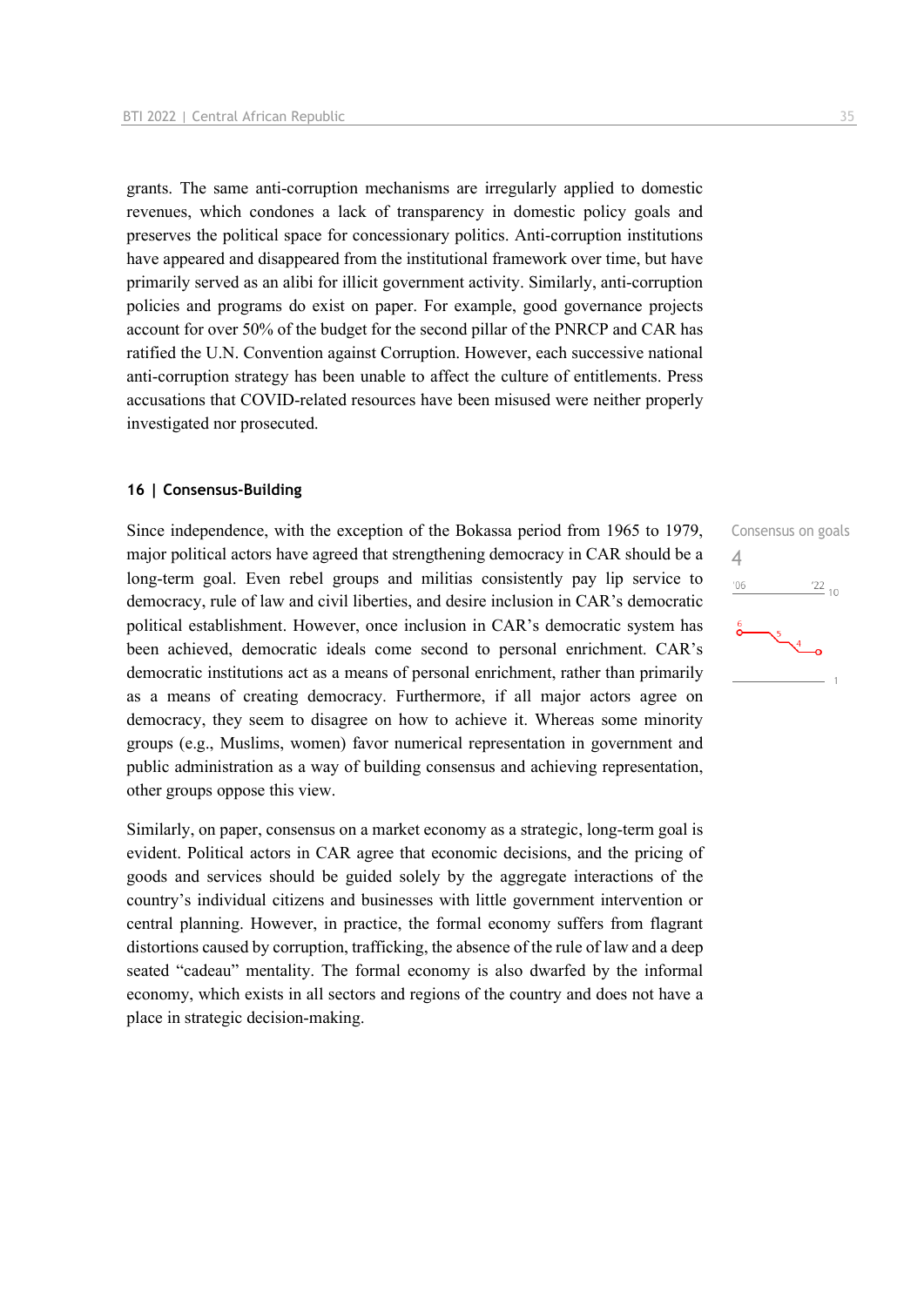grants. The same anti-corruption mechanisms are irregularly applied to domestic revenues, which condones a lack of transparency in domestic policy goals and preserves the political space for concessionary politics. Anti-corruption institutions have appeared and disappeared from the institutional framework over time, but have primarily served as an alibi for illicit government activity. Similarly, anti-corruption policies and programs do exist on paper. For example, good governance projects account for over 50% of the budget for the second pillar of the PNRCP and CAR has ratified the U.N. Convention against Corruption. However, each successive national anti-corruption strategy has been unable to affect the culture of entitlements. Press accusations that COVID-related resources have been misused were neither properly investigated nor prosecuted.

#### **16 | Consensus-Building**

Since independence, with the exception of the Bokassa period from 1965 to 1979, major political actors have agreed that strengthening democracy in CAR should be a long-term goal. Even rebel groups and militias consistently pay lip service to democracy, rule of law and civil liberties, and desire inclusion in CAR's democratic political establishment. However, once inclusion in CAR's democratic system has been achieved, democratic ideals come second to personal enrichment. CAR's democratic institutions act as a means of personal enrichment, rather than primarily as a means of creating democracy. Furthermore, if all major actors agree on democracy, they seem to disagree on how to achieve it. Whereas some minority groups (e.g., Muslims, women) favor numerical representation in government and public administration as a way of building consensus and achieving representation, other groups oppose this view.

Similarly, on paper, consensus on a market economy as a strategic, long-term goal is evident. Political actors in CAR agree that economic decisions, and the pricing of goods and services should be guided solely by the aggregate interactions of the country's individual citizens and businesses with little government intervention or central planning. However, in practice, the formal economy suffers from flagrant distortions caused by corruption, trafficking, the absence of the rule of law and a deep seated "cadeau" mentality. The formal economy is also dwarfed by the informal economy, which exists in all sectors and regions of the country and does not have a place in strategic decision-making.

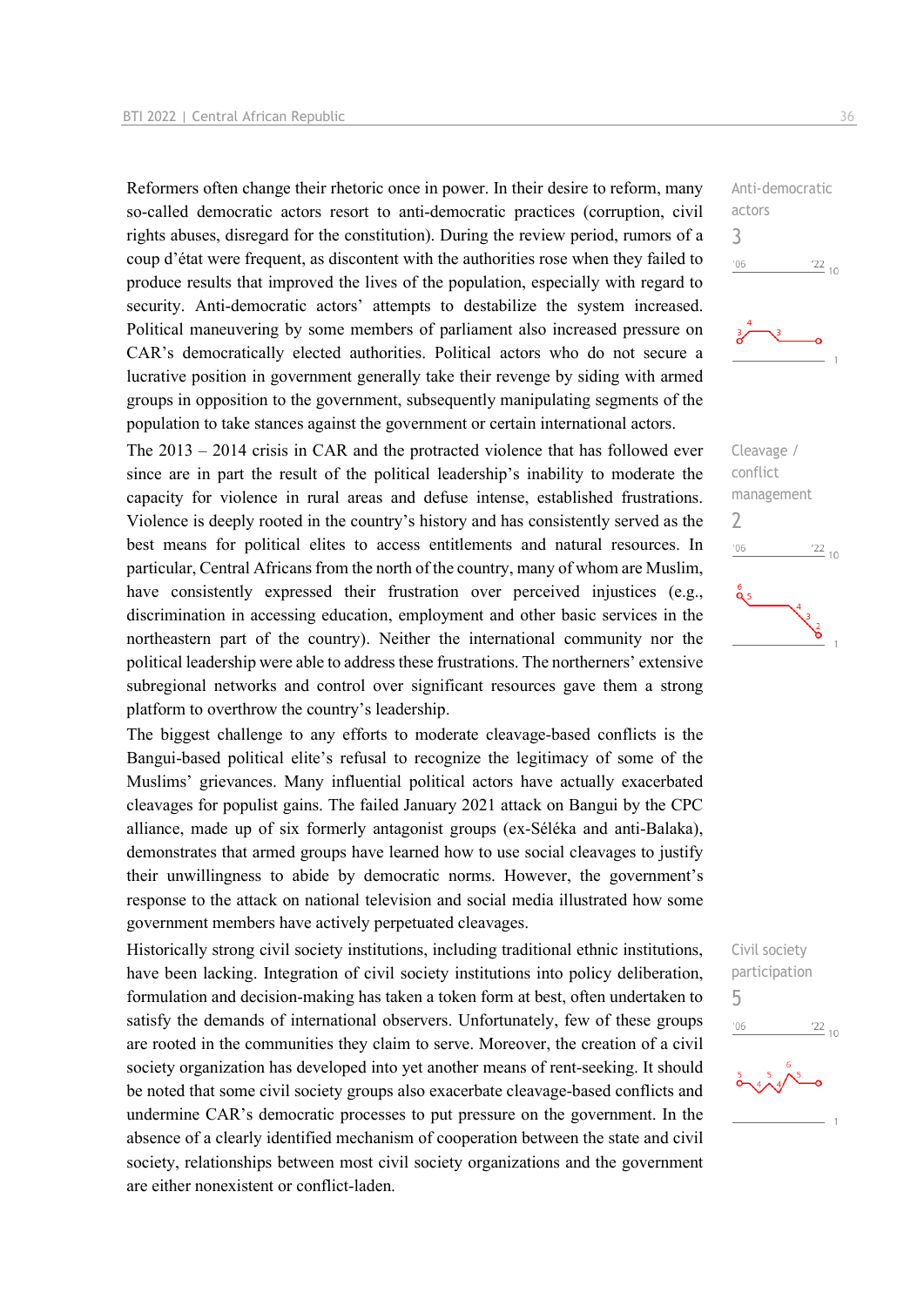Reformers often change their rhetoric once in power. In their desire to reform, many so-called democratic actors resort to anti-democratic practices (corruption, civil rights abuses, disregard for the constitution). During the review period, rumors of a coup d'état were frequent, as discontent with the authorities rose when they failed to produce results that improved the lives of the population, especially with regard to security. Anti-democratic actors' attempts to destabilize the system increased. Political maneuvering by some members of parliament also increased pressure on CAR's democratically elected authorities. Political actors who do not secure a lucrative position in government generally take their revenge by siding with armed groups in opposition to the government, subsequently manipulating segments of the population to take stances against the government or certain international actors.

The 2013 – 2014 crisis in CAR and the protracted violence that has followed ever since are in part the result of the political leadership's inability to moderate the capacity for violence in rural areas and defuse intense, established frustrations. Violence is deeply rooted in the country's history and has consistently served as the best means for political elites to access entitlements and natural resources. In particular, Central Africans from the north of the country, many of whom are Muslim, have consistently expressed their frustration over perceived injustices (e.g., discrimination in accessing education, employment and other basic services in the northeastern part of the country). Neither the international community nor the political leadership were able to address these frustrations. The northerners' extensive subregional networks and control over significant resources gave them a strong platform to overthrow the country's leadership.

The biggest challenge to any efforts to moderate cleavage-based conflicts is the Bangui-based political elite's refusal to recognize the legitimacy of some of the Muslims' grievances. Many influential political actors have actually exacerbated cleavages for populist gains. The failed January 2021 attack on Bangui by the CPC alliance, made up of six formerly antagonist groups (ex-Séléka and anti-Balaka), demonstrates that armed groups have learned how to use social cleavages to justify their unwillingness to abide by democratic norms. However, the government's response to the attack on national television and social media illustrated how some government members have actively perpetuated cleavages.

Historically strong civil society institutions, including traditional ethnic institutions, have been lacking. Integration of civil society institutions into policy deliberation, formulation and decision-making has taken a token form at best, often undertaken to satisfy the demands of international observers. Unfortunately, few of these groups are rooted in the communities they claim to serve. Moreover, the creation of a civil society organization has developed into yet another means of rent-seeking. It should be noted that some civil society groups also exacerbate cleavage-based conflicts and undermine CAR's democratic processes to put pressure on the government. In the absence of a clearly identified mechanism of cooperation between the state and civil society, relationships between most civil society organizations and the government are either nonexistent or conflict-laden.

Anti-democratic actors 3  $-06$  $\frac{22}{10}$ 



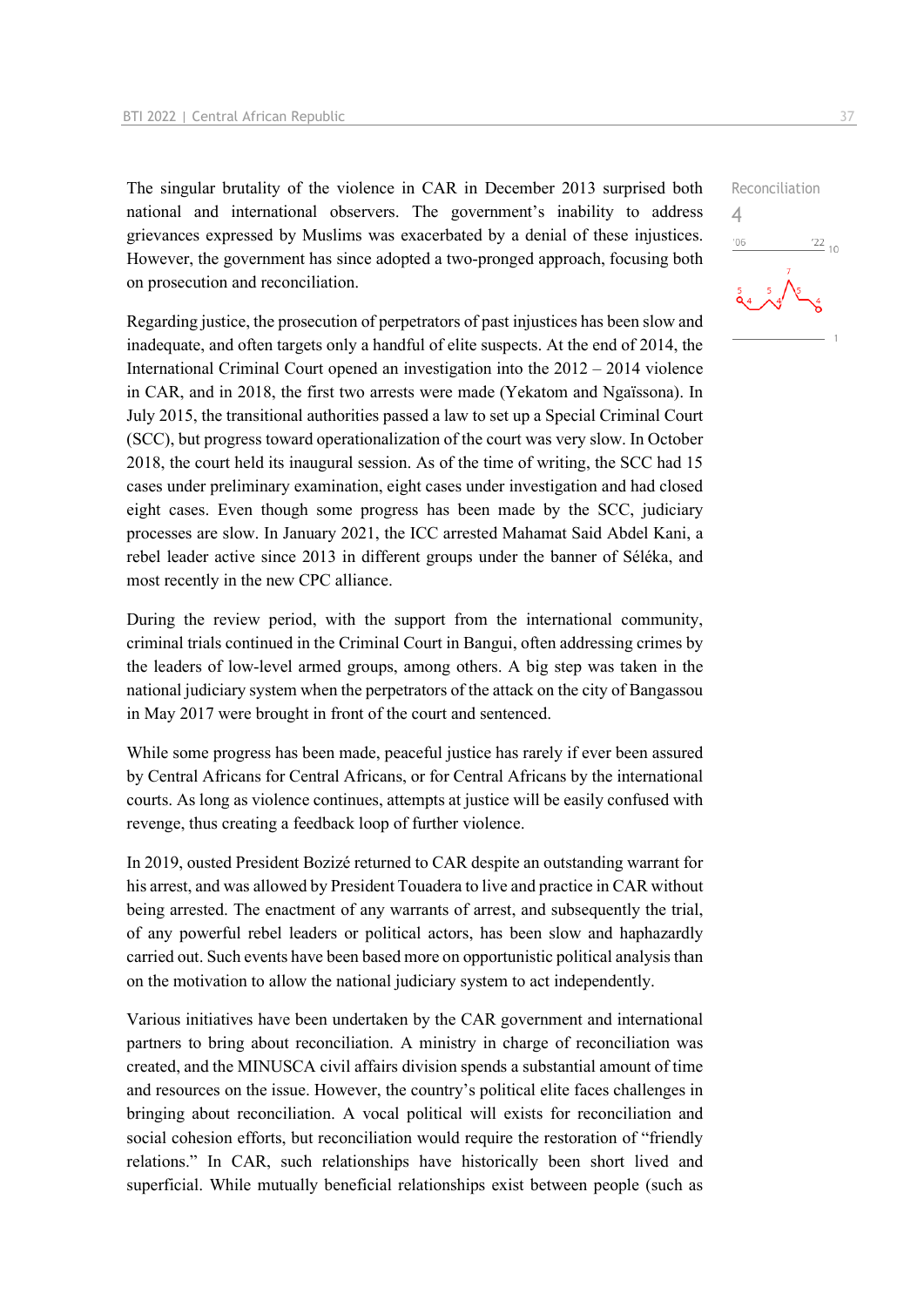The singular brutality of the violence in CAR in December 2013 surprised both national and international observers. The government's inability to address grievances expressed by Muslims was exacerbated by a denial of these injustices. However, the government has since adopted a two-pronged approach, focusing both on prosecution and reconciliation.

Regarding justice, the prosecution of perpetrators of past injustices has been slow and inadequate, and often targets only a handful of elite suspects. At the end of 2014, the International Criminal Court opened an investigation into the 2012 – 2014 violence in CAR, and in 2018, the first two arrests were made (Yekatom and Ngaïssona). In July 2015, the transitional authorities passed a law to set up a Special Criminal Court (SCC), but progress toward operationalization of the court was very slow. In October 2018, the court held its inaugural session. As of the time of writing, the SCC had 15 cases under preliminary examination, eight cases under investigation and had closed eight cases. Even though some progress has been made by the SCC, judiciary processes are slow. In January 2021, the ICC arrested Mahamat Said Abdel Kani, a rebel leader active since 2013 in different groups under the banner of Séléka, and most recently in the new CPC alliance.

During the review period, with the support from the international community, criminal trials continued in the Criminal Court in Bangui, often addressing crimes by the leaders of low-level armed groups, among others. A big step was taken in the national judiciary system when the perpetrators of the attack on the city of Bangassou in May 2017 were brought in front of the court and sentenced.

While some progress has been made, peaceful justice has rarely if ever been assured by Central Africans for Central Africans, or for Central Africans by the international courts. As long as violence continues, attempts at justice will be easily confused with revenge, thus creating a feedback loop of further violence.

In 2019, ousted President Bozizé returned to CAR despite an outstanding warrant for his arrest, and was allowed by President Touadera to live and practice in CAR without being arrested. The enactment of any warrants of arrest, and subsequently the trial, of any powerful rebel leaders or political actors, has been slow and haphazardly carried out. Such events have been based more on opportunistic political analysis than on the motivation to allow the national judiciary system to act independently.

Various initiatives have been undertaken by the CAR government and international partners to bring about reconciliation. A ministry in charge of reconciliation was created, and the MINUSCA civil affairs division spends a substantial amount of time and resources on the issue. However, the country's political elite faces challenges in bringing about reconciliation. A vocal political will exists for reconciliation and social cohesion efforts, but reconciliation would require the restoration of "friendly relations." In CAR, such relationships have historically been short lived and superficial. While mutually beneficial relationships exist between people (such as

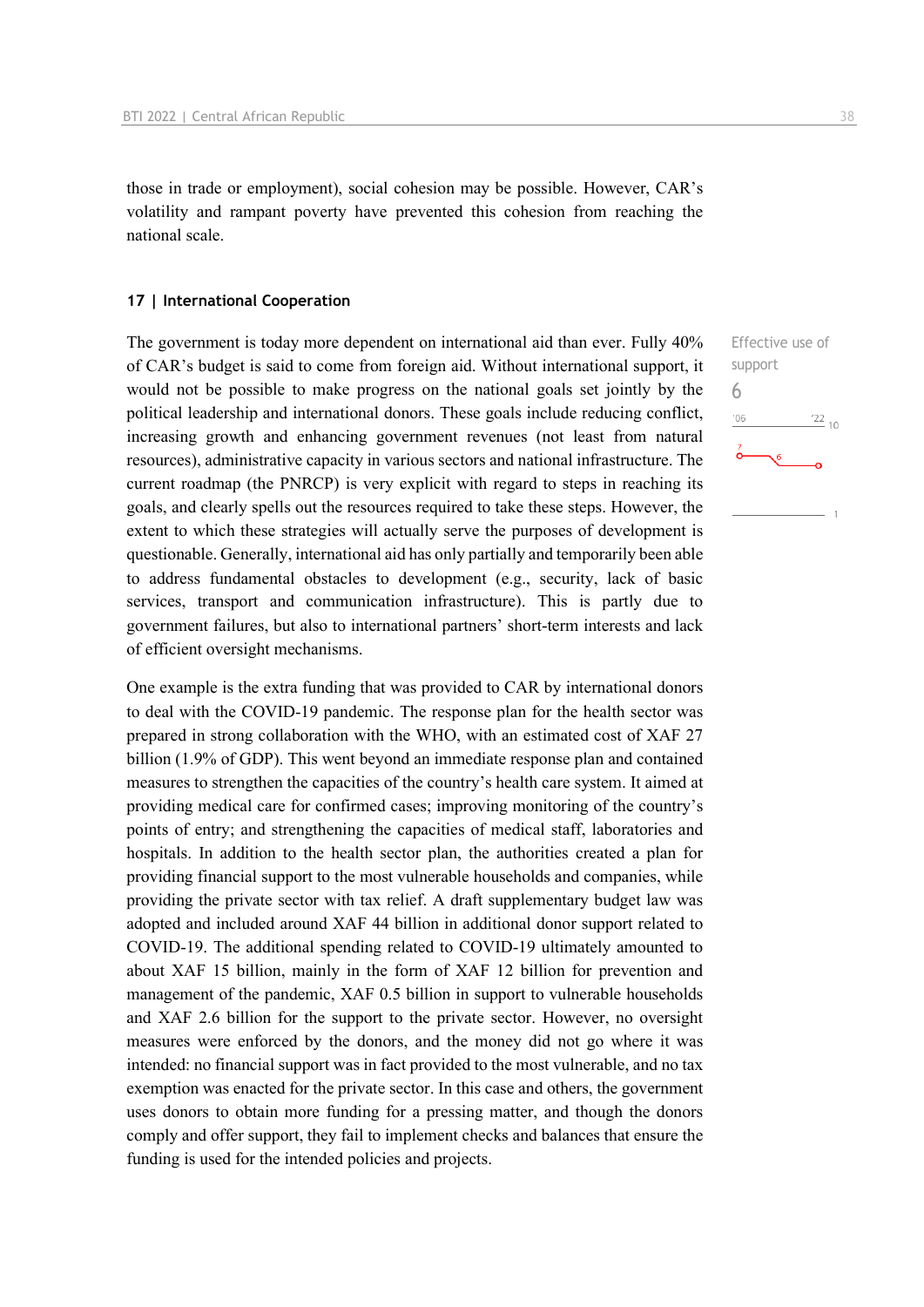those in trade or employment), social cohesion may be possible. However, CAR's volatility and rampant poverty have prevented this cohesion from reaching the national scale.

#### **17 | International Cooperation**

The government is today more dependent on international aid than ever. Fully 40% of CAR's budget is said to come from foreign aid. Without international support, it would not be possible to make progress on the national goals set jointly by the political leadership and international donors. These goals include reducing conflict, increasing growth and enhancing government revenues (not least from natural resources), administrative capacity in various sectors and national infrastructure. The current roadmap (the PNRCP) is very explicit with regard to steps in reaching its goals, and clearly spells out the resources required to take these steps. However, the extent to which these strategies will actually serve the purposes of development is questionable. Generally, international aid has only partially and temporarily been able to address fundamental obstacles to development (e.g., security, lack of basic services, transport and communication infrastructure). This is partly due to government failures, but also to international partners' short-term interests and lack of efficient oversight mechanisms.

One example is the extra funding that was provided to CAR by international donors to deal with the COVID-19 pandemic. The response plan for the health sector was prepared in strong collaboration with the WHO, with an estimated cost of XAF 27 billion (1.9% of GDP). This went beyond an immediate response plan and contained measures to strengthen the capacities of the country's health care system. It aimed at providing medical care for confirmed cases; improving monitoring of the country's points of entry; and strengthening the capacities of medical staff, laboratories and hospitals. In addition to the health sector plan, the authorities created a plan for providing financial support to the most vulnerable households and companies, while providing the private sector with tax relief. A draft supplementary budget law was adopted and included around XAF 44 billion in additional donor support related to COVID-19. The additional spending related to COVID-19 ultimately amounted to about XAF 15 billion, mainly in the form of XAF 12 billion for prevention and management of the pandemic, XAF 0.5 billion in support to vulnerable households and XAF 2.6 billion for the support to the private sector. However, no oversight measures were enforced by the donors, and the money did not go where it was intended: no financial support was in fact provided to the most vulnerable, and no tax exemption was enacted for the private sector. In this case and others, the government uses donors to obtain more funding for a pressing matter, and though the donors comply and offer support, they fail to implement checks and balances that ensure the funding is used for the intended policies and projects.

Effective use of support 6 $^{\prime}06$  $^{22}_{-10}$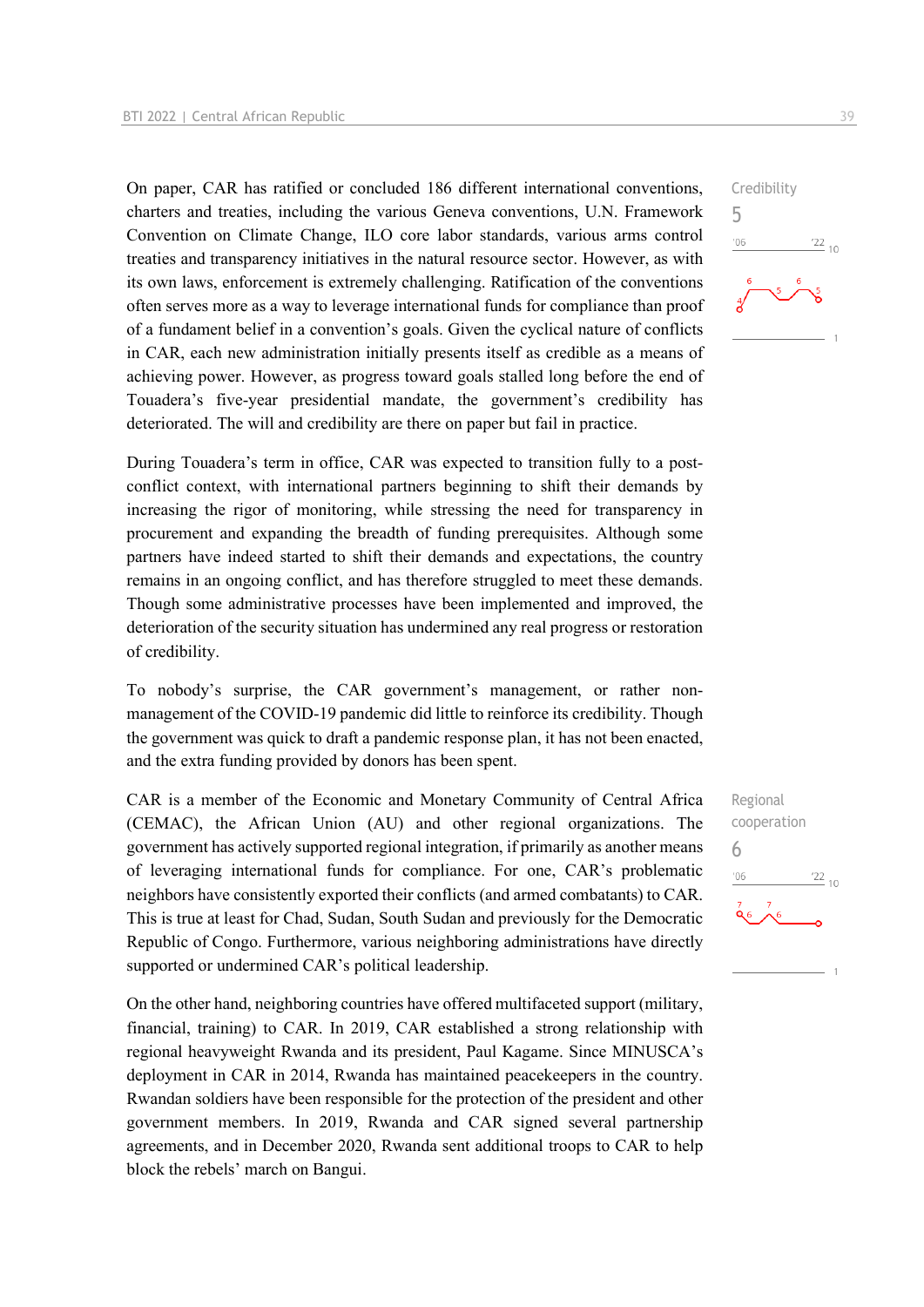On paper, CAR has ratified or concluded 186 different international conventions, charters and treaties, including the various Geneva conventions, U.N. Framework Convention on Climate Change, ILO core labor standards, various arms control treaties and transparency initiatives in the natural resource sector. However, as with its own laws, enforcement is extremely challenging. Ratification of the conventions often serves more as a way to leverage international funds for compliance than proof of a fundament belief in a convention's goals. Given the cyclical nature of conflicts in CAR, each new administration initially presents itself as credible as a means of achieving power. However, as progress toward goals stalled long before the end of Touadera's five-year presidential mandate, the government's credibility has deteriorated. The will and credibility are there on paper but fail in practice.

During Touadera's term in office, CAR was expected to transition fully to a postconflict context, with international partners beginning to shift their demands by increasing the rigor of monitoring, while stressing the need for transparency in procurement and expanding the breadth of funding prerequisites. Although some partners have indeed started to shift their demands and expectations, the country remains in an ongoing conflict, and has therefore struggled to meet these demands. Though some administrative processes have been implemented and improved, the deterioration of the security situation has undermined any real progress or restoration of credibility.

To nobody's surprise, the CAR government's management, or rather nonmanagement of the COVID-19 pandemic did little to reinforce its credibility. Though the government was quick to draft a pandemic response plan, it has not been enacted, and the extra funding provided by donors has been spent.

CAR is a member of the Economic and Monetary Community of Central Africa (CEMAC), the African Union (AU) and other regional organizations. The government has actively supported regional integration, if primarily as another means of leveraging international funds for compliance. For one, CAR's problematic neighbors have consistently exported their conflicts (and armed combatants) to CAR. This is true at least for Chad, Sudan, South Sudan and previously for the Democratic Republic of Congo. Furthermore, various neighboring administrations have directly supported or undermined CAR's political leadership.

On the other hand, neighboring countries have offered multifaceted support (military, financial, training) to CAR. In 2019, CAR established a strong relationship with regional heavyweight Rwanda and its president, Paul Kagame. Since MINUSCA's deployment in CAR in 2014, Rwanda has maintained peacekeepers in the country. Rwandan soldiers have been responsible for the protection of the president and other government members. In 2019, Rwanda and CAR signed several partnership agreements, and in December 2020, Rwanda sent additional troops to CAR to help block the rebels' march on Bangui.



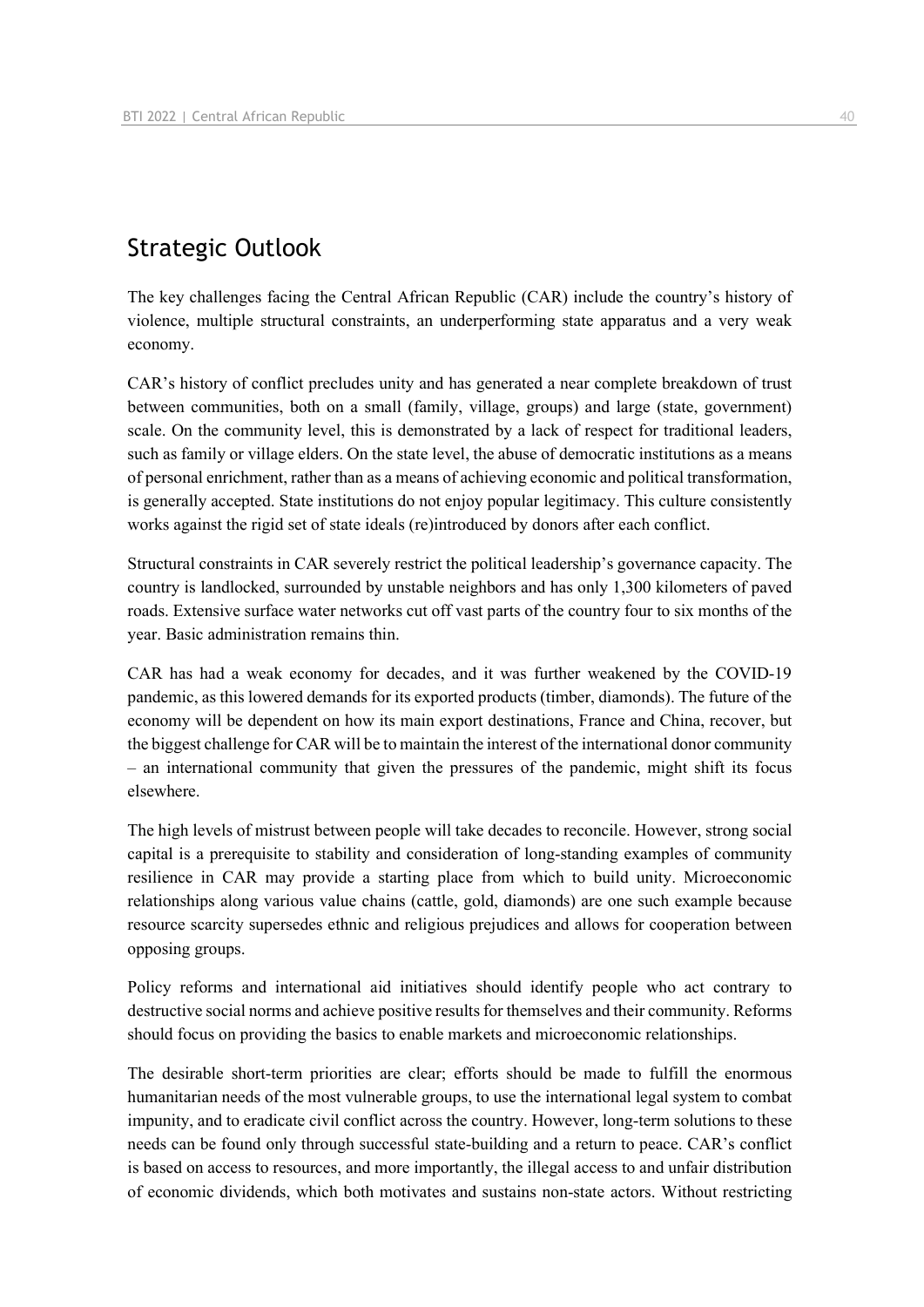# Strategic Outlook

The key challenges facing the Central African Republic (CAR) include the country's history of violence, multiple structural constraints, an underperforming state apparatus and a very weak economy.

CAR's history of conflict precludes unity and has generated a near complete breakdown of trust between communities, both on a small (family, village, groups) and large (state, government) scale. On the community level, this is demonstrated by a lack of respect for traditional leaders, such as family or village elders. On the state level, the abuse of democratic institutions as a means of personal enrichment, rather than as a means of achieving economic and political transformation, is generally accepted. State institutions do not enjoy popular legitimacy. This culture consistently works against the rigid set of state ideals (re)introduced by donors after each conflict.

Structural constraints in CAR severely restrict the political leadership's governance capacity. The country is landlocked, surrounded by unstable neighbors and has only 1,300 kilometers of paved roads. Extensive surface water networks cut off vast parts of the country four to six months of the year. Basic administration remains thin.

CAR has had a weak economy for decades, and it was further weakened by the COVID-19 pandemic, as this lowered demands for its exported products (timber, diamonds). The future of the economy will be dependent on how its main export destinations, France and China, recover, but the biggest challenge for CAR will be to maintain the interest of the international donor community – an international community that given the pressures of the pandemic, might shift its focus elsewhere.

The high levels of mistrust between people will take decades to reconcile. However, strong social capital is a prerequisite to stability and consideration of long-standing examples of community resilience in CAR may provide a starting place from which to build unity. Microeconomic relationships along various value chains (cattle, gold, diamonds) are one such example because resource scarcity supersedes ethnic and religious prejudices and allows for cooperation between opposing groups.

Policy reforms and international aid initiatives should identify people who act contrary to destructive social norms and achieve positive results for themselves and their community. Reforms should focus on providing the basics to enable markets and microeconomic relationships.

The desirable short-term priorities are clear; efforts should be made to fulfill the enormous humanitarian needs of the most vulnerable groups, to use the international legal system to combat impunity, and to eradicate civil conflict across the country. However, long-term solutions to these needs can be found only through successful state-building and a return to peace. CAR's conflict is based on access to resources, and more importantly, the illegal access to and unfair distribution of economic dividends, which both motivates and sustains non-state actors. Without restricting